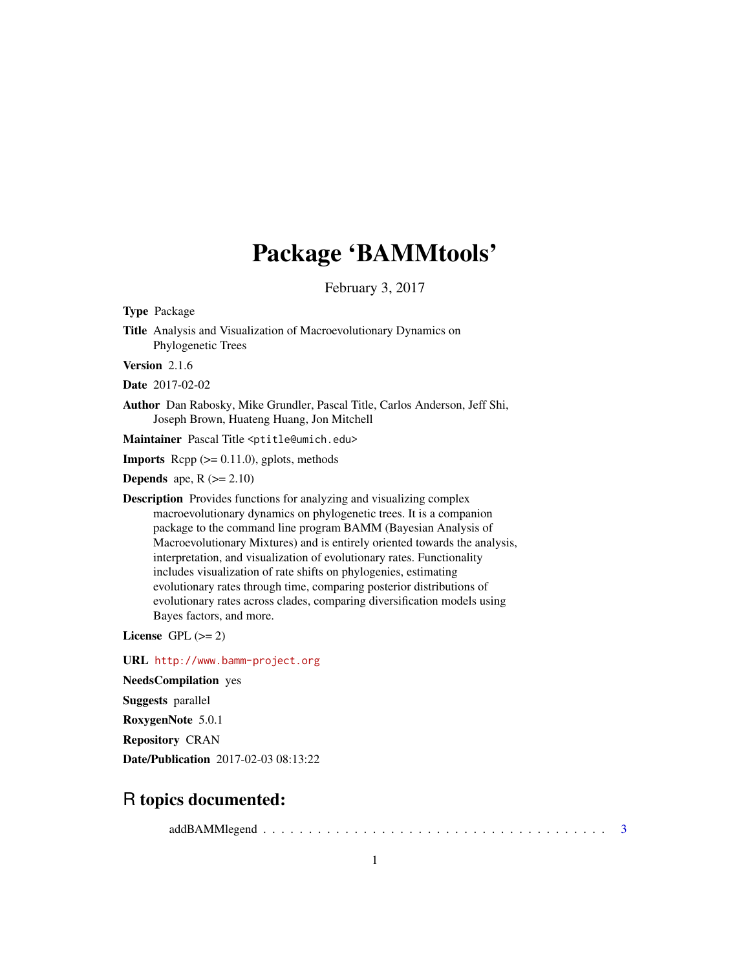# Package 'BAMMtools'

February 3, 2017

<span id="page-0-0"></span>Type Package

Title Analysis and Visualization of Macroevolutionary Dynamics on Phylogenetic Trees

Version 2.1.6

Date 2017-02-02

Author Dan Rabosky, Mike Grundler, Pascal Title, Carlos Anderson, Jeff Shi, Joseph Brown, Huateng Huang, Jon Mitchell

Maintainer Pascal Title <ptitle@umich.edu>

**Imports** Rcpp  $(>= 0.11.0)$ , gplots, methods

**Depends** ape,  $R$  ( $>= 2.10$ )

Description Provides functions for analyzing and visualizing complex macroevolutionary dynamics on phylogenetic trees. It is a companion package to the command line program BAMM (Bayesian Analysis of Macroevolutionary Mixtures) and is entirely oriented towards the analysis, interpretation, and visualization of evolutionary rates. Functionality includes visualization of rate shifts on phylogenies, estimating evolutionary rates through time, comparing posterior distributions of evolutionary rates across clades, comparing diversification models using Bayes factors, and more.

License GPL  $(>= 2)$ 

URL <http://www.bamm-project.org>

NeedsCompilation yes

Suggests parallel

RoxygenNote 5.0.1

Repository CRAN

Date/Publication 2017-02-03 08:13:22

# R topics documented:

addBAMMlegend . . . . . . . . . . . . . . . . . . . . . . . . . . . . . . . . . . . . . . [3](#page-2-0)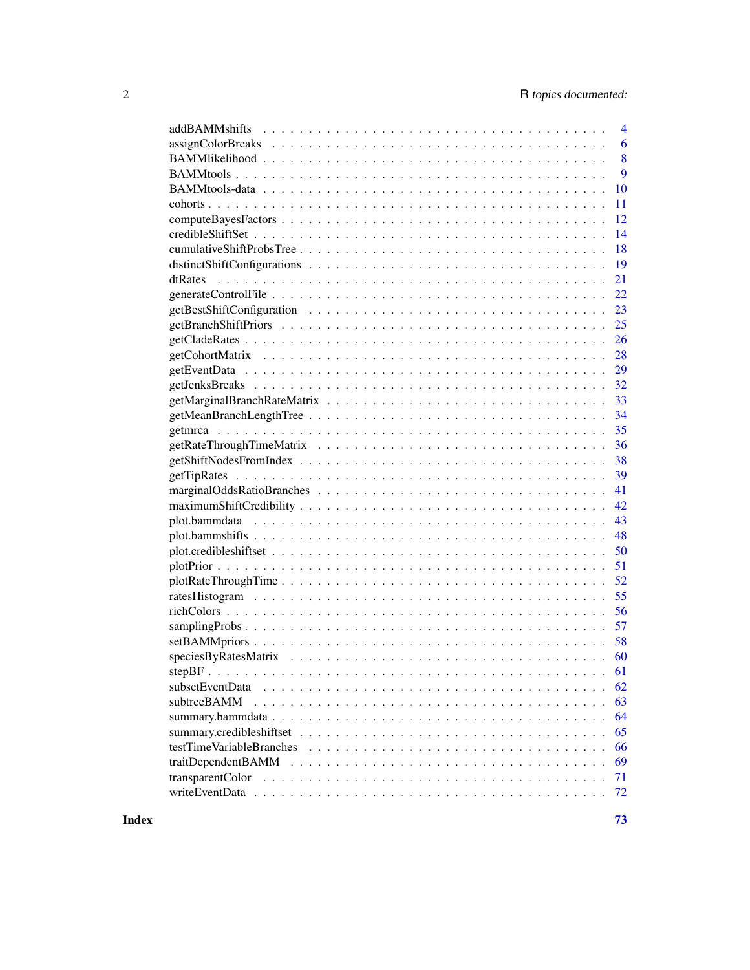| $\overline{4}$           |
|--------------------------|
| 6                        |
| 8                        |
| 9                        |
| 10                       |
| 11                       |
| 12                       |
| 14                       |
| 18                       |
| 19                       |
| 21                       |
| 22                       |
| 23                       |
| 25                       |
| 26                       |
| 28                       |
| 29                       |
| 32                       |
| 33                       |
| 34                       |
| 35                       |
| 36                       |
| 38                       |
| 39                       |
| 41                       |
| 42                       |
| 43                       |
| 48                       |
| 50                       |
| 51                       |
| 52                       |
| 55                       |
| 56                       |
| 57                       |
| 58                       |
| 60                       |
|                          |
| 62                       |
| subtreeBAMM<br>63        |
| 64                       |
| 65                       |
| 66                       |
| traitDependentBAMM<br>69 |
| transparentColor<br>71   |
| 72                       |
|                          |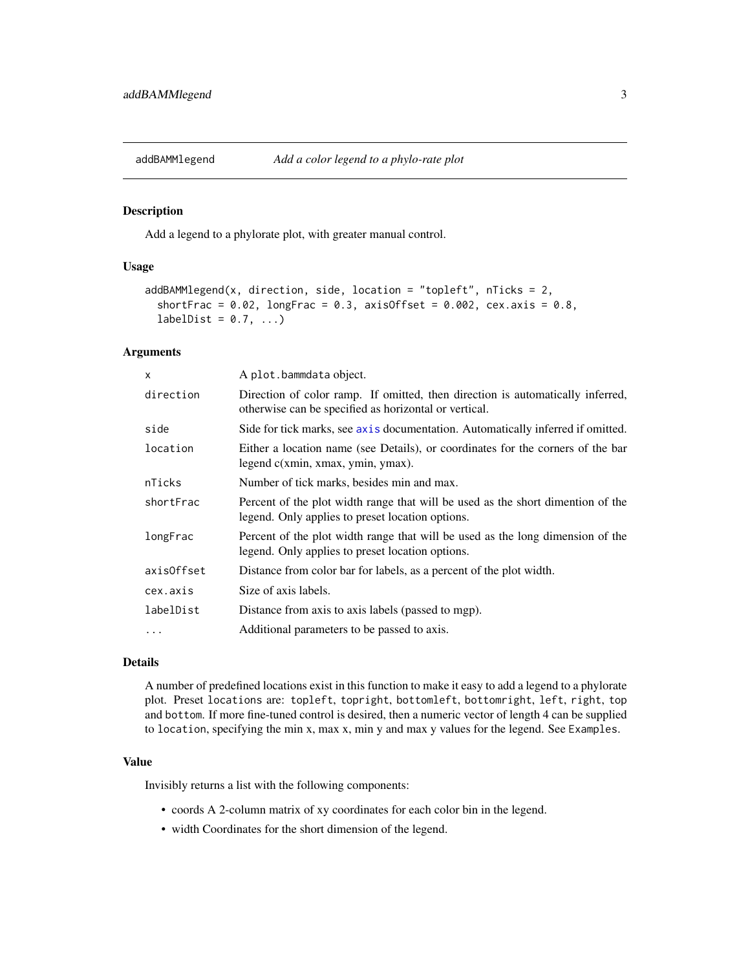<span id="page-2-0"></span>

# Description

Add a legend to a phylorate plot, with greater manual control.

# Usage

```
addBAMMlegend(x, direction, side, location = "topleft", nTicks = 2,shortFrac = 0.02, longFrac = 0.3, axisOffset = 0.002, cex.axis = 0.8,
  labelDist = 0.7, ...
```
# Arguments

| $\mathsf{x}$ | A plot.bammdata object.                                                                                                                 |
|--------------|-----------------------------------------------------------------------------------------------------------------------------------------|
| direction    | Direction of color ramp. If omitted, then direction is automatically inferred,<br>otherwise can be specified as horizontal or vertical. |
| side         | Side for tick marks, see axis documentation. Automatically inferred if omitted.                                                         |
| location     | Either a location name (see Details), or coordinates for the corners of the bar<br>legend c(xmin, xmax, ymin, ymax).                    |
| nTicks       | Number of tick marks, besides min and max.                                                                                              |
| shortFrac    | Percent of the plot width range that will be used as the short dimention of the<br>legend. Only applies to preset location options.     |
| longFrac     | Percent of the plot width range that will be used as the long dimension of the<br>legend. Only applies to preset location options.      |
| axisOffset   | Distance from color bar for labels, as a percent of the plot width.                                                                     |
| cex.axis     | Size of axis labels.                                                                                                                    |
| labelDist    | Distance from axis to axis labels (passed to mgp).                                                                                      |
| $\ddots$     | Additional parameters to be passed to axis.                                                                                             |

### Details

A number of predefined locations exist in this function to make it easy to add a legend to a phylorate plot. Preset locations are: topleft, topright, bottomleft, bottomright, left, right, top and bottom. If more fine-tuned control is desired, then a numeric vector of length 4 can be supplied to location, specifying the min x, max x, min y and max y values for the legend. See Examples.

# Value

Invisibly returns a list with the following components:

- coords A 2-column matrix of xy coordinates for each color bin in the legend.
- width Coordinates for the short dimension of the legend.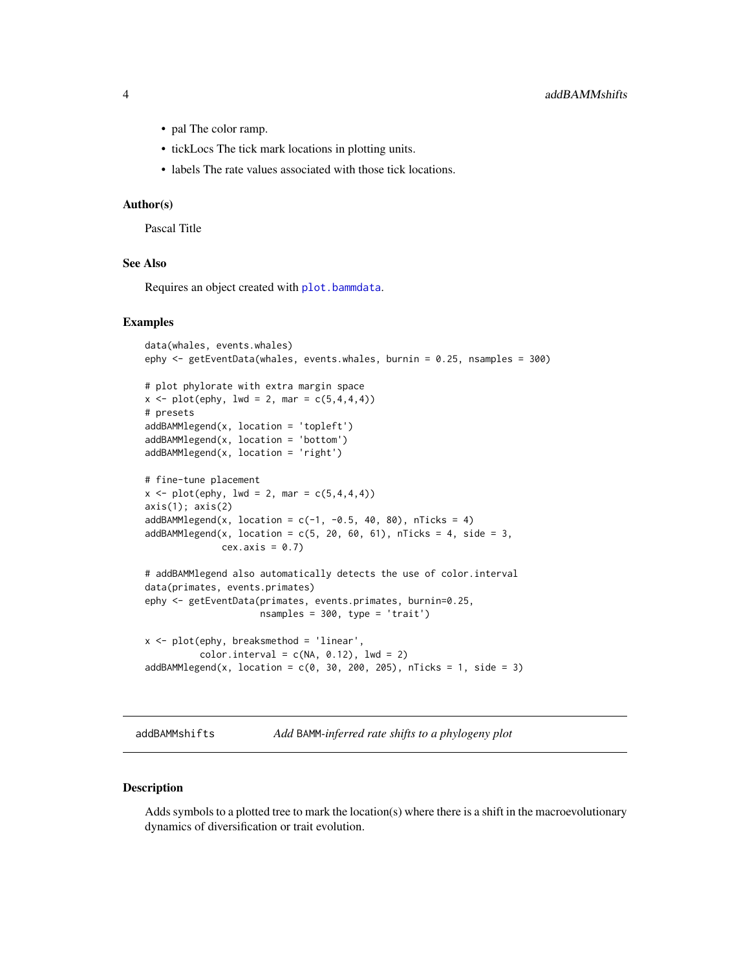- <span id="page-3-0"></span>• pal The color ramp.
- tickLocs The tick mark locations in plotting units.
- labels The rate values associated with those tick locations.

#### Author(s)

Pascal Title

# See Also

Requires an object created with [plot.bammdata](#page-42-1).

# Examples

```
data(whales, events.whales)
ephy <- getEventData(whales, events.whales, burnin = 0.25, nsamples = 300)
# plot phylorate with extra margin space
x \le - plot(ephy, lwd = 2, mar = c(5, 4, 4, 4))
# presets
addBAMMlegend(x, location = 'topleft')
addBAMMlegend(x, location = 'bottom')
addBAMMlegend(x, location = 'right')
# fine-tune placement
x \le - plot(ephy, lwd = 2, mar = c(5, 4, 4, 4))
axis(1); axis(2)addBAMMLegend(x, location = c(-1, -0.5, 40, 80), nTicks = 4)addBAMMLegend(x, location = c(5, 20, 60, 61), nTicks = 4, side = 3,cex. axis = 0.7# addBAMMlegend also automatically detects the use of color.interval
data(primates, events.primates)
ephy <- getEventData(primates, events.primates, burnin=0.25,
                     nsamples = 300, type = 'trait')
x <- plot(ephy, breaksmethod = 'linear',
          color.interval = c(NA, 0.12), lwd = 2)addBAMMlegend(x, location = c(0, 30, 200, 205), nTicks = 1, side = 3)
```
<span id="page-3-1"></span>addBAMMshifts *Add* BAMM*-inferred rate shifts to a phylogeny plot*

### Description

Adds symbols to a plotted tree to mark the location(s) where there is a shift in the macroevolutionary dynamics of diversification or trait evolution.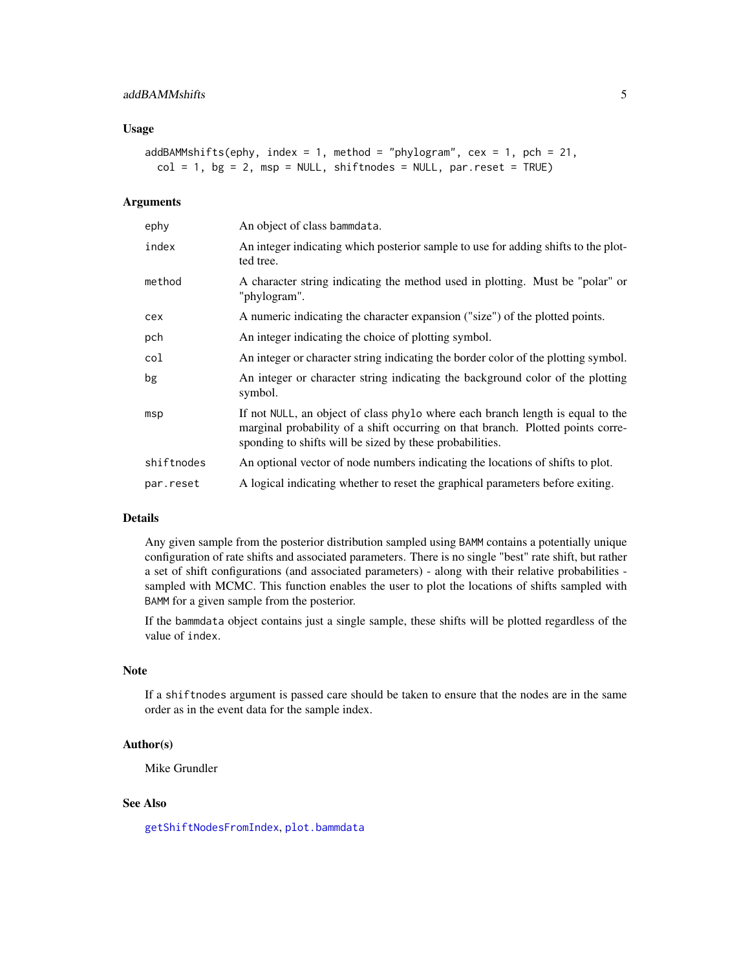# Usage

```
addBAMMshifts(ephy, index = 1, method = "phylogram", cex = 1, pch = 21,
 col = 1, bg = 2, msp = NULL, shiftnodes = NULL, par.reset = TRUE)
```
# Arguments

| ephy       | An object of class bammdata.                                                                                                                                                                                                  |
|------------|-------------------------------------------------------------------------------------------------------------------------------------------------------------------------------------------------------------------------------|
| index      | An integer indicating which posterior sample to use for adding shifts to the plot-<br>ted tree.                                                                                                                               |
| method     | A character string indicating the method used in plotting. Must be "polar" or<br>"phylogram".                                                                                                                                 |
| cex        | A numeric indicating the character expansion ("size") of the plotted points.                                                                                                                                                  |
| pch        | An integer indicating the choice of plotting symbol.                                                                                                                                                                          |
| col        | An integer or character string indicating the border color of the plotting symbol.                                                                                                                                            |
| bg         | An integer or character string indicating the background color of the plotting<br>symbol.                                                                                                                                     |
| msp        | If not NULL, an object of class phylo where each branch length is equal to the<br>marginal probability of a shift occurring on that branch. Plotted points corre-<br>sponding to shifts will be sized by these probabilities. |
| shiftnodes | An optional vector of node numbers indicating the locations of shifts to plot.                                                                                                                                                |
| par.reset  | A logical indicating whether to reset the graphical parameters before exiting.                                                                                                                                                |

# Details

Any given sample from the posterior distribution sampled using BAMM contains a potentially unique configuration of rate shifts and associated parameters. There is no single "best" rate shift, but rather a set of shift configurations (and associated parameters) - along with their relative probabilities sampled with MCMC. This function enables the user to plot the locations of shifts sampled with BAMM for a given sample from the posterior.

If the bammdata object contains just a single sample, these shifts will be plotted regardless of the value of index.

# Note

If a shiftnodes argument is passed care should be taken to ensure that the nodes are in the same order as in the event data for the sample index.

# Author(s)

Mike Grundler

# See Also

[getShiftNodesFromIndex](#page-37-1), [plot.bammdata](#page-42-1)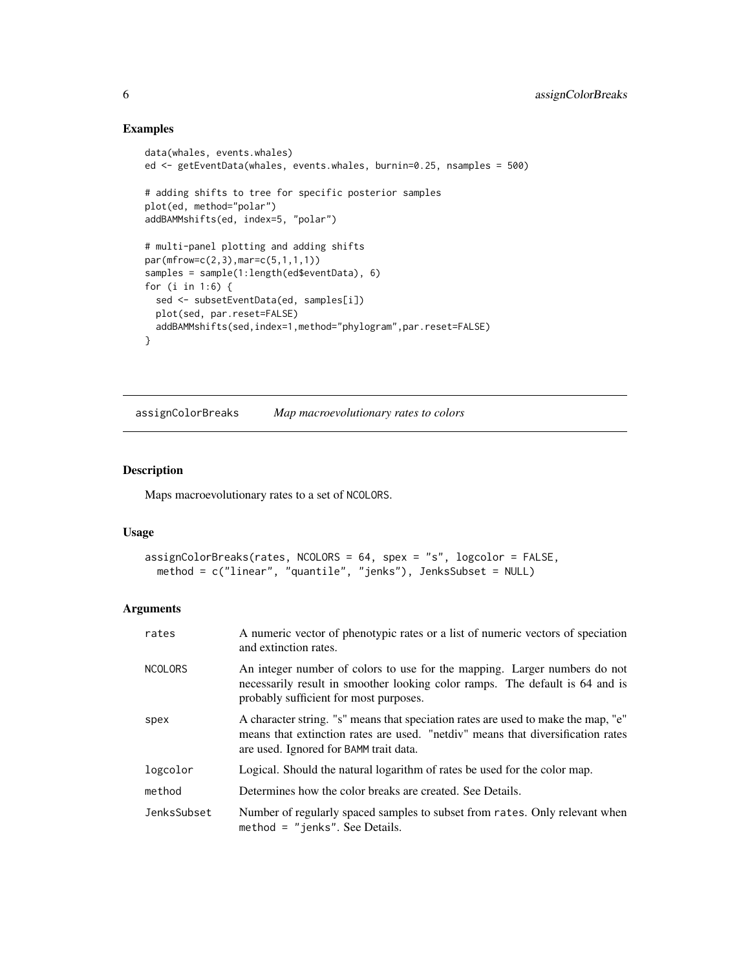# Examples

```
data(whales, events.whales)
ed <- getEventData(whales, events.whales, burnin=0.25, nsamples = 500)
# adding shifts to tree for specific posterior samples
plot(ed, method="polar")
addBAMMshifts(ed, index=5, "polar")
# multi-panel plotting and adding shifts
par(mfrow=c(2,3),mar=c(5,1,1,1))
samples = sample(1:length(ed$eventData), 6)
for (i in 1:6) {
  sed <- subsetEventData(ed, samples[i])
  plot(sed, par.reset=FALSE)
  addBAMMshifts(sed,index=1,method="phylogram",par.reset=FALSE)
}
```
<span id="page-5-1"></span>assignColorBreaks *Map macroevolutionary rates to colors*

# Description

Maps macroevolutionary rates to a set of NCOLORS.

# Usage

```
assignColorBreaks(rates, NCOLORS = 64, spex = "s", logcolor = FALSE,
 method = c("linear", "quantile", "jenks"), JenksSubset = NULL)
```
# Arguments

| rates          | A numeric vector of phenotypic rates or a list of numeric vectors of speciation<br>and extinction rates.                                                                                                       |
|----------------|----------------------------------------------------------------------------------------------------------------------------------------------------------------------------------------------------------------|
| <b>NCOLORS</b> | An integer number of colors to use for the mapping. Larger numbers do not<br>necessarily result in smoother looking color ramps. The default is 64 and is<br>probably sufficient for most purposes.            |
| spex           | A character string. "s" means that speciation rates are used to make the map, "e"<br>means that extinction rates are used. "netdiv" means that diversification rates<br>are used. Ignored for BAMM trait data. |
| logcolor       | Logical. Should the natural logarithm of rates be used for the color map.                                                                                                                                      |
| method         | Determines how the color breaks are created. See Details.                                                                                                                                                      |
| JenksSubset    | Number of regularly spaced samples to subset from rates. Only relevant when<br>method $=$ "jenks". See Details.                                                                                                |

<span id="page-5-0"></span>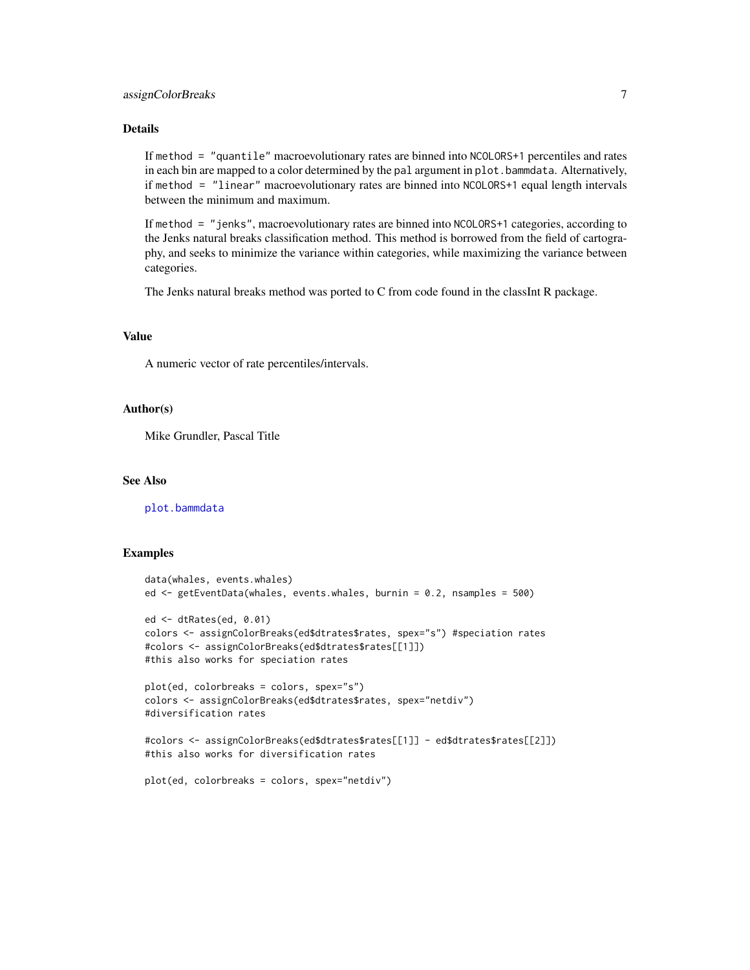# assignColorBreaks 7

# Details

If method = "quantile" macroevolutionary rates are binned into NCOLORS+1 percentiles and rates in each bin are mapped to a color determined by the pal argument in plot. bammdata. Alternatively, if method = "linear" macroevolutionary rates are binned into NCOLORS+1 equal length intervals between the minimum and maximum.

If method = "jenks", macroevolutionary rates are binned into NCOLORS+1 categories, according to the Jenks natural breaks classification method. This method is borrowed from the field of cartography, and seeks to minimize the variance within categories, while maximizing the variance between categories.

The Jenks natural breaks method was ported to C from code found in the classInt R package.

# Value

A numeric vector of rate percentiles/intervals.

# Author(s)

Mike Grundler, Pascal Title

### See Also

[plot.bammdata](#page-42-1)

# Examples

```
data(whales, events.whales)
ed <- getEventData(whales, events.whales, burnin = 0.2, nsamples = 500)
ed <- dtRates(ed, 0.01)
colors <- assignColorBreaks(ed$dtrates$rates, spex="s") #speciation rates
#colors <- assignColorBreaks(ed$dtrates$rates[[1]])
#this also works for speciation rates
plot(ed, colorbreaks = colors, spex="s")
colors <- assignColorBreaks(ed$dtrates$rates, spex="netdiv")
#diversification rates
#colors <- assignColorBreaks(ed$dtrates$rates[[1]] - ed$dtrates$rates[[2]])
#this also works for diversification rates
```

```
plot(ed, colorbreaks = colors, spex="netdiv")
```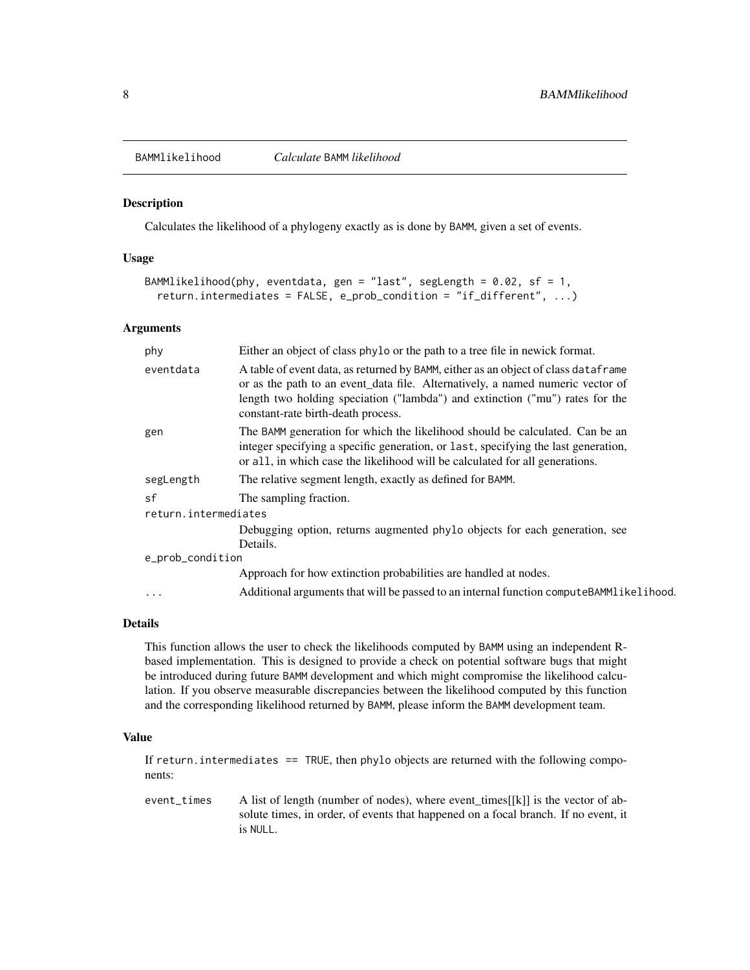<span id="page-7-0"></span>

### Description

Calculates the likelihood of a phylogeny exactly as is done by BAMM, given a set of events.

### Usage

```
BAMMlikelihood(phy, eventdata, gen = "last", segLength = 0.02, sf = 1,
 return.intermediates = FALSE, e_prob_condition = "if_different", ...)
```
# Arguments

| phy                  | Either an object of class phylo or the path to a tree file in newick format.                                                                                                                                                                                                               |  |
|----------------------|--------------------------------------------------------------------------------------------------------------------------------------------------------------------------------------------------------------------------------------------------------------------------------------------|--|
| eventdata            | A table of event data, as returned by BAMM, either as an object of class dataframe<br>or as the path to an event_data file. Alternatively, a named numeric vector of<br>length two holding speciation ("lambda") and extinction ("mu") rates for the<br>constant-rate birth-death process. |  |
| gen                  | The BAMM generation for which the likelihood should be calculated. Can be an<br>integer specifying a specific generation, or last, specifying the last generation,<br>or all, in which case the likelihood will be calculated for all generations.                                         |  |
| segLength            | The relative segment length, exactly as defined for BAMM.                                                                                                                                                                                                                                  |  |
| sf                   | The sampling fraction.                                                                                                                                                                                                                                                                     |  |
| return.intermediates |                                                                                                                                                                                                                                                                                            |  |
|                      | Debugging option, returns augmented phylo objects for each generation, see<br>Details.                                                                                                                                                                                                     |  |
| e_prob_condition     |                                                                                                                                                                                                                                                                                            |  |
|                      | Approach for how extinction probabilities are handled at nodes.                                                                                                                                                                                                                            |  |
| .                    | Additional arguments that will be passed to an internal function computeBAMMlikelihood.                                                                                                                                                                                                    |  |
|                      |                                                                                                                                                                                                                                                                                            |  |

# Details

This function allows the user to check the likelihoods computed by BAMM using an independent Rbased implementation. This is designed to provide a check on potential software bugs that might be introduced during future BAMM development and which might compromise the likelihood calculation. If you observe measurable discrepancies between the likelihood computed by this function and the corresponding likelihood returned by BAMM, please inform the BAMM development team.

### Value

If return. intermediates == TRUE, then phylo objects are returned with the following components:

event\_times A list of length (number of nodes), where event\_times[[k]] is the vector of absolute times, in order, of events that happened on a focal branch. If no event, it is NULL.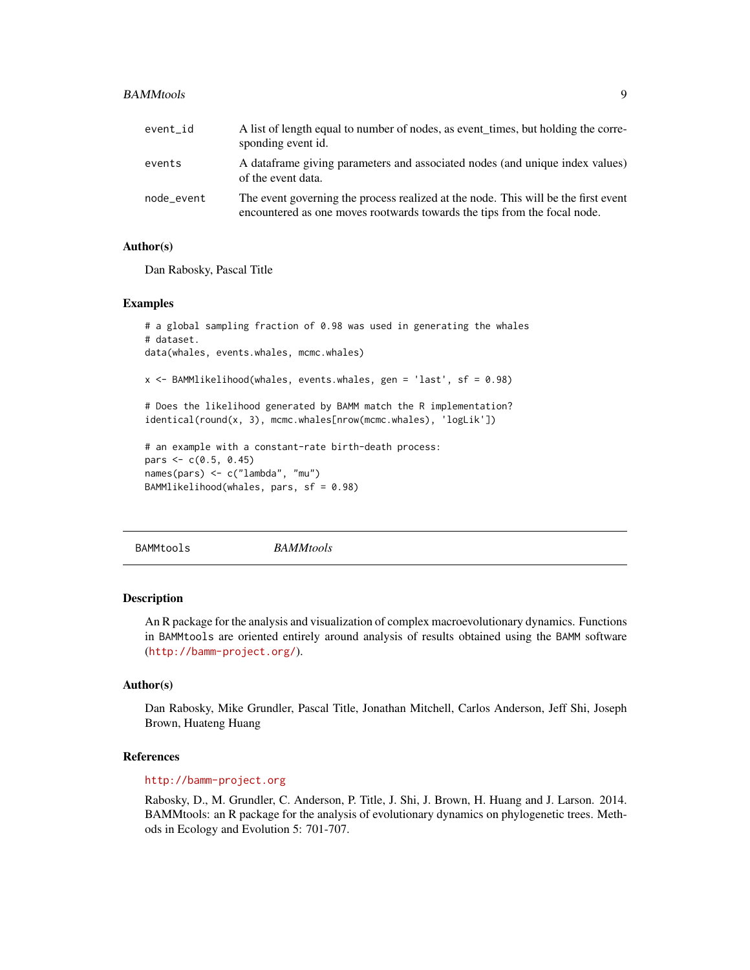### <span id="page-8-0"></span>BAMMtools **9**

| event id   | A list of length equal to number of nodes, as event times, but holding the corre-<br>sponding event id.                                                        |
|------------|----------------------------------------------------------------------------------------------------------------------------------------------------------------|
| events     | A data frame giving parameters and associated nodes (and unique index values)<br>of the event data.                                                            |
| node_event | The event governing the process realized at the node. This will be the first event<br>encountered as one moves rootwards towards the tips from the focal node. |

# Author(s)

Dan Rabosky, Pascal Title

#### Examples

```
# a global sampling fraction of 0.98 was used in generating the whales
# dataset.
data(whales, events.whales, mcmc.whales)
x <- BAMMlikelihood(whales, events.whales, gen = 'last', sf = 0.98)
# Does the likelihood generated by BAMM match the R implementation?
identical(round(x, 3), mcmc.whales[nrow(mcmc.whales), 'logLik'])
# an example with a constant-rate birth-death process:
pars <-c(0.5, 0.45)names(pars) <- c("lambda", "mu")
BAMMlikelihood(whales, pars, sf = 0.98)
```
BAMMtools *BAMMtools*

# Description

An R package for the analysis and visualization of complex macroevolutionary dynamics. Functions in BAMMtools are oriented entirely around analysis of results obtained using the BAMM software (<http://bamm-project.org/>).

# Author(s)

Dan Rabosky, Mike Grundler, Pascal Title, Jonathan Mitchell, Carlos Anderson, Jeff Shi, Joseph Brown, Huateng Huang

### References

# <http://bamm-project.org>

Rabosky, D., M. Grundler, C. Anderson, P. Title, J. Shi, J. Brown, H. Huang and J. Larson. 2014. BAMMtools: an R package for the analysis of evolutionary dynamics on phylogenetic trees. Methods in Ecology and Evolution 5: 701-707.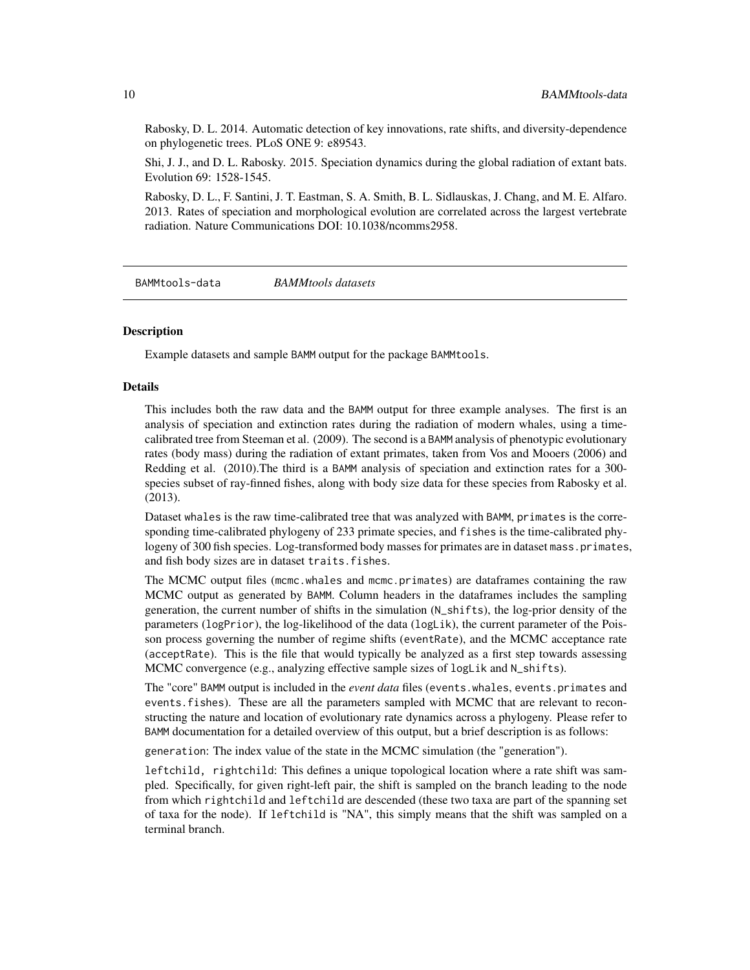Rabosky, D. L. 2014. Automatic detection of key innovations, rate shifts, and diversity-dependence on phylogenetic trees. PLoS ONE 9: e89543.

Shi, J. J., and D. L. Rabosky. 2015. Speciation dynamics during the global radiation of extant bats. Evolution 69: 1528-1545.

Rabosky, D. L., F. Santini, J. T. Eastman, S. A. Smith, B. L. Sidlauskas, J. Chang, and M. E. Alfaro. 2013. Rates of speciation and morphological evolution are correlated across the largest vertebrate radiation. Nature Communications DOI: 10.1038/ncomms2958.

BAMMtools-data *BAMMtools datasets*

# Description

Example datasets and sample BAMM output for the package BAMMtools.

#### Details

This includes both the raw data and the BAMM output for three example analyses. The first is an analysis of speciation and extinction rates during the radiation of modern whales, using a timecalibrated tree from Steeman et al. (2009). The second is a BAMM analysis of phenotypic evolutionary rates (body mass) during the radiation of extant primates, taken from Vos and Mooers (2006) and Redding et al. (2010).The third is a BAMM analysis of speciation and extinction rates for a 300 species subset of ray-finned fishes, along with body size data for these species from Rabosky et al. (2013).

Dataset whales is the raw time-calibrated tree that was analyzed with BAMM, primates is the corresponding time-calibrated phylogeny of 233 primate species, and fishes is the time-calibrated phylogeny of 300 fish species. Log-transformed body masses for primates are in dataset mass.primates, and fish body sizes are in dataset traits.fishes.

The MCMC output files (mcmc.whales and mcmc.primates) are dataframes containing the raw MCMC output as generated by BAMM. Column headers in the dataframes includes the sampling generation, the current number of shifts in the simulation (N\_shifts), the log-prior density of the parameters (logPrior), the log-likelihood of the data (logLik), the current parameter of the Poisson process governing the number of regime shifts (eventRate), and the MCMC acceptance rate (acceptRate). This is the file that would typically be analyzed as a first step towards assessing MCMC convergence (e.g., analyzing effective sample sizes of logLik and N\_shifts).

The "core" BAMM output is included in the *event data* files (events.whales, events.primates and events.fishes). These are all the parameters sampled with MCMC that are relevant to reconstructing the nature and location of evolutionary rate dynamics across a phylogeny. Please refer to BAMM documentation for a detailed overview of this output, but a brief description is as follows:

generation: The index value of the state in the MCMC simulation (the "generation").

leftchild, rightchild: This defines a unique topological location where a rate shift was sampled. Specifically, for given right-left pair, the shift is sampled on the branch leading to the node from which rightchild and leftchild are descended (these two taxa are part of the spanning set of taxa for the node). If leftchild is "NA", this simply means that the shift was sampled on a terminal branch.

<span id="page-9-0"></span>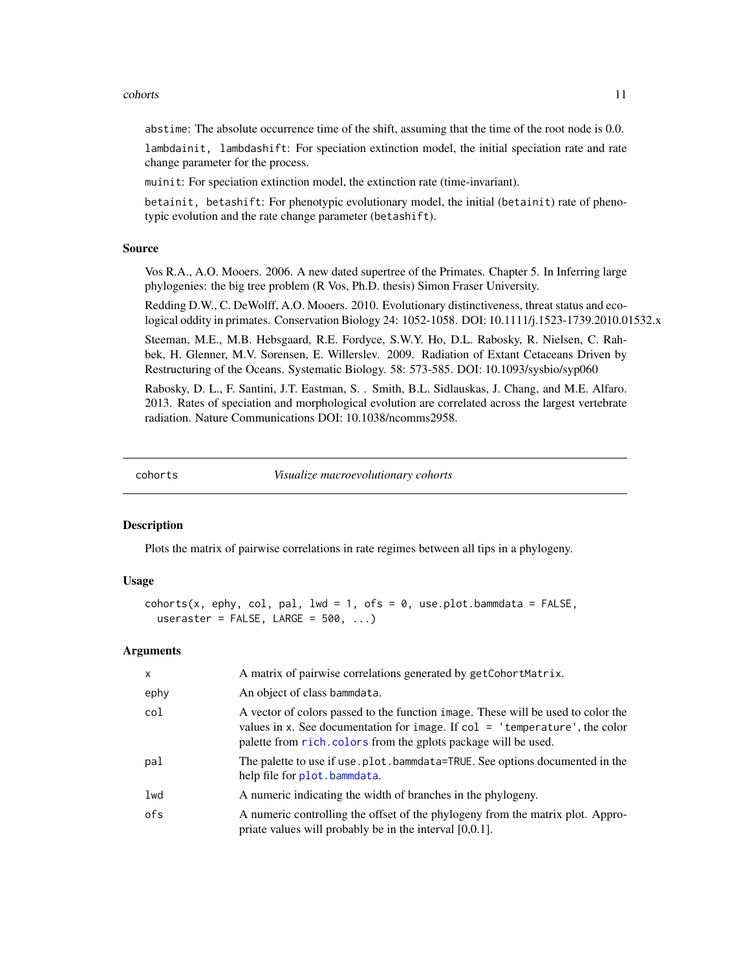### <span id="page-10-0"></span>cohorts and the cohorts of the cohorts of the cohorts of the cohorts of the cohorts of the cohorts of the cohorts of the cohorts of the cohorts of the cohorts of the cohorts of the cohorts of the cohorts of the cohorts of

abstime: The absolute occurrence time of the shift, assuming that the time of the root node is 0.0.

lambdainit, lambdashift: For speciation extinction model, the initial speciation rate and rate change parameter for the process.

muinit: For speciation extinction model, the extinction rate (time-invariant).

betainit, betashift: For phenotypic evolutionary model, the initial (betainit) rate of phenotypic evolution and the rate change parameter (betashift).

### Source

Vos R.A., A.O. Mooers. 2006. A new dated supertree of the Primates. Chapter 5. In Inferring large phylogenies: the big tree problem (R Vos, Ph.D. thesis) Simon Fraser University.

Redding D.W., C. DeWolff, A.O. Mooers. 2010. Evolutionary distinctiveness, threat status and ecological oddity in primates. Conservation Biology 24: 1052-1058. DOI: 10.1111/j.1523-1739.2010.01532.x

Steeman, M.E., M.B. Hebsgaard, R.E. Fordyce, S.W.Y. Ho, D.L. Rabosky, R. Nielsen, C. Rahbek, H. Glenner, M.V. Sorensen, E. Willerslev. 2009. Radiation of Extant Cetaceans Driven by Restructuring of the Oceans. Systematic Biology. 58: 573-585. DOI: 10.1093/sysbio/syp060

Rabosky, D. L., F. Santini, J.T. Eastman, S. . Smith, B.L. Sidlauskas, J. Chang, and M.E. Alfaro. 2013. Rates of speciation and morphological evolution are correlated across the largest vertebrate radiation. Nature Communications DOI: 10.1038/ncomms2958.

cohorts *Visualize macroevolutionary cohorts*

# Description

Plots the matrix of pairwise correlations in rate regimes between all tips in a phylogeny.

# Usage

```
cohorts(x, ephy, col, pal, lwd = 1, ofs = 0, use.plot.bammdata = FALSE,
  useraster = FALSE, LARGE = 500, ...
```
#### Arguments

| $\mathsf{x}$ | A matrix of pairwise correlations generated by getCohortMatrix.                                                                                                                                                                      |
|--------------|--------------------------------------------------------------------------------------------------------------------------------------------------------------------------------------------------------------------------------------|
| ephy         | An object of class bammdata.                                                                                                                                                                                                         |
| col          | A vector of colors passed to the function image. These will be used to color the<br>values in x. See documentation for image. If $col = 'temperature',$ the color<br>palette from rich. colors from the gplots package will be used. |
| pal          | The palette to use if use plot. bammdata=TRUE. See options documented in the<br>help file for plot.bammdata.                                                                                                                         |
| lwd          | A numeric indicating the width of branches in the phylogeny.                                                                                                                                                                         |
| ofs          | A numeric controlling the offset of the phylogeny from the matrix plot. Appro-<br>priate values will probably be in the interval $[0,0.1]$ .                                                                                         |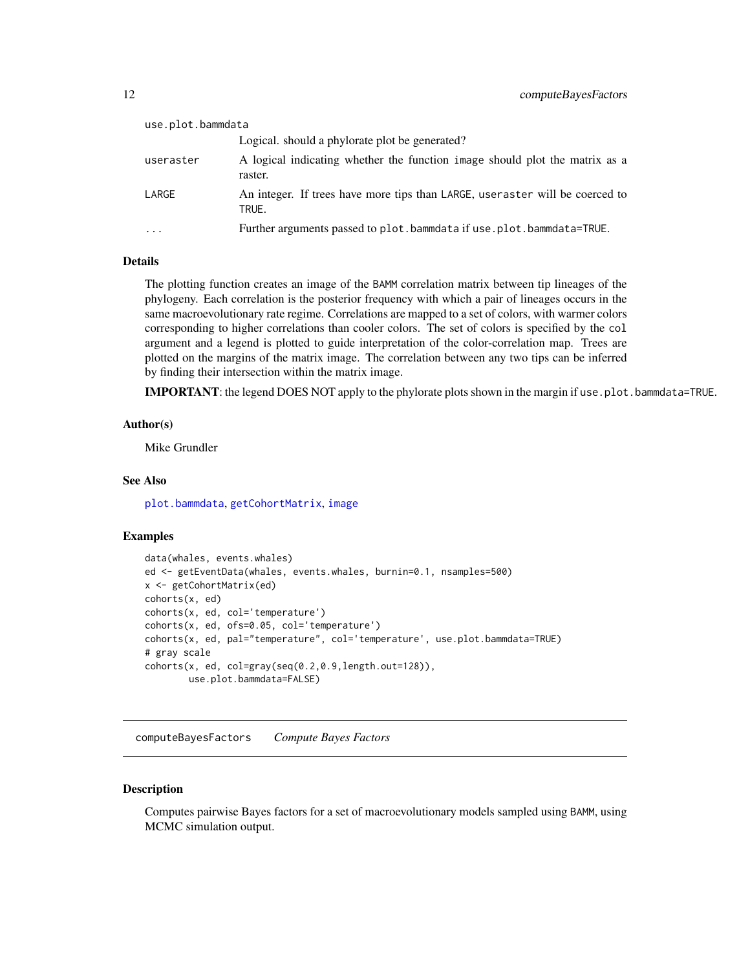<span id="page-11-0"></span>

| use.plot.bammdata       |                                                                                        |  |
|-------------------------|----------------------------------------------------------------------------------------|--|
|                         | Logical. should a phylorate plot be generated?                                         |  |
| useraster               | A logical indicating whether the function image should plot the matrix as a<br>raster. |  |
| LARGE                   | An integer. If trees have more tips than LARGE, user aster will be coerced to<br>TRUE. |  |
| $\cdot$ $\cdot$ $\cdot$ | Further arguments passed to plot.bammdata if use.plot.bammdata=TRUE.                   |  |

#### Details

The plotting function creates an image of the BAMM correlation matrix between tip lineages of the phylogeny. Each correlation is the posterior frequency with which a pair of lineages occurs in the same macroevolutionary rate regime. Correlations are mapped to a set of colors, with warmer colors corresponding to higher correlations than cooler colors. The set of colors is specified by the col argument and a legend is plotted to guide interpretation of the color-correlation map. Trees are plotted on the margins of the matrix image. The correlation between any two tips can be inferred by finding their intersection within the matrix image.

IMPORTANT: the legend DOES NOT apply to the phylorate plots shown in the margin if use.plot.bammdata=TRUE.

# Author(s)

Mike Grundler

# See Also

[plot.bammdata](#page-42-1), [getCohortMatrix](#page-27-1), [image](#page-0-0)

# Examples

```
data(whales, events.whales)
ed <- getEventData(whales, events.whales, burnin=0.1, nsamples=500)
x <- getCohortMatrix(ed)
cohorts(x, ed)
cohorts(x, ed, col='temperature')
cohorts(x, ed, ofs=0.05, col='temperature')
cohorts(x, ed, pal="temperature", col='temperature', use.plot.bammdata=TRUE)
# gray scale
cohorts(x, ed, col=gray(seq(0.2,0.9,length.out=128)),
       use.plot.bammdata=FALSE)
```
computeBayesFactors *Compute Bayes Factors*

### Description

Computes pairwise Bayes factors for a set of macroevolutionary models sampled using BAMM, using MCMC simulation output.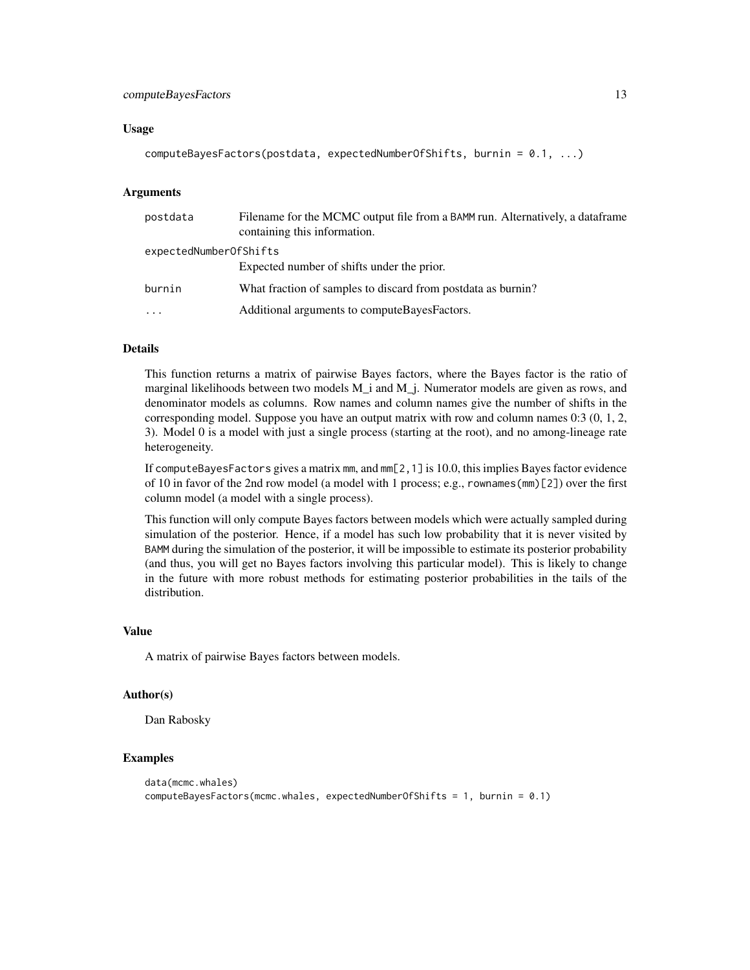# computeBayesFactors 13

### Usage

```
computeBayesFactors(postdata, expectedNumberOfShifts, burnin = 0.1, ...)
```
# Arguments

| postdata               | Filename for the MCMC output file from a BAMM run. Alternatively, a dataframe<br>containing this information. |
|------------------------|---------------------------------------------------------------------------------------------------------------|
| expectedNumberOfShifts |                                                                                                               |
|                        | Expected number of shifts under the prior.                                                                    |
| burnin                 | What fraction of samples to discard from postdata as burnin?                                                  |
| $\cdots$               | Additional arguments to compute Bayes Factors.                                                                |

### Details

This function returns a matrix of pairwise Bayes factors, where the Bayes factor is the ratio of marginal likelihoods between two models M\_i and M\_j. Numerator models are given as rows, and denominator models as columns. Row names and column names give the number of shifts in the corresponding model. Suppose you have an output matrix with row and column names 0:3 (0, 1, 2, 3). Model 0 is a model with just a single process (starting at the root), and no among-lineage rate heterogeneity.

If computeBayesFactors gives a matrix mm, and mm[2,1] is 10.0, this implies Bayes factor evidence of 10 in favor of the 2nd row model (a model with 1 process; e.g., rownames(mm)[2]) over the first column model (a model with a single process).

This function will only compute Bayes factors between models which were actually sampled during simulation of the posterior. Hence, if a model has such low probability that it is never visited by BAMM during the simulation of the posterior, it will be impossible to estimate its posterior probability (and thus, you will get no Bayes factors involving this particular model). This is likely to change in the future with more robust methods for estimating posterior probabilities in the tails of the distribution.

#### Value

A matrix of pairwise Bayes factors between models.

### Author(s)

Dan Rabosky

# Examples

```
data(mcmc.whales)
computeBayesFactors(mcmc.whales, expectedNumberOfShifts = 1, burnin = 0.1)
```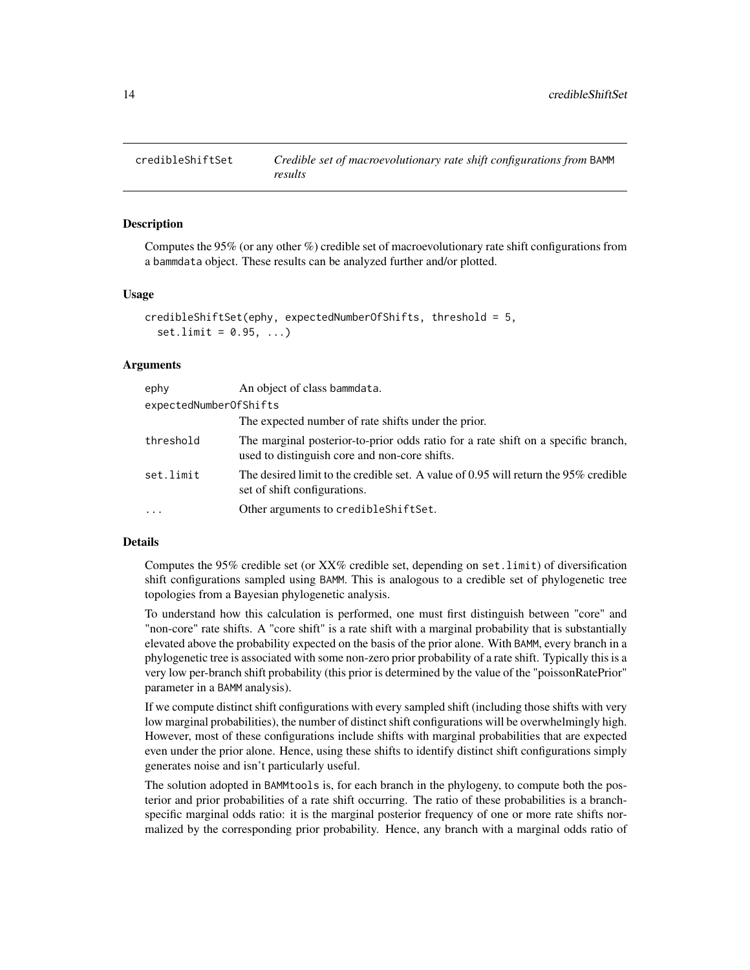<span id="page-13-1"></span><span id="page-13-0"></span>

### **Description**

Computes the 95% (or any other %) credible set of macroevolutionary rate shift configurations from a bammdata object. These results can be analyzed further and/or plotted.

#### Usage

```
credibleShiftSet(ephy, expectedNumberOfShifts, threshold = 5,
  set .limit = <math>0.95, ...
```
# Arguments

| ephy                   | An object of class bammdata.                                                                                                       |
|------------------------|------------------------------------------------------------------------------------------------------------------------------------|
| expectedNumberOfShifts |                                                                                                                                    |
|                        | The expected number of rate shifts under the prior.                                                                                |
| threshold              | The marginal posterior-to-prior odds ratio for a rate shift on a specific branch,<br>used to distinguish core and non-core shifts. |
| set.limit              | The desired limit to the credible set. A value of 0.95 will return the $95\%$ credible<br>set of shift configurations.             |
| $\cdots$               | Other arguments to credibleShiftSet.                                                                                               |

### Details

Computes the 95% credible set (or XX% credible set, depending on set.limit) of diversification shift configurations sampled using BAMM. This is analogous to a credible set of phylogenetic tree topologies from a Bayesian phylogenetic analysis.

To understand how this calculation is performed, one must first distinguish between "core" and "non-core" rate shifts. A "core shift" is a rate shift with a marginal probability that is substantially elevated above the probability expected on the basis of the prior alone. With BAMM, every branch in a phylogenetic tree is associated with some non-zero prior probability of a rate shift. Typically this is a very low per-branch shift probability (this prior is determined by the value of the "poissonRatePrior" parameter in a BAMM analysis).

If we compute distinct shift configurations with every sampled shift (including those shifts with very low marginal probabilities), the number of distinct shift configurations will be overwhelmingly high. However, most of these configurations include shifts with marginal probabilities that are expected even under the prior alone. Hence, using these shifts to identify distinct shift configurations simply generates noise and isn't particularly useful.

The solution adopted in BAMMtools is, for each branch in the phylogeny, to compute both the posterior and prior probabilities of a rate shift occurring. The ratio of these probabilities is a branchspecific marginal odds ratio: it is the marginal posterior frequency of one or more rate shifts normalized by the corresponding prior probability. Hence, any branch with a marginal odds ratio of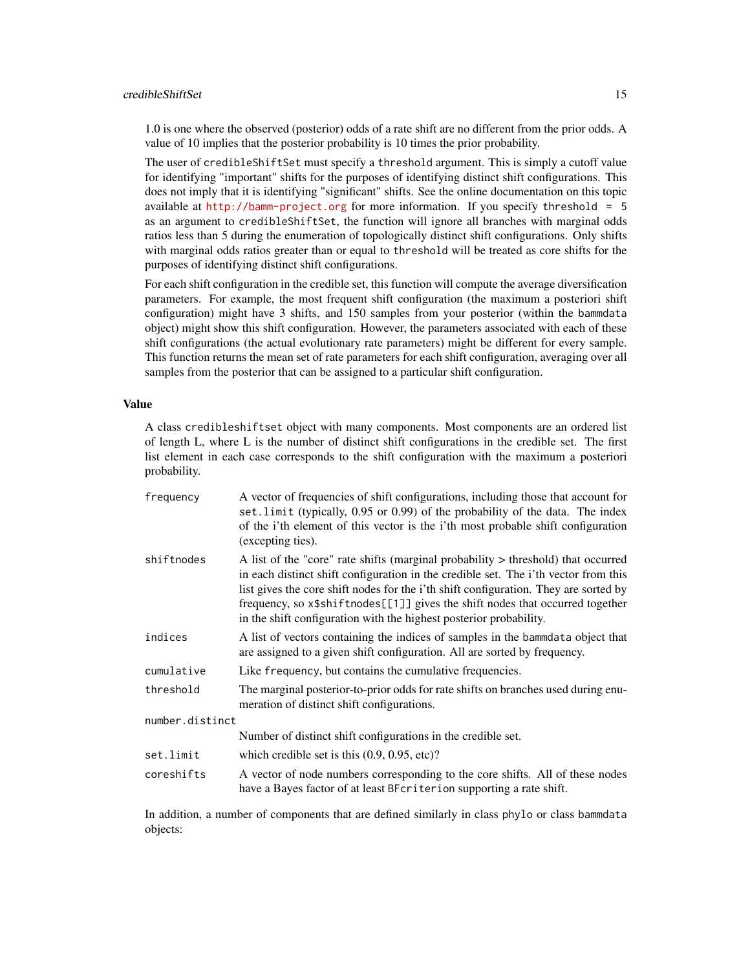# credibleShiftSet 15

1.0 is one where the observed (posterior) odds of a rate shift are no different from the prior odds. A value of 10 implies that the posterior probability is 10 times the prior probability.

The user of credibleShiftSet must specify a threshold argument. This is simply a cutoff value for identifying "important" shifts for the purposes of identifying distinct shift configurations. This does not imply that it is identifying "significant" shifts. See the online documentation on this topic available at  $http://bamm-project.org$  for more information. If you specify threshold = 5 as an argument to credibleShiftSet, the function will ignore all branches with marginal odds ratios less than 5 during the enumeration of topologically distinct shift configurations. Only shifts with marginal odds ratios greater than or equal to threshold will be treated as core shifts for the purposes of identifying distinct shift configurations.

For each shift configuration in the credible set, this function will compute the average diversification parameters. For example, the most frequent shift configuration (the maximum a posteriori shift configuration) might have 3 shifts, and 150 samples from your posterior (within the bammdata object) might show this shift configuration. However, the parameters associated with each of these shift configurations (the actual evolutionary rate parameters) might be different for every sample. This function returns the mean set of rate parameters for each shift configuration, averaging over all samples from the posterior that can be assigned to a particular shift configuration.

# Value

A class credibleshiftset object with many components. Most components are an ordered list of length L, where L is the number of distinct shift configurations in the credible set. The first list element in each case corresponds to the shift configuration with the maximum a posteriori probability.

| frequency       | A vector of frequencies of shift configurations, including those that account for<br>set. limit (typically, 0.95 or 0.99) of the probability of the data. The index<br>of the i'th element of this vector is the i'th most probable shift configuration<br>(excepting ties).                                                                                                                                            |  |
|-----------------|-------------------------------------------------------------------------------------------------------------------------------------------------------------------------------------------------------------------------------------------------------------------------------------------------------------------------------------------------------------------------------------------------------------------------|--|
| shiftnodes      | A list of the "core" rate shifts (marginal probability > threshold) that occurred<br>in each distinct shift configuration in the credible set. The i'th vector from this<br>list gives the core shift nodes for the i'th shift configuration. They are sorted by<br>frequency, so x\$shiftnodes[[1]] gives the shift nodes that occurred together<br>in the shift configuration with the highest posterior probability. |  |
| indices         | A list of vectors containing the indices of samples in the bammedata object that<br>are assigned to a given shift configuration. All are sorted by frequency.                                                                                                                                                                                                                                                           |  |
| cumulative      | Like frequency, but contains the cumulative frequencies.                                                                                                                                                                                                                                                                                                                                                                |  |
| threshold       | The marginal posterior-to-prior odds for rate shifts on branches used during enu-<br>meration of distinct shift configurations.                                                                                                                                                                                                                                                                                         |  |
| number.distinct |                                                                                                                                                                                                                                                                                                                                                                                                                         |  |
|                 | Number of distinct shift configurations in the credible set.                                                                                                                                                                                                                                                                                                                                                            |  |
| set.limit       | which credible set is this $(0.9, 0.95, \text{etc})$ ?                                                                                                                                                                                                                                                                                                                                                                  |  |
| coreshifts      | A vector of node numbers corresponding to the core shifts. All of these nodes<br>have a Bayes factor of at least BFcriterion supporting a rate shift.                                                                                                                                                                                                                                                                   |  |

In addition, a number of components that are defined similarly in class phylo or class bammdata objects: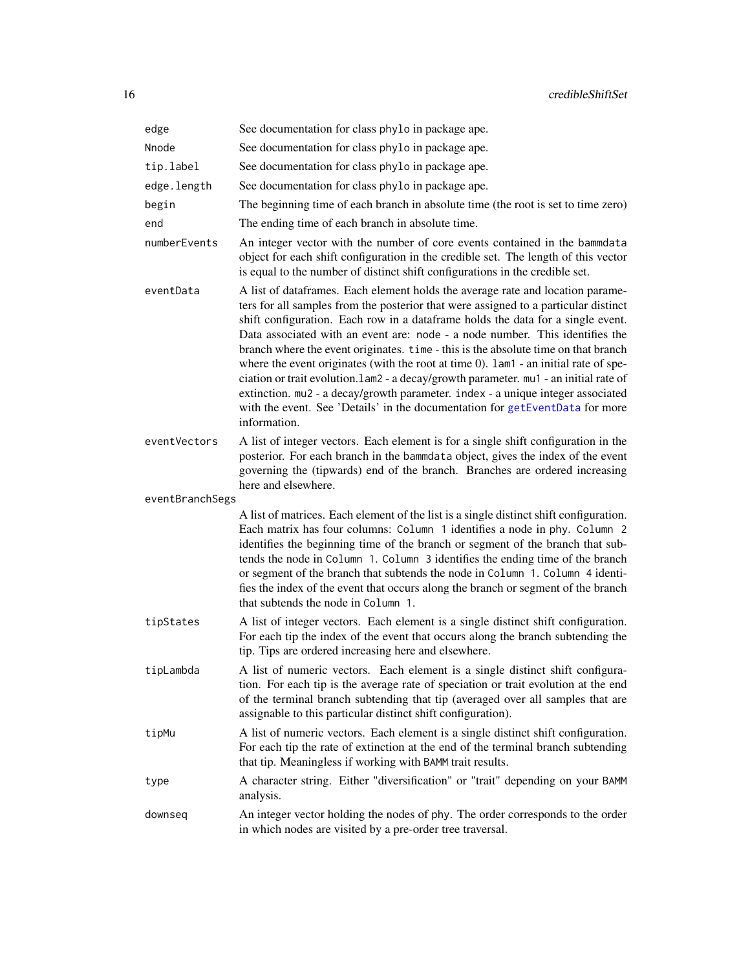| edge            | See documentation for class phylo in package ape.                                                                                                                                                                                                                                                                                                                                                                                                                                                                                                                                                                                                                                                                                                                                                          |
|-----------------|------------------------------------------------------------------------------------------------------------------------------------------------------------------------------------------------------------------------------------------------------------------------------------------------------------------------------------------------------------------------------------------------------------------------------------------------------------------------------------------------------------------------------------------------------------------------------------------------------------------------------------------------------------------------------------------------------------------------------------------------------------------------------------------------------------|
| Nnode           | See documentation for class phylo in package ape.                                                                                                                                                                                                                                                                                                                                                                                                                                                                                                                                                                                                                                                                                                                                                          |
| tip.label       | See documentation for class phylo in package ape.                                                                                                                                                                                                                                                                                                                                                                                                                                                                                                                                                                                                                                                                                                                                                          |
| edge.length     | See documentation for class phylo in package ape.                                                                                                                                                                                                                                                                                                                                                                                                                                                                                                                                                                                                                                                                                                                                                          |
| begin           | The beginning time of each branch in absolute time (the root is set to time zero)                                                                                                                                                                                                                                                                                                                                                                                                                                                                                                                                                                                                                                                                                                                          |
| end             | The ending time of each branch in absolute time.                                                                                                                                                                                                                                                                                                                                                                                                                                                                                                                                                                                                                                                                                                                                                           |
| numberEvents    | An integer vector with the number of core events contained in the bammdata<br>object for each shift configuration in the credible set. The length of this vector<br>is equal to the number of distinct shift configurations in the credible set.                                                                                                                                                                                                                                                                                                                                                                                                                                                                                                                                                           |
| eventData       | A list of dataframes. Each element holds the average rate and location parame-<br>ters for all samples from the posterior that were assigned to a particular distinct<br>shift configuration. Each row in a dataframe holds the data for a single event.<br>Data associated with an event are: node - a node number. This identifies the<br>branch where the event originates. time - this is the absolute time on that branch<br>where the event originates (with the root at time $0$ ). $1$ am $1$ - an initial rate of spe-<br>ciation or trait evolution.lam2 - a decay/growth parameter. mu1 - an initial rate of<br>extinction. mu2 - a decay/growth parameter. index - a unique integer associated<br>with the event. See 'Details' in the documentation for getEventData for more<br>information. |
| eventVectors    | A list of integer vectors. Each element is for a single shift configuration in the<br>posterior. For each branch in the bammdata object, gives the index of the event<br>governing the (tipwards) end of the branch. Branches are ordered increasing<br>here and elsewhere.                                                                                                                                                                                                                                                                                                                                                                                                                                                                                                                                |
| eventBranchSegs |                                                                                                                                                                                                                                                                                                                                                                                                                                                                                                                                                                                                                                                                                                                                                                                                            |
|                 | A list of matrices. Each element of the list is a single distinct shift configuration.<br>Each matrix has four columns: Column 1 identifies a node in phy. Column 2<br>identifies the beginning time of the branch or segment of the branch that sub-<br>tends the node in Column 1. Column 3 identifies the ending time of the branch<br>or segment of the branch that subtends the node in Column 1. Column 4 identi-<br>fies the index of the event that occurs along the branch or segment of the branch<br>that subtends the node in Column 1.                                                                                                                                                                                                                                                        |
| tipStates       | A list of integer vectors. Each element is a single distinct shift configuration.<br>For each tip the index of the event that occurs along the branch subtending the<br>tip. Tips are ordered increasing here and elsewhere.                                                                                                                                                                                                                                                                                                                                                                                                                                                                                                                                                                               |
| tipLambda       | A list of numeric vectors. Each element is a single distinct shift configura-<br>tion. For each tip is the average rate of speciation or trait evolution at the end<br>of the terminal branch subtending that tip (averaged over all samples that are<br>assignable to this particular distinct shift configuration).                                                                                                                                                                                                                                                                                                                                                                                                                                                                                      |
| tipMu           | A list of numeric vectors. Each element is a single distinct shift configuration.<br>For each tip the rate of extinction at the end of the terminal branch subtending<br>that tip. Meaningless if working with BAMM trait results.                                                                                                                                                                                                                                                                                                                                                                                                                                                                                                                                                                         |
| type            | A character string. Either "diversification" or "trait" depending on your BAMM<br>analysis.                                                                                                                                                                                                                                                                                                                                                                                                                                                                                                                                                                                                                                                                                                                |
| downseq         | An integer vector holding the nodes of phy. The order corresponds to the order<br>in which nodes are visited by a pre-order tree traversal.                                                                                                                                                                                                                                                                                                                                                                                                                                                                                                                                                                                                                                                                |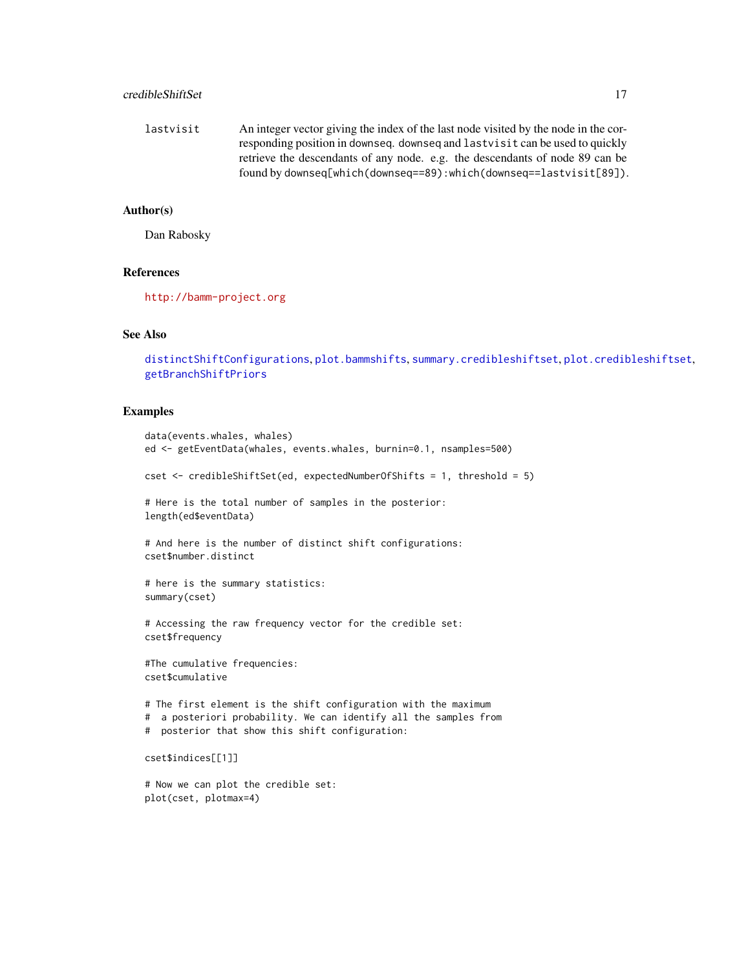# credibleShiftSet 17

lastvisit An integer vector giving the index of the last node visited by the node in the corresponding position in downseq. downseq and lastvisit can be used to quickly retrieve the descendants of any node. e.g. the descendants of node 89 can be found by downseq[which(downseq==89):which(downseq==lastvisit[89]).

# Author(s)

Dan Rabosky

# References

<http://bamm-project.org>

# See Also

[distinctShiftConfigurations](#page-18-1), [plot.bammshifts](#page-47-1), [summary.credibleshiftset](#page-64-1), [plot.credibleshiftset](#page-49-1), [getBranchShiftPriors](#page-24-1)

# Examples

```
data(events.whales, whales)
ed <- getEventData(whales, events.whales, burnin=0.1, nsamples=500)
cset <- credibleShiftSet(ed, expectedNumberOfShifts = 1, threshold = 5)
# Here is the total number of samples in the posterior:
length(ed$eventData)
# And here is the number of distinct shift configurations:
cset$number.distinct
# here is the summary statistics:
summary(cset)
# Accessing the raw frequency vector for the credible set:
cset$frequency
#The cumulative frequencies:
cset$cumulative
# The first element is the shift configuration with the maximum
# a posteriori probability. We can identify all the samples from
# posterior that show this shift configuration:
cset$indices[[1]]
# Now we can plot the credible set:
plot(cset, plotmax=4)
```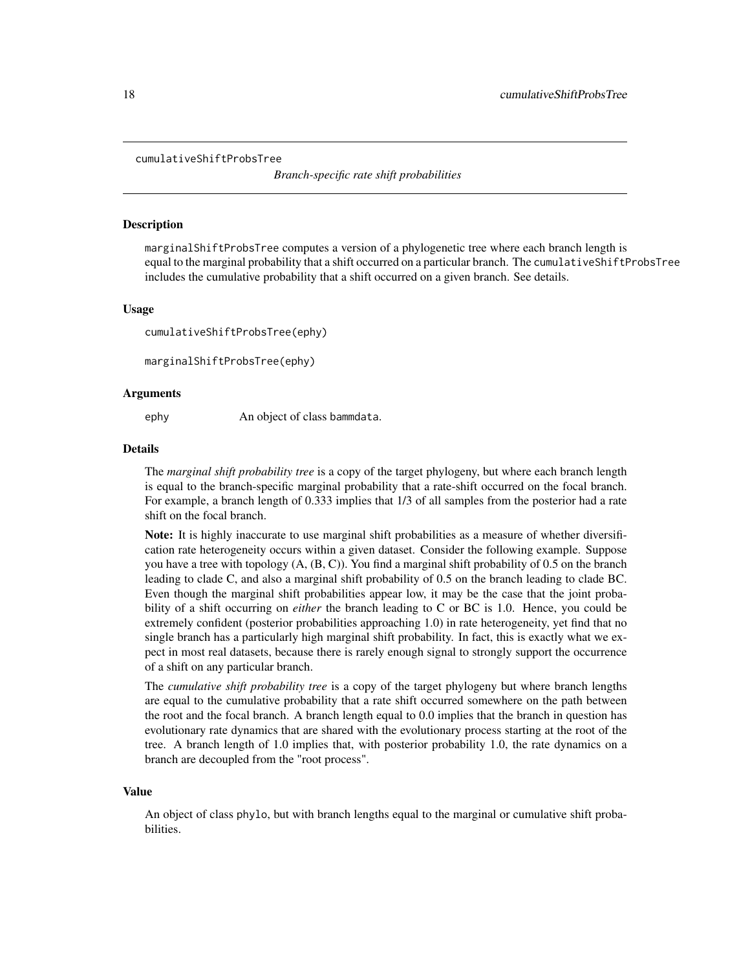#### <span id="page-17-0"></span>cumulativeShiftProbsTree

*Branch-specific rate shift probabilities*

### **Description**

marginalShiftProbsTree computes a version of a phylogenetic tree where each branch length is equal to the marginal probability that a shift occurred on a particular branch. The cumulativeShiftProbsTree includes the cumulative probability that a shift occurred on a given branch. See details.

### Usage

cumulativeShiftProbsTree(ephy)

marginalShiftProbsTree(ephy)

#### Arguments

ephy An object of class bammdata.

#### Details

The *marginal shift probability tree* is a copy of the target phylogeny, but where each branch length is equal to the branch-specific marginal probability that a rate-shift occurred on the focal branch. For example, a branch length of 0.333 implies that 1/3 of all samples from the posterior had a rate shift on the focal branch.

Note: It is highly inaccurate to use marginal shift probabilities as a measure of whether diversification rate heterogeneity occurs within a given dataset. Consider the following example. Suppose you have a tree with topology (A, (B, C)). You find a marginal shift probability of 0.5 on the branch leading to clade C, and also a marginal shift probability of 0.5 on the branch leading to clade BC. Even though the marginal shift probabilities appear low, it may be the case that the joint probability of a shift occurring on *either* the branch leading to C or BC is 1.0. Hence, you could be extremely confident (posterior probabilities approaching 1.0) in rate heterogeneity, yet find that no single branch has a particularly high marginal shift probability. In fact, this is exactly what we expect in most real datasets, because there is rarely enough signal to strongly support the occurrence of a shift on any particular branch.

The *cumulative shift probability tree* is a copy of the target phylogeny but where branch lengths are equal to the cumulative probability that a rate shift occurred somewhere on the path between the root and the focal branch. A branch length equal to 0.0 implies that the branch in question has evolutionary rate dynamics that are shared with the evolutionary process starting at the root of the tree. A branch length of 1.0 implies that, with posterior probability 1.0, the rate dynamics on a branch are decoupled from the "root process".

#### Value

An object of class phylo, but with branch lengths equal to the marginal or cumulative shift probabilities.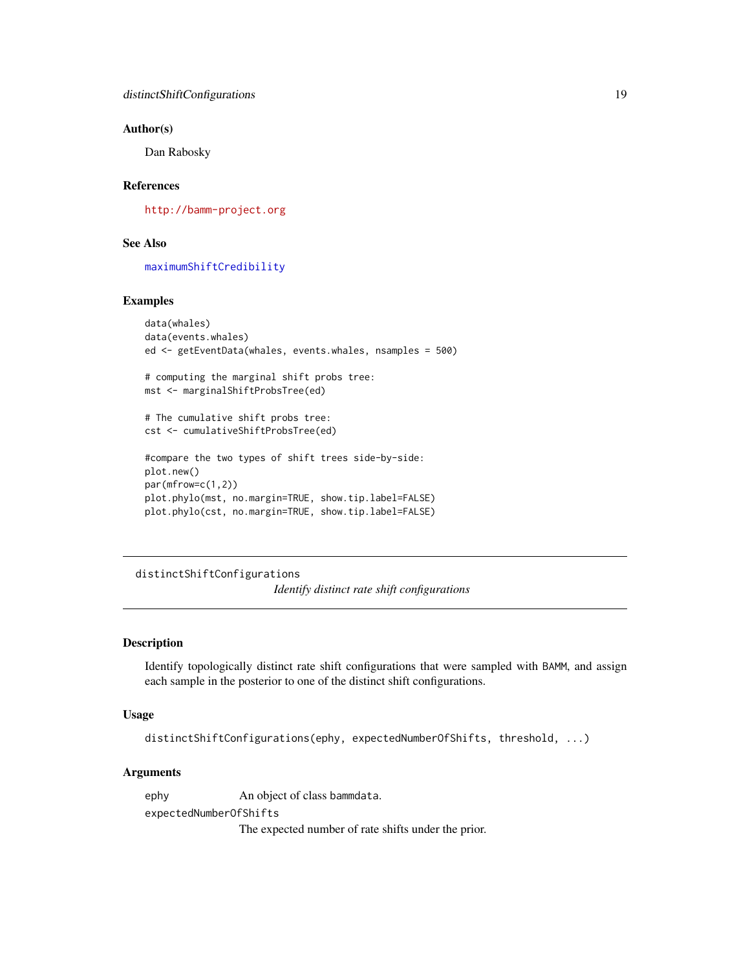# <span id="page-18-0"></span>Author(s)

Dan Rabosky

# References

<http://bamm-project.org>

# See Also

[maximumShiftCredibility](#page-41-1)

# Examples

```
data(whales)
data(events.whales)
ed <- getEventData(whales, events.whales, nsamples = 500)
# computing the marginal shift probs tree:
mst <- marginalShiftProbsTree(ed)
# The cumulative shift probs tree:
cst <- cumulativeShiftProbsTree(ed)
#compare the two types of shift trees side-by-side:
plot.new()
par(mfrow=c(1,2))
plot.phylo(mst, no.margin=TRUE, show.tip.label=FALSE)
plot.phylo(cst, no.margin=TRUE, show.tip.label=FALSE)
```
<span id="page-18-1"></span>distinctShiftConfigurations *Identify distinct rate shift configurations*

### Description

Identify topologically distinct rate shift configurations that were sampled with BAMM, and assign each sample in the posterior to one of the distinct shift configurations.

### Usage

```
distinctShiftConfigurations(ephy, expectedNumberOfShifts, threshold, ...)
```
### Arguments

ephy An object of class bammdata. expectedNumberOfShifts

The expected number of rate shifts under the prior.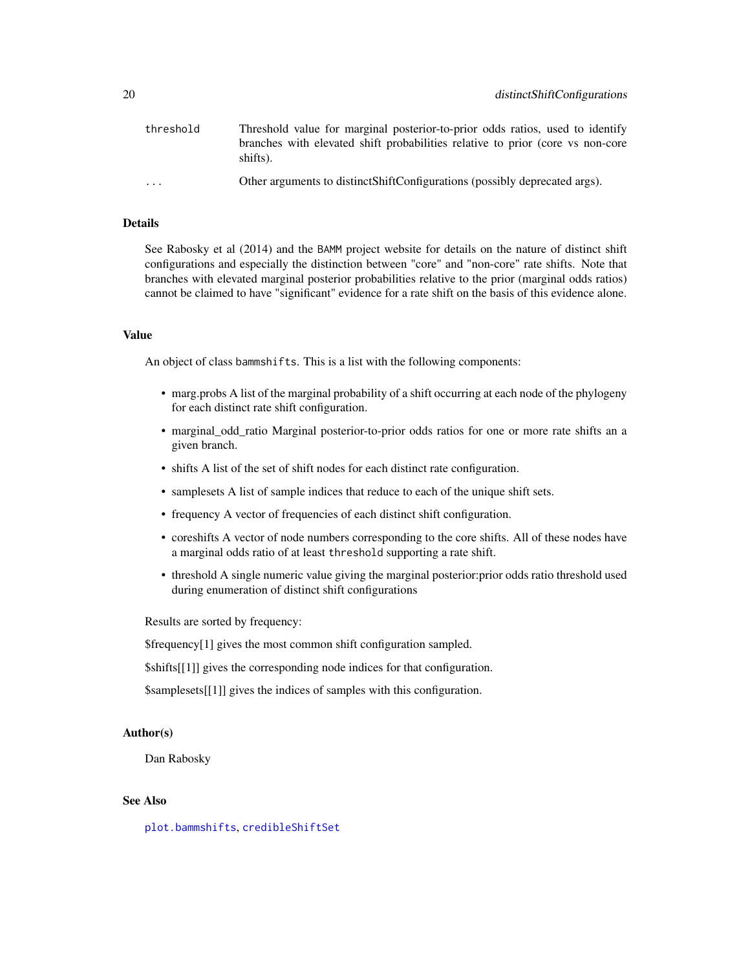| threshold | Threshold value for marginal posterior-to-prior odds ratios, used to identify<br>branches with elevated shift probabilities relative to prior (core vs non-core<br>shifts). |
|-----------|-----------------------------------------------------------------------------------------------------------------------------------------------------------------------------|
| .         | Other arguments to distinct Shift Configurations (possibly deprecated args).                                                                                                |

# Details

See Rabosky et al (2014) and the BAMM project website for details on the nature of distinct shift configurations and especially the distinction between "core" and "non-core" rate shifts. Note that branches with elevated marginal posterior probabilities relative to the prior (marginal odds ratios) cannot be claimed to have "significant" evidence for a rate shift on the basis of this evidence alone.

### Value

An object of class bammshifts. This is a list with the following components:

- marg.probs A list of the marginal probability of a shift occurring at each node of the phylogeny for each distinct rate shift configuration.
- marginal\_odd\_ratio Marginal posterior-to-prior odds ratios for one or more rate shifts an a given branch.
- shifts A list of the set of shift nodes for each distinct rate configuration.
- samplesets A list of sample indices that reduce to each of the unique shift sets.
- frequency A vector of frequencies of each distinct shift configuration.
- coreshifts A vector of node numbers corresponding to the core shifts. All of these nodes have a marginal odds ratio of at least threshold supporting a rate shift.
- threshold A single numeric value giving the marginal posterior:prior odds ratio threshold used during enumeration of distinct shift configurations

Results are sorted by frequency:

\$frequency[1] gives the most common shift configuration sampled.

\$shifts[[1]] gives the corresponding node indices for that configuration.

\$samplesets[[1]] gives the indices of samples with this configuration.

# Author(s)

Dan Rabosky

# See Also

[plot.bammshifts](#page-47-1), [credibleShiftSet](#page-13-1)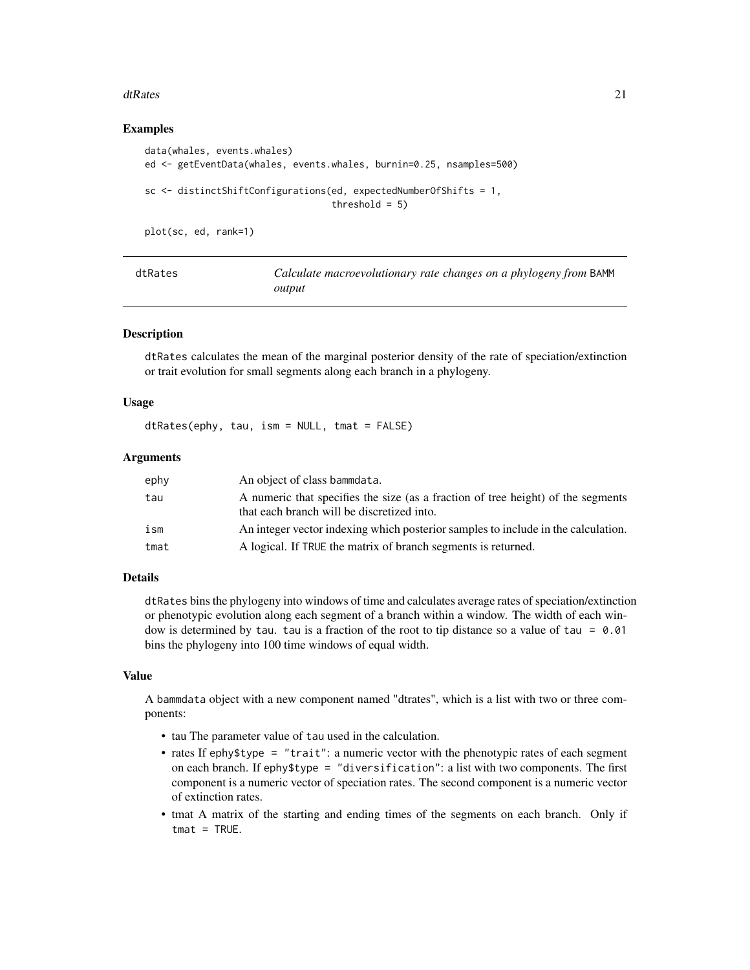### <span id="page-20-0"></span>dtRates 21

# Examples

```
data(whales, events.whales)
ed <- getEventData(whales, events.whales, burnin=0.25, nsamples=500)
sc <- distinctShiftConfigurations(ed, expectedNumberOfShifts = 1,
                                  threshold = 5)
```
plot(sc, ed, rank=1)

<span id="page-20-1"></span>

| dtRates | Calculate macroevolutionary rate changes on a phylogeny from BAMM |
|---------|-------------------------------------------------------------------|
|         | output                                                            |

# Description

dtRates calculates the mean of the marginal posterior density of the rate of speciation/extinction or trait evolution for small segments along each branch in a phylogeny.

# Usage

dtRates(ephy, tau, ism = NULL, tmat = FALSE)

### Arguments

| ephy | An object of class bammdata.                                                                                                   |
|------|--------------------------------------------------------------------------------------------------------------------------------|
| tau  | A numeric that specifies the size (as a fraction of tree height) of the segments<br>that each branch will be discretized into. |
| ism  | An integer vector indexing which posterior samples to include in the calculation.                                              |
| tmat | A logical. If TRUE the matrix of branch segments is returned.                                                                  |

# Details

dtRates bins the phylogeny into windows of time and calculates average rates of speciation/extinction or phenotypic evolution along each segment of a branch within a window. The width of each window is determined by tau. tau is a fraction of the root to tip distance so a value of tau =  $0.01$ bins the phylogeny into 100 time windows of equal width.

### Value

A bammdata object with a new component named "dtrates", which is a list with two or three components:

- tau The parameter value of tau used in the calculation.
- rates If ephy\$type = "trait": a numeric vector with the phenotypic rates of each segment on each branch. If ephy\$type = "diversification": a list with two components. The first component is a numeric vector of speciation rates. The second component is a numeric vector of extinction rates.
- tmat A matrix of the starting and ending times of the segments on each branch. Only if  $t$ mat = TRUE.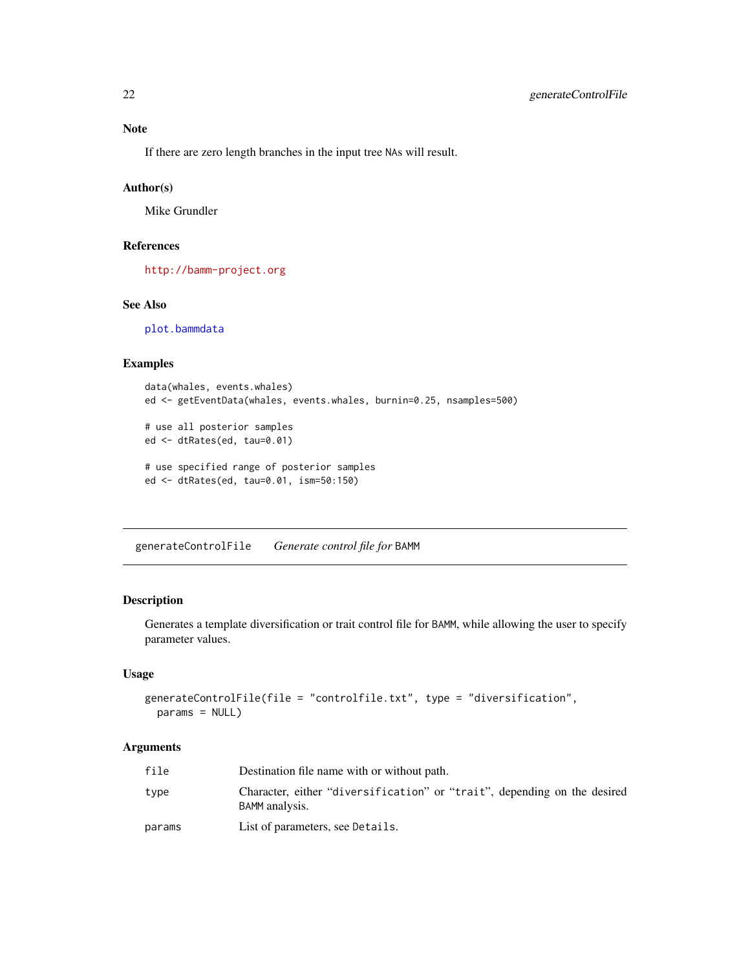If there are zero length branches in the input tree NAs will result.

# Author(s)

Mike Grundler

# References

<http://bamm-project.org>

# See Also

[plot.bammdata](#page-42-1)

# Examples

```
data(whales, events.whales)
ed <- getEventData(whales, events.whales, burnin=0.25, nsamples=500)
# use all posterior samples
ed <- dtRates(ed, tau=0.01)
# use specified range of posterior samples
ed <- dtRates(ed, tau=0.01, ism=50:150)
```
generateControlFile *Generate control file for* BAMM

# Description

Generates a template diversification or trait control file for BAMM, while allowing the user to specify parameter values.

# Usage

```
generateControlFile(file = "controlfile.txt", type = "diversification",
 params = NULL)
```
# Arguments

| file   | Destination file name with or without path.                                                |
|--------|--------------------------------------------------------------------------------------------|
| type   | Character, either "diversification" or "trait", depending on the desired<br>BAMM analysis. |
| params | List of parameters, see Details.                                                           |

<span id="page-21-0"></span>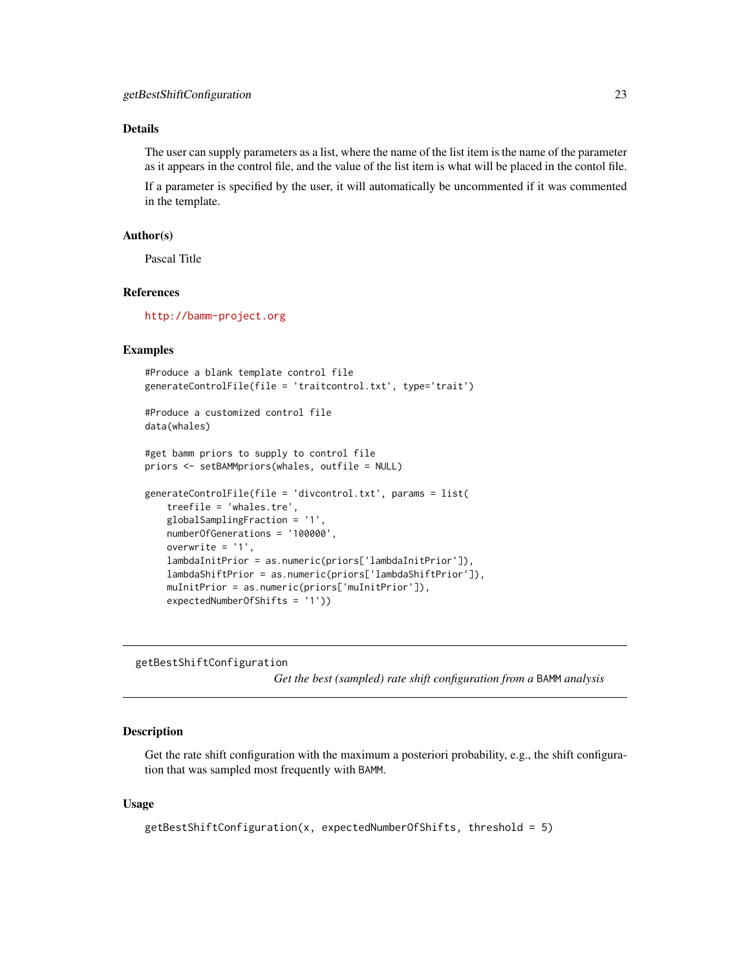# <span id="page-22-0"></span>Details

The user can supply parameters as a list, where the name of the list item is the name of the parameter as it appears in the control file, and the value of the list item is what will be placed in the contol file.

If a parameter is specified by the user, it will automatically be uncommented if it was commented in the template.

# Author(s)

Pascal Title

# References

<http://bamm-project.org>

# Examples

```
#Produce a blank template control file
generateControlFile(file = 'traitcontrol.txt', type='trait')
#Produce a customized control file
data(whales)
#get bamm priors to supply to control file
priors <- setBAMMpriors(whales, outfile = NULL)
generateControlFile(file = 'divcontrol.txt', params = list(
   treefile = 'whales.tre',
   globalSamplingFraction = '1',
   numberOfGenerations = '100000',
   overwrite = '1',
   lambdaInitPrior = as.numeric(priors['lambdaInitPrior']),
   lambdaShiftPrior = as.numeric(priors['lambdaShiftPrior']),
   muInitPrior = as.numeric(priors['muInitPrior']),
```
getBestShiftConfiguration

expectedNumberOfShifts = '1'))

*Get the best (sampled) rate shift configuration from a* BAMM *analysis*

# **Description**

Get the rate shift configuration with the maximum a posteriori probability, e.g., the shift configuration that was sampled most frequently with BAMM.

### Usage

```
getBestShiftConfiguration(x, expectedNumberOfShifts, threshold = 5)
```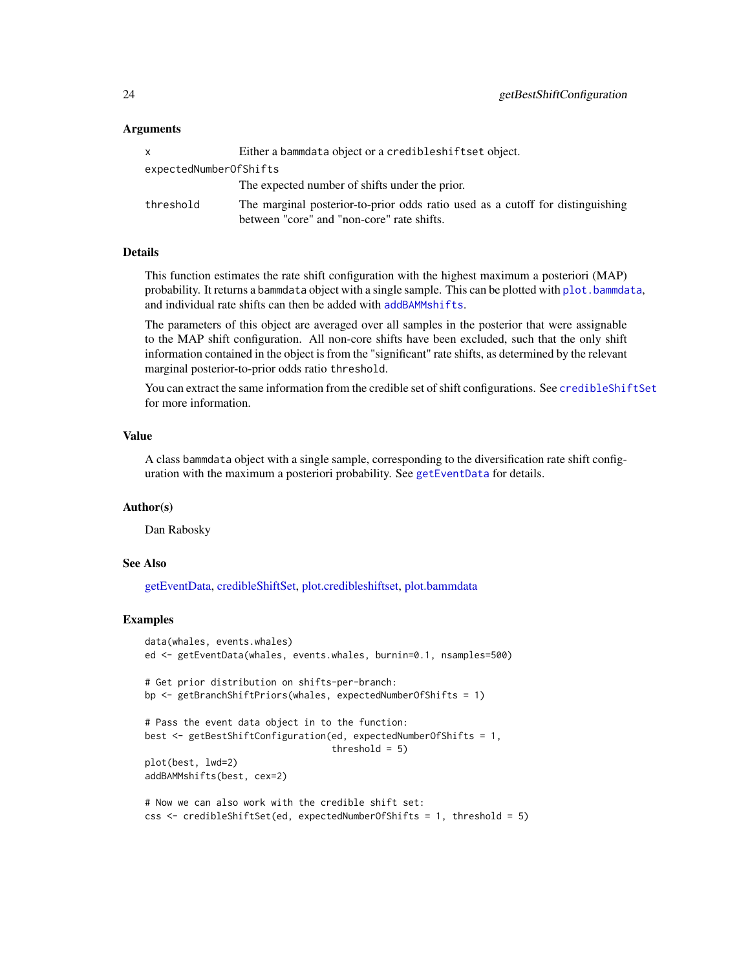# Arguments

|                        | Either a bammdata object or a credibleshiftset object.                                                                       |  |
|------------------------|------------------------------------------------------------------------------------------------------------------------------|--|
| expectedNumberOfShifts |                                                                                                                              |  |
|                        | The expected number of shifts under the prior.                                                                               |  |
| threshold              | The marginal posterior-to-prior odds ratio used as a cutoff for distinguishing<br>between "core" and "non-core" rate shifts. |  |

# Details

This function estimates the rate shift configuration with the highest maximum a posteriori (MAP) probability. It returns a bammdata object with a single sample. This can be plotted with [plot.bammdata](#page-42-1), and individual rate shifts can then be added with [addBAMMshifts](#page-3-1).

The parameters of this object are averaged over all samples in the posterior that were assignable to the MAP shift configuration. All non-core shifts have been excluded, such that the only shift information contained in the object is from the "significant" rate shifts, as determined by the relevant marginal posterior-to-prior odds ratio threshold.

You can extract the same information from the credible set of shift configurations. See [credibleShiftSet](#page-13-1) for more information.

# Value

A class bammdata object with a single sample, corresponding to the diversification rate shift configuration with the maximum a posteriori probability. See [getEventData](#page-28-1) for details.

### Author(s)

Dan Rabosky

# See Also

[getEventData,](#page-28-1) [credibleShiftSet,](#page-13-1) [plot.credibleshiftset,](#page-49-1) [plot.bammdata](#page-42-1)

### Examples

```
data(whales, events.whales)
ed <- getEventData(whales, events.whales, burnin=0.1, nsamples=500)
# Get prior distribution on shifts-per-branch:
bp <- getBranchShiftPriors(whales, expectedNumberOfShifts = 1)
# Pass the event data object in to the function:
best <- getBestShiftConfiguration(ed, expectedNumberOfShifts = 1,
                                  threshold = 5)
plot(best, lwd=2)
addBAMMshifts(best, cex=2)
# Now we can also work with the credible shift set:
css <- credibleShiftSet(ed, expectedNumberOfShifts = 1, threshold = 5)
```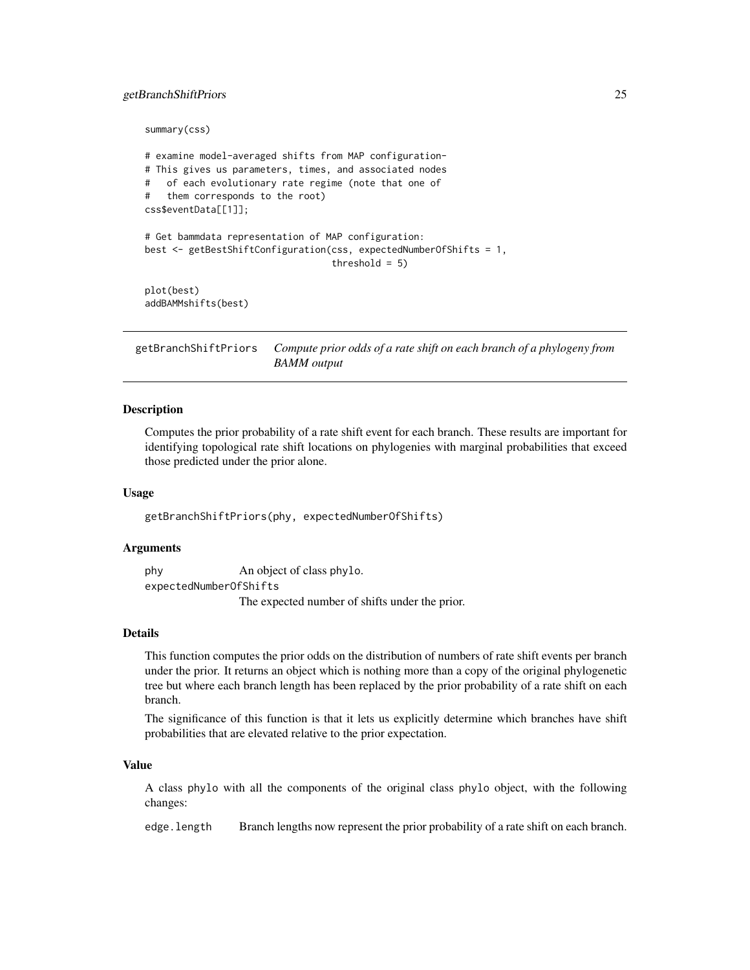### <span id="page-24-0"></span>getBranchShiftPriors 25

summary(css)

```
# examine model-averaged shifts from MAP configuration-
# This gives us parameters, times, and associated nodes
# of each evolutionary rate regime (note that one of
# them corresponds to the root)
css$eventData[[1]];
# Get bammdata representation of MAP configuration:
best <- getBestShiftConfiguration(css, expectedNumberOfShifts = 1,
                                  threshold = 5)plot(best)
addBAMMshifts(best)
```
<span id="page-24-1"></span>getBranchShiftPriors *Compute prior odds of a rate shift on each branch of a phylogeny from BAMM output*

### Description

Computes the prior probability of a rate shift event for each branch. These results are important for identifying topological rate shift locations on phylogenies with marginal probabilities that exceed those predicted under the prior alone.

#### Usage

getBranchShiftPriors(phy, expectedNumberOfShifts)

#### Arguments

phy An object of class phylo.

expectedNumberOfShifts The expected number of shifts under the prior.

### Details

This function computes the prior odds on the distribution of numbers of rate shift events per branch under the prior. It returns an object which is nothing more than a copy of the original phylogenetic tree but where each branch length has been replaced by the prior probability of a rate shift on each branch.

The significance of this function is that it lets us explicitly determine which branches have shift probabilities that are elevated relative to the prior expectation.

#### Value

A class phylo with all the components of the original class phylo object, with the following changes:

edge.length Branch lengths now represent the prior probability of a rate shift on each branch.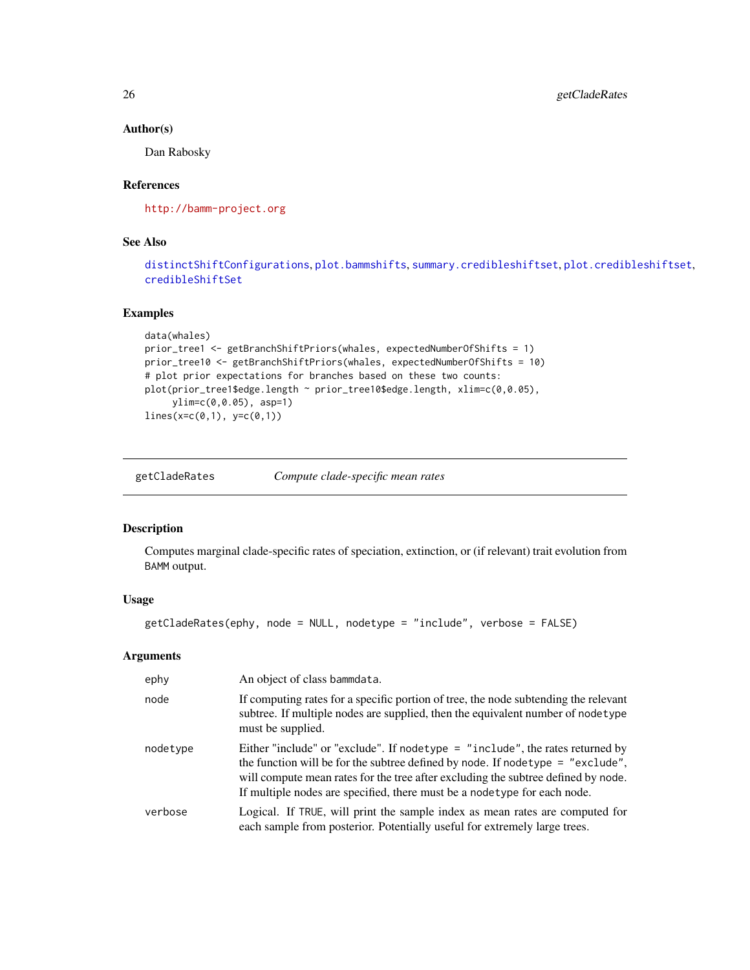### Author(s)

Dan Rabosky

# References

<http://bamm-project.org>

# See Also

[distinctShiftConfigurations](#page-18-1), [plot.bammshifts](#page-47-1), [summary.credibleshiftset](#page-64-1), [plot.credibleshiftset](#page-49-1), [credibleShiftSet](#page-13-1)

### Examples

```
data(whales)
prior_tree1 <- getBranchShiftPriors(whales, expectedNumberOfShifts = 1)
prior_tree10 <- getBranchShiftPriors(whales, expectedNumberOfShifts = 10)
# plot prior expectations for branches based on these two counts:
plot(prior_tree1$edge.length ~ prior_tree10$edge.length, xlim=c(0,0.05),
    ylim=c(0,0.05), asp=1)
lines(x=c(0,1), y=c(0,1))
```
getCladeRates *Compute clade-specific mean rates*

# Description

Computes marginal clade-specific rates of speciation, extinction, or (if relevant) trait evolution from BAMM output.

# Usage

```
getCladeRates(ephy, node = NULL, nodetype = "include", verbose = FALSE)
```
#### Arguments

| ephy     | An object of class bammdata.                                                                                                                                                                                                                                                                                                          |
|----------|---------------------------------------------------------------------------------------------------------------------------------------------------------------------------------------------------------------------------------------------------------------------------------------------------------------------------------------|
| node     | If computing rates for a specific portion of tree, the node subtending the relevant<br>subtree. If multiple nodes are supplied, then the equivalent number of nodetype<br>must be supplied.                                                                                                                                           |
| nodetype | Either "include" or "exclude". If nodetype $=$ "include", the rates returned by<br>the function will be for the subtree defined by node. If nodetype $=$ "exclude",<br>will compute mean rates for the tree after excluding the subtree defined by node.<br>If multiple nodes are specified, there must be a node type for each node. |
| verbose  | Logical. If TRUE, will print the sample index as mean rates are computed for<br>each sample from posterior. Potentially useful for extremely large trees.                                                                                                                                                                             |

<span id="page-25-0"></span>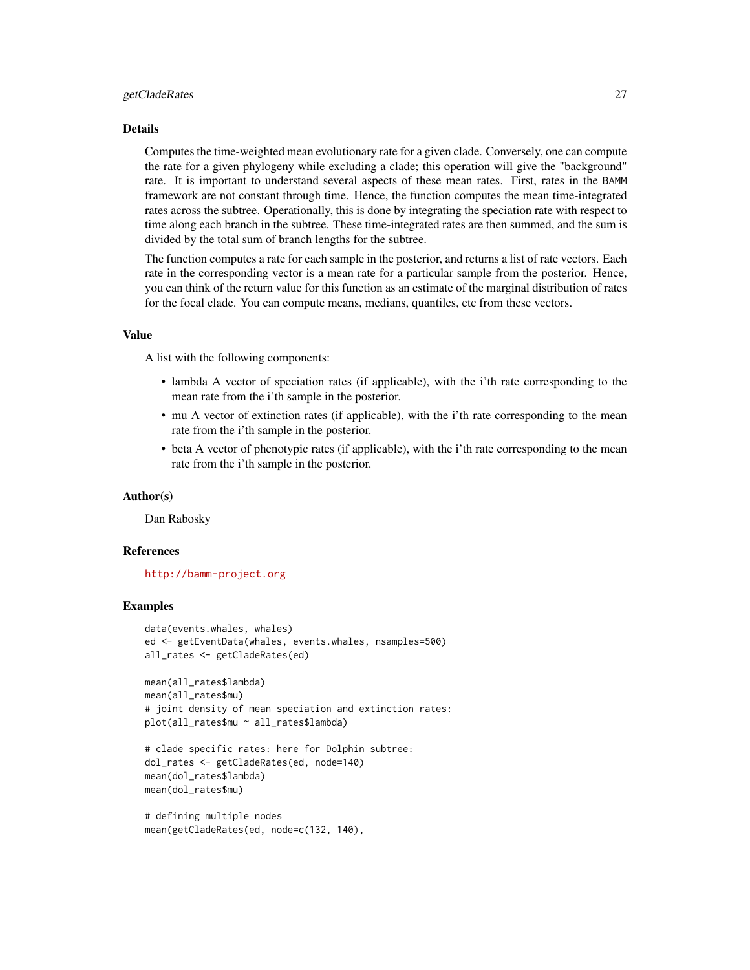#### getCladeRates 27

#### Details

Computes the time-weighted mean evolutionary rate for a given clade. Conversely, one can compute the rate for a given phylogeny while excluding a clade; this operation will give the "background" rate. It is important to understand several aspects of these mean rates. First, rates in the BAMM framework are not constant through time. Hence, the function computes the mean time-integrated rates across the subtree. Operationally, this is done by integrating the speciation rate with respect to time along each branch in the subtree. These time-integrated rates are then summed, and the sum is divided by the total sum of branch lengths for the subtree.

The function computes a rate for each sample in the posterior, and returns a list of rate vectors. Each rate in the corresponding vector is a mean rate for a particular sample from the posterior. Hence, you can think of the return value for this function as an estimate of the marginal distribution of rates for the focal clade. You can compute means, medians, quantiles, etc from these vectors.

#### Value

A list with the following components:

- lambda A vector of speciation rates (if applicable), with the i'th rate corresponding to the mean rate from the i'th sample in the posterior.
- mu A vector of extinction rates (if applicable), with the i'th rate corresponding to the mean rate from the i'th sample in the posterior.
- beta A vector of phenotypic rates (if applicable), with the i'th rate corresponding to the mean rate from the i'th sample in the posterior.

#### Author(s)

Dan Rabosky

### References

<http://bamm-project.org>

#### Examples

```
data(events.whales, whales)
ed <- getEventData(whales, events.whales, nsamples=500)
all_rates <- getCladeRates(ed)
```

```
mean(all_rates$lambda)
mean(all_rates$mu)
# joint density of mean speciation and extinction rates:
plot(all_rates$mu ~ all_rates$lambda)
```

```
# clade specific rates: here for Dolphin subtree:
dol_rates <- getCladeRates(ed, node=140)
mean(dol_rates$lambda)
mean(dol_rates$mu)
```

```
# defining multiple nodes
mean(getCladeRates(ed, node=c(132, 140),
```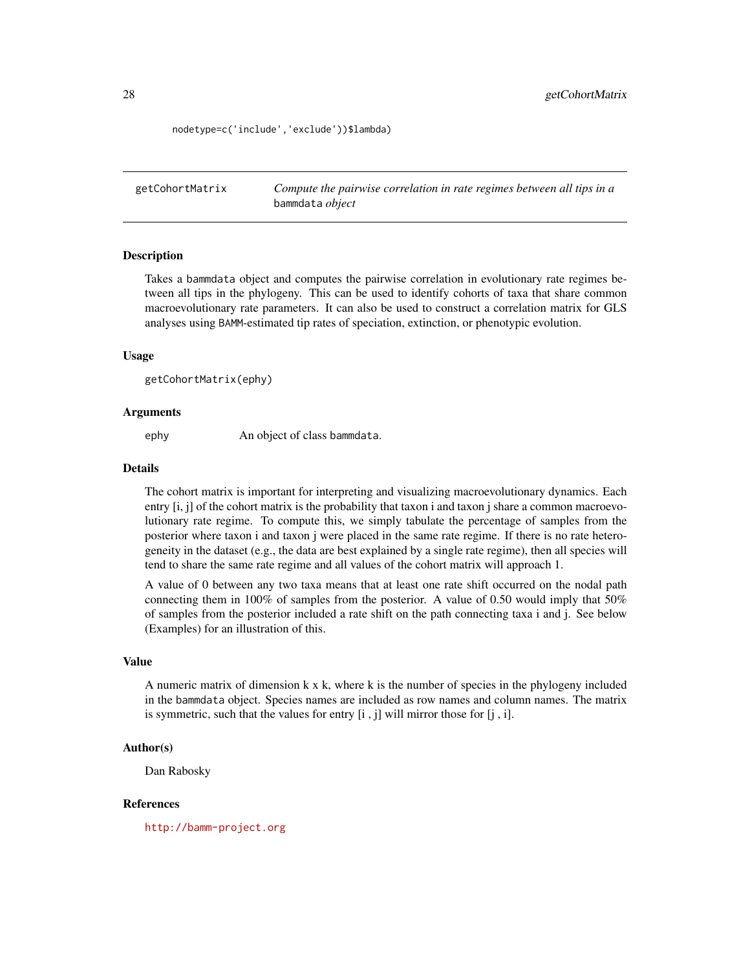<span id="page-27-0"></span>nodetype=c('include','exclude'))\$lambda)

<span id="page-27-1"></span>getCohortMatrix *Compute the pairwise correlation in rate regimes between all tips in a* bammdata *object*

### Description

Takes a bammdata object and computes the pairwise correlation in evolutionary rate regimes between all tips in the phylogeny. This can be used to identify cohorts of taxa that share common macroevolutionary rate parameters. It can also be used to construct a correlation matrix for GLS analyses using BAMM-estimated tip rates of speciation, extinction, or phenotypic evolution.

### Usage

```
getCohortMatrix(ephy)
```
### Arguments

ephy An object of class bammdata.

# Details

The cohort matrix is important for interpreting and visualizing macroevolutionary dynamics. Each entry [i, j] of the cohort matrix is the probability that taxon i and taxon j share a common macroevolutionary rate regime. To compute this, we simply tabulate the percentage of samples from the posterior where taxon i and taxon j were placed in the same rate regime. If there is no rate heterogeneity in the dataset (e.g., the data are best explained by a single rate regime), then all species will tend to share the same rate regime and all values of the cohort matrix will approach 1.

A value of 0 between any two taxa means that at least one rate shift occurred on the nodal path connecting them in 100% of samples from the posterior. A value of 0.50 would imply that 50% of samples from the posterior included a rate shift on the path connecting taxa i and j. See below (Examples) for an illustration of this.

#### Value

A numeric matrix of dimension k x k, where k is the number of species in the phylogeny included in the bammdata object. Species names are included as row names and column names. The matrix is symmetric, such that the values for entry [i , j] will mirror those for [j , i].

# Author(s)

Dan Rabosky

#### References

<http://bamm-project.org>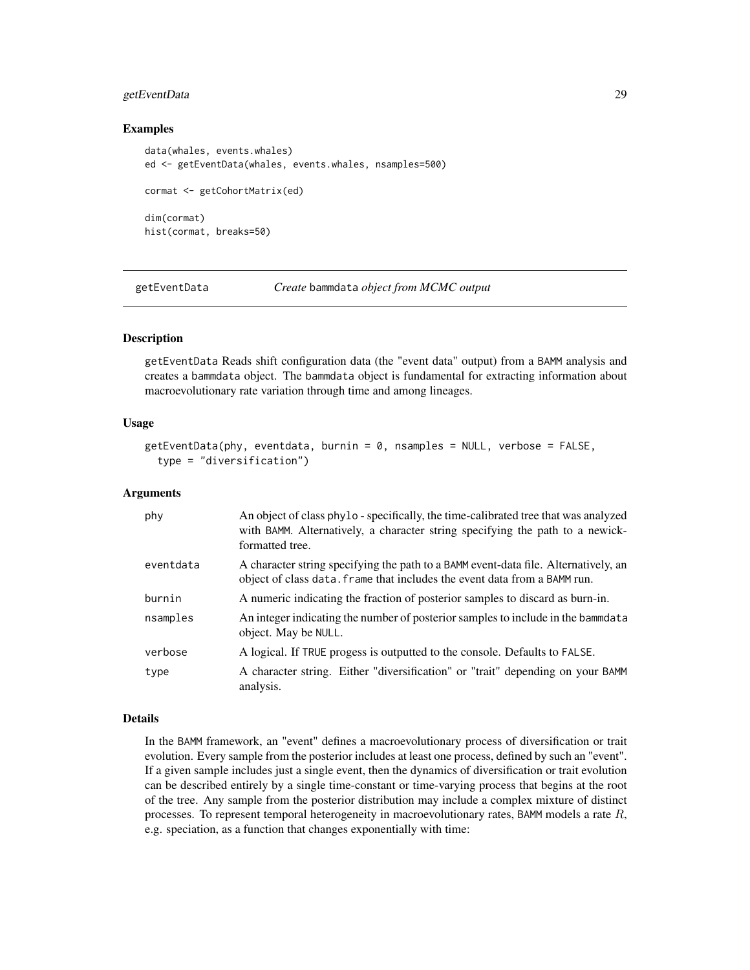# <span id="page-28-0"></span>getEventData 29

# Examples

```
data(whales, events.whales)
ed <- getEventData(whales, events.whales, nsamples=500)
cormat <- getCohortMatrix(ed)
dim(cormat)
hist(cormat, breaks=50)
```
<span id="page-28-1"></span>getEventData *Create* bammdata *object from MCMC output*

# **Description**

getEventData Reads shift configuration data (the "event data" output) from a BAMM analysis and creates a bammdata object. The bammdata object is fundamental for extracting information about macroevolutionary rate variation through time and among lineages.

### Usage

```
getEventData(phy, eventdata, burnin = 0, nsamples = NULL, verbose = FALSE,
  type = "diversification")
```
### Arguments

| phy       | An object of class phylo - specifically, the time-calibrated tree that was analyzed<br>with BAMM. Alternatively, a character string specifying the path to a newick-<br>formatted tree. |
|-----------|-----------------------------------------------------------------------------------------------------------------------------------------------------------------------------------------|
| eventdata | A character string specifying the path to a BAMM event-data file. Alternatively, an<br>object of class data. Frame that includes the event data from a BAMM run.                        |
| burnin    | A numeric indicating the fraction of posterior samples to discard as burn-in.                                                                                                           |
| nsamples  | An integer indicating the number of posterior samples to include in the bammdata<br>object. May be NULL.                                                                                |
| verbose   | A logical. If TRUE progess is outputted to the console. Defaults to FALSE.                                                                                                              |
| type      | A character string. Either "diversification" or "trait" depending on your BAMM<br>analysis.                                                                                             |

### Details

In the BAMM framework, an "event" defines a macroevolutionary process of diversification or trait evolution. Every sample from the posterior includes at least one process, defined by such an "event". If a given sample includes just a single event, then the dynamics of diversification or trait evolution can be described entirely by a single time-constant or time-varying process that begins at the root of the tree. Any sample from the posterior distribution may include a complex mixture of distinct processes. To represent temporal heterogeneity in macroevolutionary rates, BAMM models a rate  $R$ , e.g. speciation, as a function that changes exponentially with time: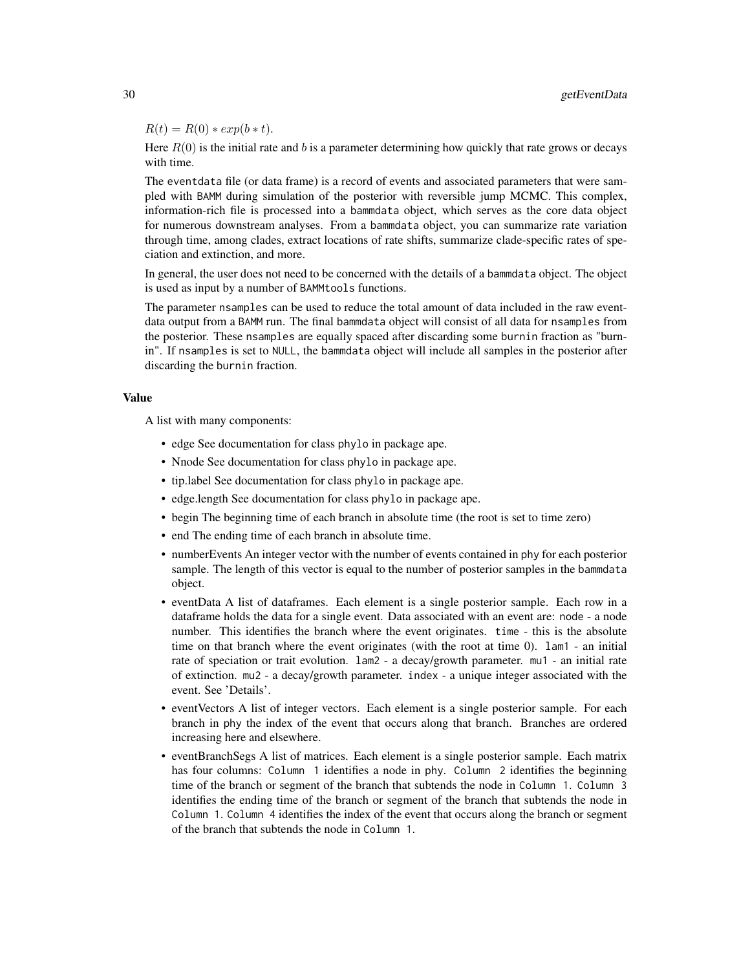$R(t) = R(0) * exp(b * t).$ 

Here  $R(0)$  is the initial rate and b is a parameter determining how quickly that rate grows or decays with time.

The eventdata file (or data frame) is a record of events and associated parameters that were sampled with BAMM during simulation of the posterior with reversible jump MCMC. This complex, information-rich file is processed into a bammdata object, which serves as the core data object for numerous downstream analyses. From a bammdata object, you can summarize rate variation through time, among clades, extract locations of rate shifts, summarize clade-specific rates of speciation and extinction, and more.

In general, the user does not need to be concerned with the details of a bammdata object. The object is used as input by a number of BAMMtools functions.

The parameter nsamples can be used to reduce the total amount of data included in the raw eventdata output from a BAMM run. The final bammdata object will consist of all data for nsamples from the posterior. These nsamples are equally spaced after discarding some burnin fraction as "burnin". If nsamples is set to NULL, the bammdata object will include all samples in the posterior after discarding the burnin fraction.

### Value

A list with many components:

- edge See documentation for class phylo in package ape.
- Nnode See documentation for class phylo in package ape.
- tip.label See documentation for class phylo in package ape.
- edge.length See documentation for class phylo in package ape.
- begin The beginning time of each branch in absolute time (the root is set to time zero)
- end The ending time of each branch in absolute time.
- numberEvents An integer vector with the number of events contained in phy for each posterior sample. The length of this vector is equal to the number of posterior samples in the bammdata object.
- eventData A list of dataframes. Each element is a single posterior sample. Each row in a dataframe holds the data for a single event. Data associated with an event are: node - a node number. This identifies the branch where the event originates. time - this is the absolute time on that branch where the event originates (with the root at time 0). lam1 - an initial rate of speciation or trait evolution. lam2 - a decay/growth parameter. mu1 - an initial rate of extinction. mu2 - a decay/growth parameter. index - a unique integer associated with the event. See 'Details'.
- eventVectors A list of integer vectors. Each element is a single posterior sample. For each branch in phy the index of the event that occurs along that branch. Branches are ordered increasing here and elsewhere.
- eventBranchSegs A list of matrices. Each element is a single posterior sample. Each matrix has four columns: Column 1 identifies a node in phy. Column 2 identifies the beginning time of the branch or segment of the branch that subtends the node in Column 1. Column 3 identifies the ending time of the branch or segment of the branch that subtends the node in Column 1. Column 4 identifies the index of the event that occurs along the branch or segment of the branch that subtends the node in Column 1.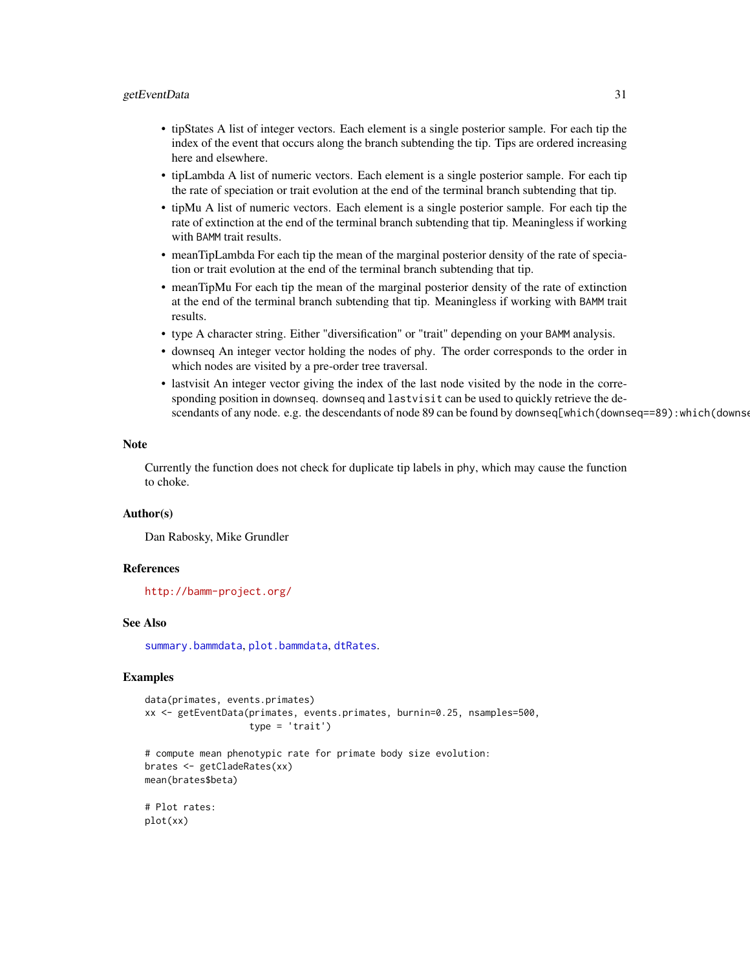### getEventData 31

- tipStates A list of integer vectors. Each element is a single posterior sample. For each tip the index of the event that occurs along the branch subtending the tip. Tips are ordered increasing here and elsewhere.
- tipLambda A list of numeric vectors. Each element is a single posterior sample. For each tip the rate of speciation or trait evolution at the end of the terminal branch subtending that tip.
- tipMu A list of numeric vectors. Each element is a single posterior sample. For each tip the rate of extinction at the end of the terminal branch subtending that tip. Meaningless if working with BAMM trait results.
- meanTipLambda For each tip the mean of the marginal posterior density of the rate of speciation or trait evolution at the end of the terminal branch subtending that tip.
- meanTipMu For each tip the mean of the marginal posterior density of the rate of extinction at the end of the terminal branch subtending that tip. Meaningless if working with BAMM trait results.
- type A character string. Either "diversification" or "trait" depending on your BAMM analysis.
- downseq An integer vector holding the nodes of phy. The order corresponds to the order in which nodes are visited by a pre-order tree traversal.
- lastvisit An integer vector giving the index of the last node visited by the node in the corresponding position in downseq. downseq and lastvisit can be used to quickly retrieve the descendants of any node. e.g. the descendants of node 89 can be found by downseq[which(downseq==89): which(downse

### Note

Currently the function does not check for duplicate tip labels in phy, which may cause the function to choke.

### Author(s)

Dan Rabosky, Mike Grundler

#### References

<http://bamm-project.org/>

### See Also

[summary.bammdata](#page-63-1), [plot.bammdata](#page-42-1), [dtRates](#page-20-1).

# Examples

```
data(primates, events.primates)
xx <- getEventData(primates, events.primates, burnin=0.25, nsamples=500,
                   type = 'trait')
```

```
# compute mean phenotypic rate for primate body size evolution:
brates <- getCladeRates(xx)
mean(brates$beta)
```
# Plot rates: plot(xx)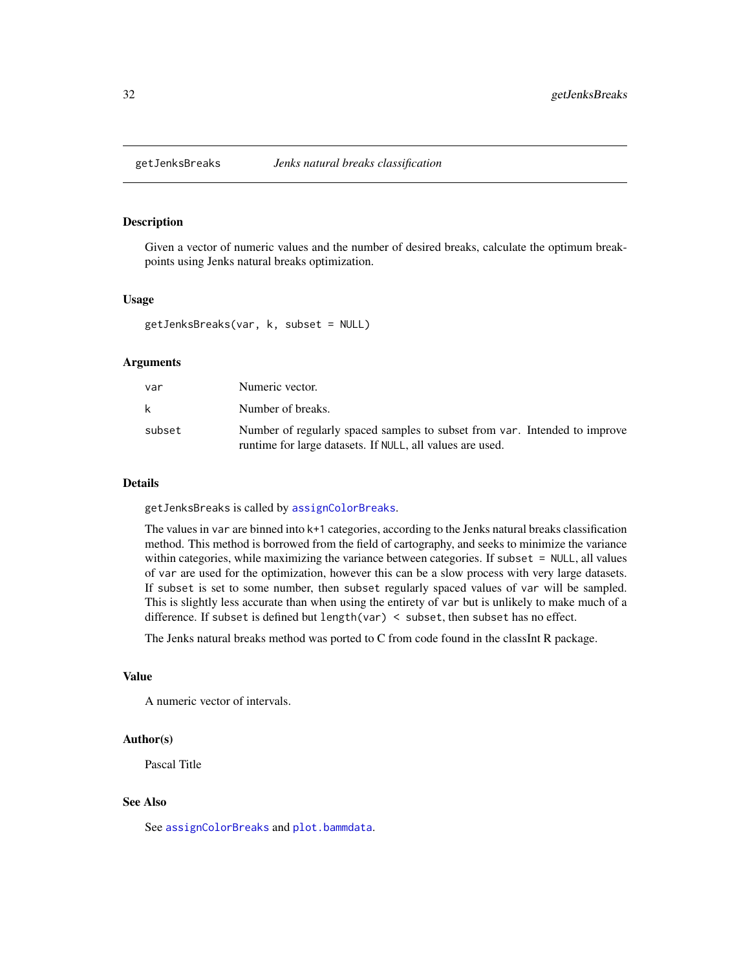# <span id="page-31-0"></span>**Description**

Given a vector of numeric values and the number of desired breaks, calculate the optimum breakpoints using Jenks natural breaks optimization.

### Usage

```
getJenksBreaks(var, k, subset = NULL)
```
# Arguments

| var    | Numeric vector.                                                                                                                         |
|--------|-----------------------------------------------------------------------------------------------------------------------------------------|
| k      | Number of breaks.                                                                                                                       |
| subset | Number of regularly spaced samples to subset from var. Intended to improve<br>runtime for large datasets. If NULL, all values are used. |

#### Details

getJenksBreaks is called by [assignColorBreaks](#page-5-1).

The values in var are binned into k+1 categories, according to the Jenks natural breaks classification method. This method is borrowed from the field of cartography, and seeks to minimize the variance within categories, while maximizing the variance between categories. If subset = NULL, all values of var are used for the optimization, however this can be a slow process with very large datasets. If subset is set to some number, then subset regularly spaced values of var will be sampled. This is slightly less accurate than when using the entirety of var but is unlikely to make much of a difference. If subset is defined but length(var) < subset, then subset has no effect.

The Jenks natural breaks method was ported to C from code found in the classInt R package.

# Value

A numeric vector of intervals.

#### Author(s)

Pascal Title

# See Also

See [assignColorBreaks](#page-5-1) and [plot.bammdata](#page-42-1).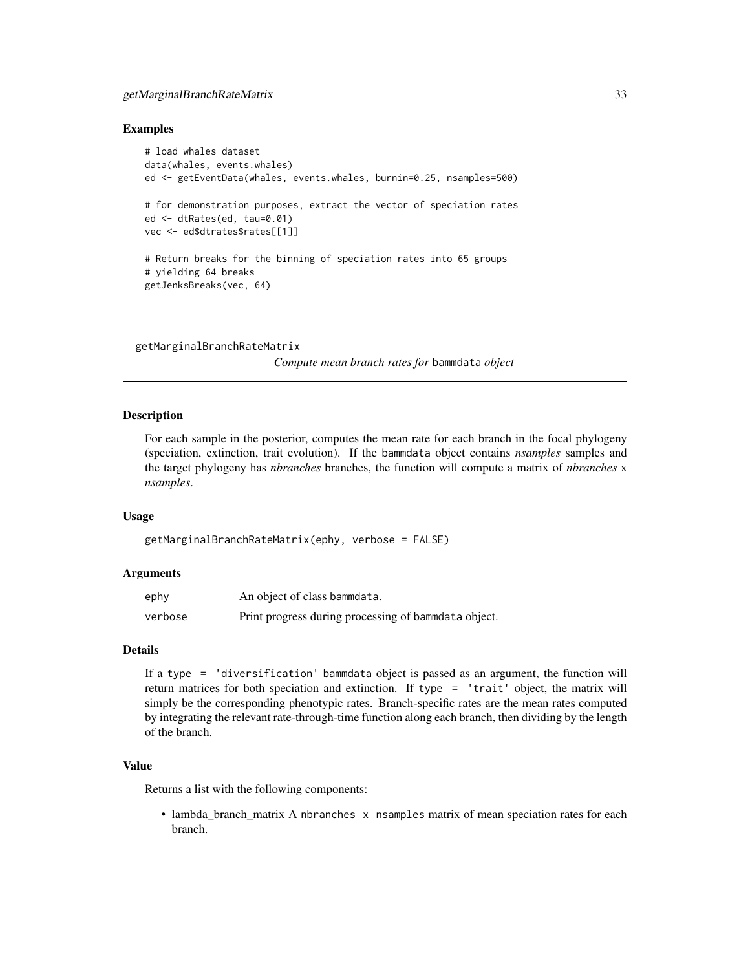# <span id="page-32-0"></span>getMarginalBranchRateMatrix 33

# Examples

```
# load whales dataset
data(whales, events.whales)
ed <- getEventData(whales, events.whales, burnin=0.25, nsamples=500)
# for demonstration purposes, extract the vector of speciation rates
ed <- dtRates(ed, tau=0.01)
vec <- ed$dtrates$rates[[1]]
# Return breaks for the binning of speciation rates into 65 groups
# yielding 64 breaks
getJenksBreaks(vec, 64)
```

```
getMarginalBranchRateMatrix
```
*Compute mean branch rates for* bammdata *object*

# Description

For each sample in the posterior, computes the mean rate for each branch in the focal phylogeny (speciation, extinction, trait evolution). If the bammdata object contains *nsamples* samples and the target phylogeny has *nbranches* branches, the function will compute a matrix of *nbranches* x *nsamples*.

#### Usage

```
getMarginalBranchRateMatrix(ephy, verbose = FALSE)
```
# Arguments

| ephy    | An object of class bammdata.                         |
|---------|------------------------------------------------------|
| verbose | Print progress during processing of bammdata object. |

### Details

If a type = 'diversification' bammdata object is passed as an argument, the function will return matrices for both speciation and extinction. If type = 'trait' object, the matrix will simply be the corresponding phenotypic rates. Branch-specific rates are the mean rates computed by integrating the relevant rate-through-time function along each branch, then dividing by the length of the branch.

# Value

Returns a list with the following components:

• lambda\_branch\_matrix A nbranches x nsamples matrix of mean speciation rates for each branch.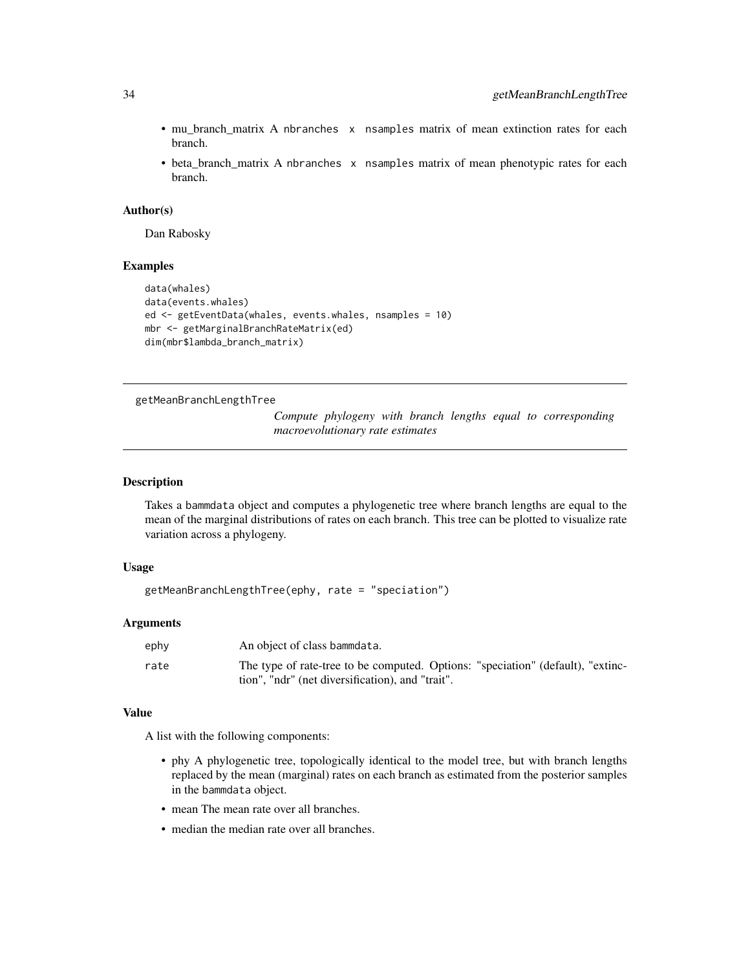- mu\_branch\_matrix A nbranches x nsamples matrix of mean extinction rates for each branch.
- beta\_branch\_matrix A nbranches x nsamples matrix of mean phenotypic rates for each branch.

### Author(s)

Dan Rabosky

# Examples

```
data(whales)
data(events.whales)
ed <- getEventData(whales, events.whales, nsamples = 10)
mbr <- getMarginalBranchRateMatrix(ed)
dim(mbr$lambda_branch_matrix)
```
### getMeanBranchLengthTree

*Compute phylogeny with branch lengths equal to corresponding macroevolutionary rate estimates*

### Description

Takes a bammdata object and computes a phylogenetic tree where branch lengths are equal to the mean of the marginal distributions of rates on each branch. This tree can be plotted to visualize rate variation across a phylogeny.

# Usage

```
getMeanBranchLengthTree(ephy, rate = "speciation")
```
#### Arguments

| ephy | An object of class bammdata.                                                                                                        |
|------|-------------------------------------------------------------------------------------------------------------------------------------|
| rate | The type of rate-tree to be computed. Options: "speciation" (default), "extinc-<br>tion", "ndr" (net diversification), and "trait". |

# Value

A list with the following components:

- phy A phylogenetic tree, topologically identical to the model tree, but with branch lengths replaced by the mean (marginal) rates on each branch as estimated from the posterior samples in the bammdata object.
- mean The mean rate over all branches.
- median the median rate over all branches.

<span id="page-33-0"></span>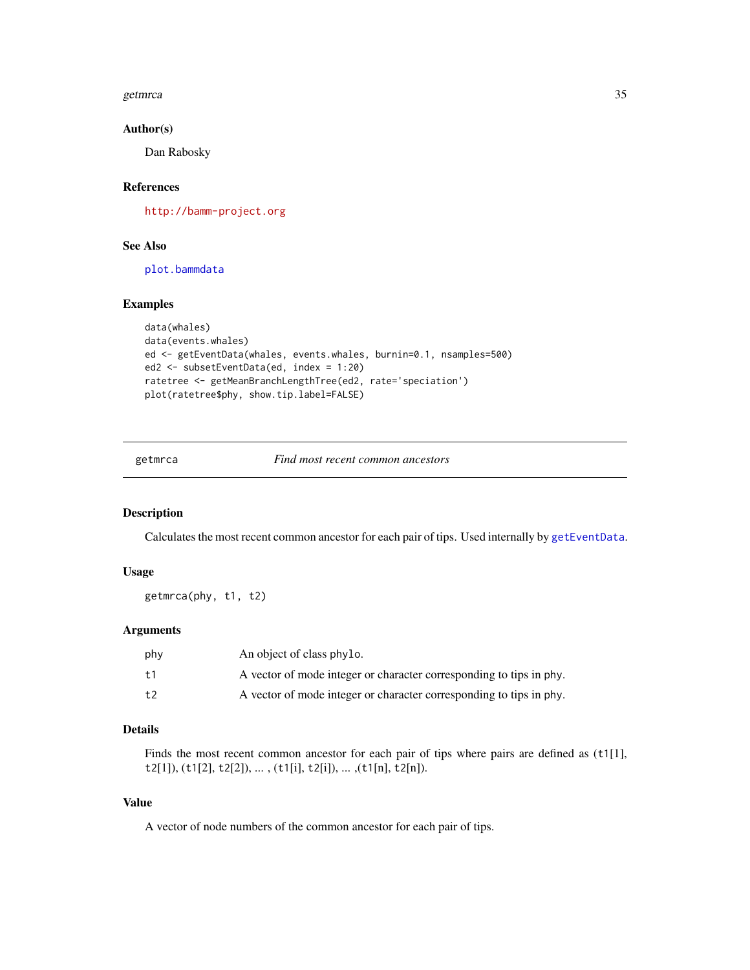### <span id="page-34-0"></span>getmrca 35

# Author(s)

Dan Rabosky

# References

<http://bamm-project.org>

# See Also

[plot.bammdata](#page-42-1)

# Examples

```
data(whales)
data(events.whales)
ed <- getEventData(whales, events.whales, burnin=0.1, nsamples=500)
ed2 <- subsetEventData(ed, index = 1:20)
ratetree <- getMeanBranchLengthTree(ed2, rate='speciation')
plot(ratetree$phy, show.tip.label=FALSE)
```
### getmrca *Find most recent common ancestors*

# Description

Calculates the most recent common ancestor for each pair of tips. Used internally by [getEventData](#page-28-1).

# Usage

```
getmrca(phy, t1, t2)
```
# Arguments

| phy            | An object of class phylo.                                           |
|----------------|---------------------------------------------------------------------|
| t <sub>1</sub> | A vector of mode integer or character corresponding to tips in phy. |
| t.2            | A vector of mode integer or character corresponding to tips in phy. |

# Details

Finds the most recent common ancestor for each pair of tips where pairs are defined as (t1[1], t2[1]), (t1[2], t2[2]), ... , (t1[i], t2[i]), ... ,(t1[n], t2[n]).

# Value

A vector of node numbers of the common ancestor for each pair of tips.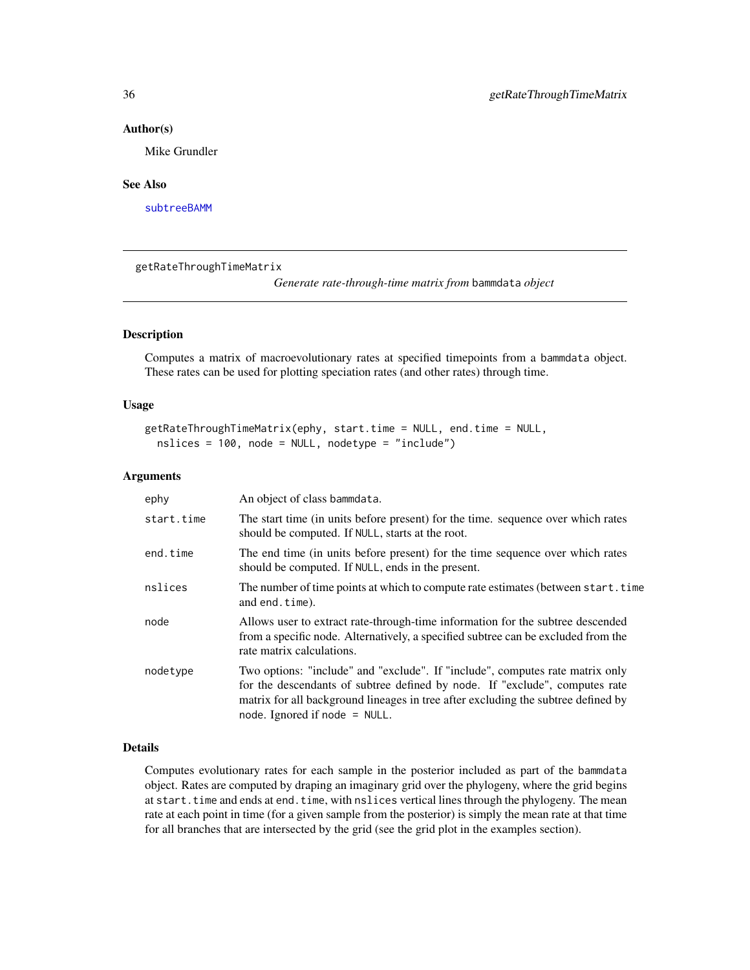### <span id="page-35-0"></span>Author(s)

Mike Grundler

### See Also

[subtreeBAMM](#page-62-1)

getRateThroughTimeMatrix

*Generate rate-through-time matrix from* bammdata *object*

# Description

Computes a matrix of macroevolutionary rates at specified timepoints from a bammdata object. These rates can be used for plotting speciation rates (and other rates) through time.

# Usage

```
getRateThroughTimeMatrix(ephy, start.time = NULL, end.time = NULL,
 nslices = 100, node = NULL, nodetype = "include")
```
# Arguments

| ephy       | An object of class bammdata.                                                                                                                                                                                                                                                         |
|------------|--------------------------------------------------------------------------------------------------------------------------------------------------------------------------------------------------------------------------------------------------------------------------------------|
| start.time | The start time (in units before present) for the time. sequence over which rates<br>should be computed. If NULL, starts at the root.                                                                                                                                                 |
| end.time   | The end time (in units before present) for the time sequence over which rates<br>should be computed. If NULL, ends in the present.                                                                                                                                                   |
| nslices    | The number of time points at which to compute rate estimates (between start.time<br>and end.time).                                                                                                                                                                                   |
| node       | Allows user to extract rate-through-time information for the subtree descended<br>from a specific node. Alternatively, a specified subtree can be excluded from the<br>rate matrix calculations.                                                                                     |
| nodetype   | Two options: "include" and "exclude". If "include", computes rate matrix only<br>for the descendants of subtree defined by node. If "exclude", computes rate<br>matrix for all background lineages in tree after excluding the subtree defined by<br>node. Ignored if node $=$ NULL. |

# Details

Computes evolutionary rates for each sample in the posterior included as part of the bammdata object. Rates are computed by draping an imaginary grid over the phylogeny, where the grid begins at start.time and ends at end.time, with nslices vertical lines through the phylogeny. The mean rate at each point in time (for a given sample from the posterior) is simply the mean rate at that time for all branches that are intersected by the grid (see the grid plot in the examples section).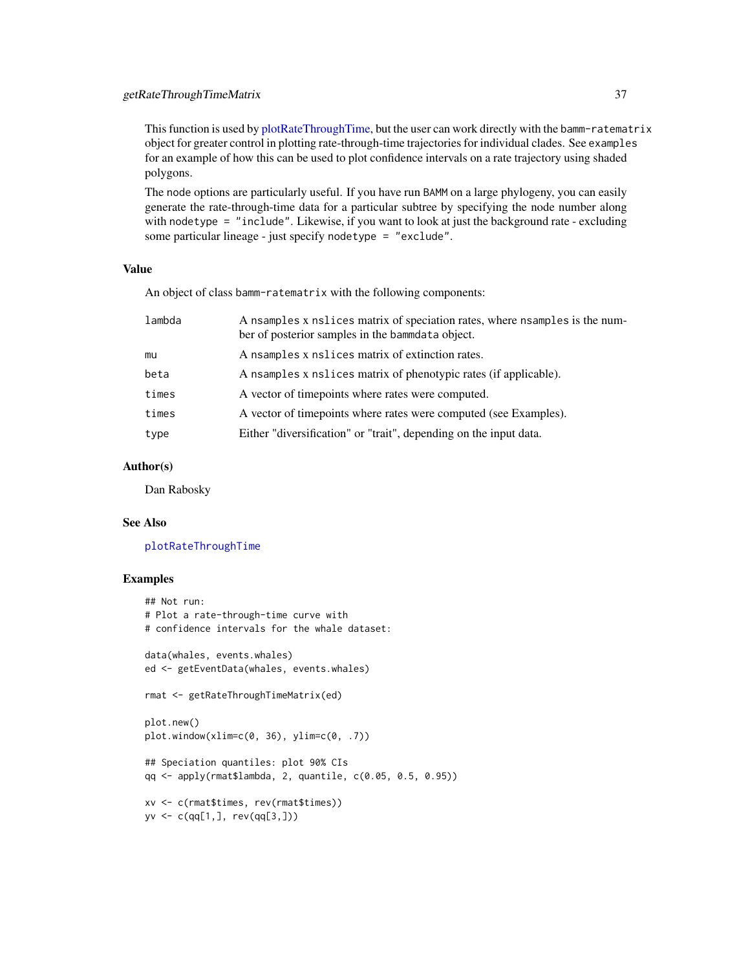This function is used by [plotRateThroughTime,](#page-51-0) but the user can work directly with the bamm-ratematrix object for greater control in plotting rate-through-time trajectories for individual clades. See examples for an example of how this can be used to plot confidence intervals on a rate trajectory using shaded polygons.

The node options are particularly useful. If you have run BAMM on a large phylogeny, you can easily generate the rate-through-time data for a particular subtree by specifying the node number along with nodetype = "include". Likewise, if you want to look at just the background rate - excluding some particular lineage - just specify nodetype = "exclude".

# Value

An object of class bamm-ratematrix with the following components:

| lambda | A nsamples x nslices matrix of speciation rates, where nsamples is the num-<br>ber of posterior samples in the bammdata object. |
|--------|---------------------------------------------------------------------------------------------------------------------------------|
| mu     | A nsamples x nslices matrix of extinction rates.                                                                                |
| beta   | A nsamples x nslices matrix of phenotypic rates (if applicable).                                                                |
| times  | A vector of timepoints where rates were computed.                                                                               |
| times  | A vector of timepoints where rates were computed (see Examples).                                                                |
| type   | Either "diversification" or "trait", depending on the input data.                                                               |

### Author(s)

Dan Rabosky

#### See Also

[plotRateThroughTime](#page-51-0)

### Examples

```
## Not run:
# Plot a rate-through-time curve with
# confidence intervals for the whale dataset:
data(whales, events.whales)
ed <- getEventData(whales, events.whales)
rmat <- getRateThroughTimeMatrix(ed)
plot.new()
plot.window(xlim=c(0, 36), ylim=c(0, .7))
## Speciation quantiles: plot 90% CIs
qq <- apply(rmat$lambda, 2, quantile, c(0.05, 0.5, 0.95))
xv <- c(rmat$times, rev(rmat$times))
yv <- c(qq[1,], rev(qq[3,]))
```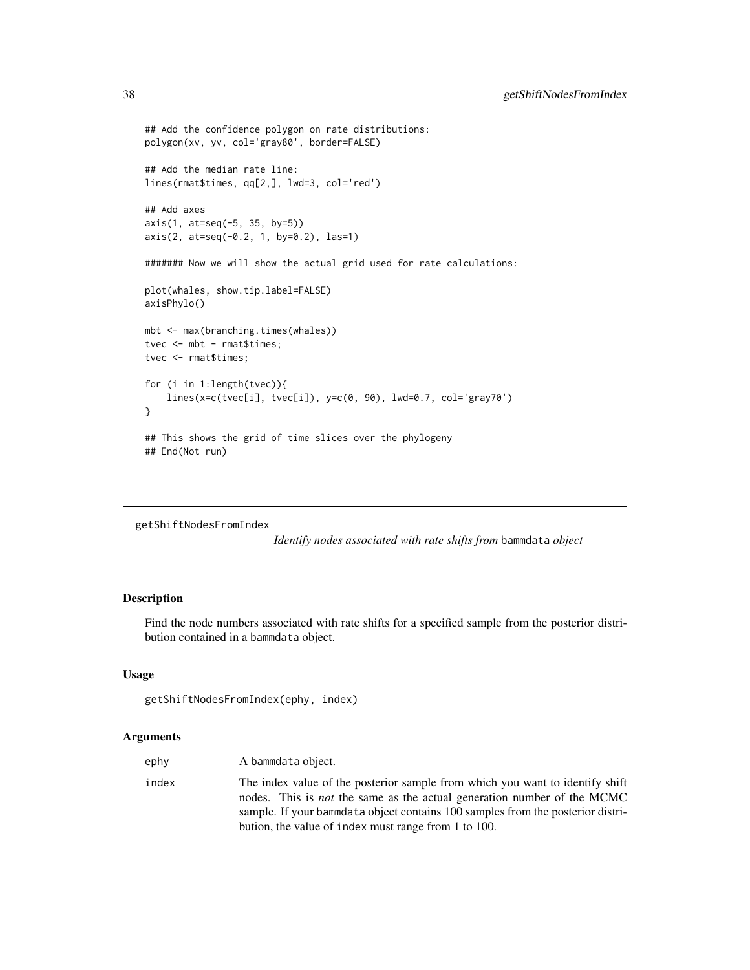```
## Add the confidence polygon on rate distributions:
polygon(xv, yv, col='gray80', border=FALSE)
## Add the median rate line:
lines(rmat$times, qq[2,], lwd=3, col='red')
## Add axes
axis(1, at=seq(-5, 35, by=5))
axis(2, at=seq(-0.2, 1, by=0.2), las=1)
####### Now we will show the actual grid used for rate calculations:
plot(whales, show.tip.label=FALSE)
axisPhylo()
mbt <- max(branching.times(whales))
tvec <- mbt - rmat$times;
tvec <- rmat$times;
for (i in 1:length(tvec)){
    lines(x=c(tvec[i], tvec[i]), y=c(0, 90), lwd=0.7, col='gray70')
}
## This shows the grid of time slices over the phylogeny
## End(Not run)
```

```
getShiftNodesFromIndex
```
*Identify nodes associated with rate shifts from* bammdata *object*

## Description

Find the node numbers associated with rate shifts for a specified sample from the posterior distribution contained in a bammdata object.

### Usage

```
getShiftNodesFromIndex(ephy, index)
```

| ephy  | A bammdata object.                                                                                                                                                                                                                                                                                         |
|-------|------------------------------------------------------------------------------------------------------------------------------------------------------------------------------------------------------------------------------------------------------------------------------------------------------------|
| index | The index value of the posterior sample from which you want to identify shift<br>nodes. This is <i>not</i> the same as the actual generation number of the MCMC<br>sample. If your bammdata object contains 100 samples from the posterior distri-<br>bution, the value of index must range from 1 to 100. |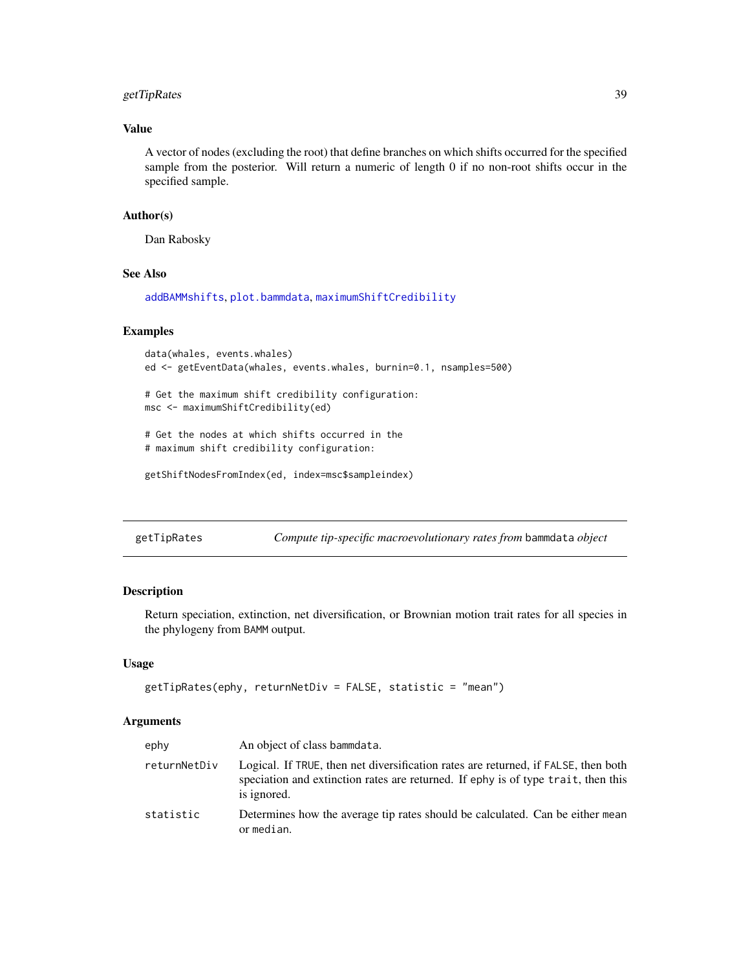### getTipRates 39

## Value

A vector of nodes (excluding the root) that define branches on which shifts occurred for the specified sample from the posterior. Will return a numeric of length 0 if no non-root shifts occur in the specified sample.

### Author(s)

Dan Rabosky

#### See Also

[addBAMMshifts](#page-3-0), [plot.bammdata](#page-42-0), [maximumShiftCredibility](#page-41-0)

### Examples

```
data(whales, events.whales)
ed <- getEventData(whales, events.whales, burnin=0.1, nsamples=500)
# Get the maximum shift credibility configuration:
msc <- maximumShiftCredibility(ed)
# Get the nodes at which shifts occurred in the
```

```
# maximum shift credibility configuration:
```

```
getShiftNodesFromIndex(ed, index=msc$sampleindex)
```
getTipRates *Compute tip-specific macroevolutionary rates from* bammdata *object*

### Description

Return speciation, extinction, net diversification, or Brownian motion trait rates for all species in the phylogeny from BAMM output.

### Usage

```
getTipRates(ephy, returnNetDiv = FALSE, statistic = "mean")
```

| ephy         | An object of class bammdata.                                                                                                                                                           |
|--------------|----------------------------------------------------------------------------------------------------------------------------------------------------------------------------------------|
| returnNetDiv | Logical. If TRUE, then net diversification rates are returned, if FALSE, then both<br>speciation and extinction rates are returned. If ephy is of type trait, then this<br>is ignored. |
| statistic    | Determines how the average tip rates should be calculated. Can be either mean<br>or median.                                                                                            |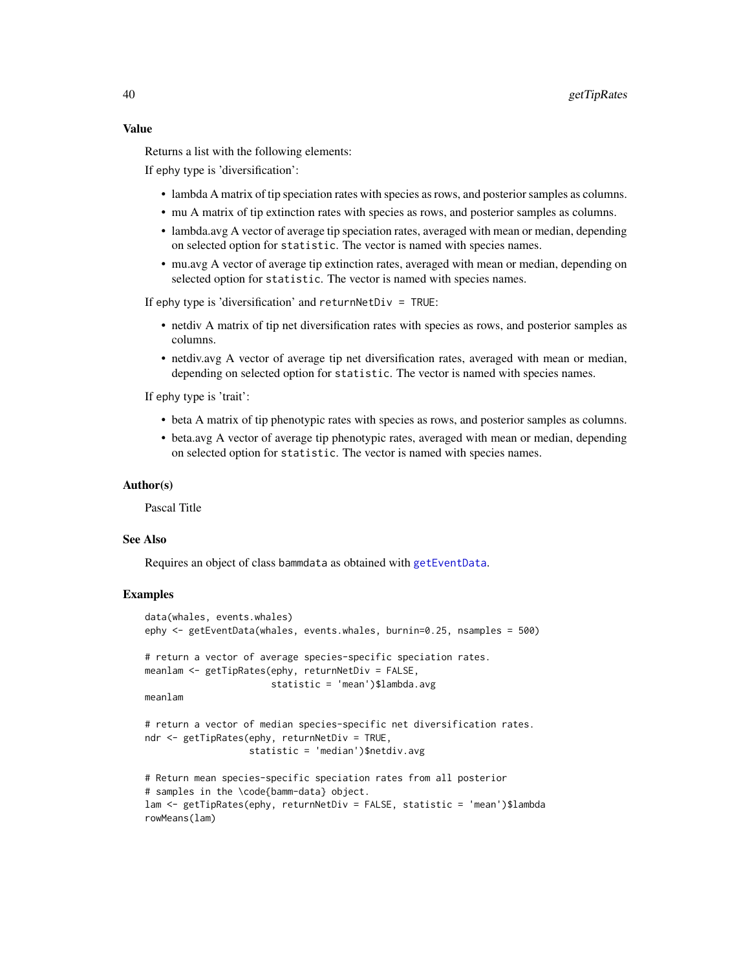#### Value

Returns a list with the following elements:

If ephy type is 'diversification':

- lambda A matrix of tip speciation rates with species as rows, and posterior samples as columns.
- mu A matrix of tip extinction rates with species as rows, and posterior samples as columns.
- lambda.avg A vector of average tip speciation rates, averaged with mean or median, depending on selected option for statistic. The vector is named with species names.
- mu.avg A vector of average tip extinction rates, averaged with mean or median, depending on selected option for statistic. The vector is named with species names.

If ephy type is 'diversification' and returnNetDiv = TRUE:

- netdiv A matrix of tip net diversification rates with species as rows, and posterior samples as columns.
- netdiv.avg A vector of average tip net diversification rates, averaged with mean or median, depending on selected option for statistic. The vector is named with species names.

If ephy type is 'trait':

- beta A matrix of tip phenotypic rates with species as rows, and posterior samples as columns.
- beta.avg A vector of average tip phenotypic rates, averaged with mean or median, depending on selected option for statistic. The vector is named with species names.

### Author(s)

Pascal Title

### See Also

Requires an object of class bammdata as obtained with [getEventData](#page-28-0).

#### Examples

```
data(whales, events.whales)
ephy <- getEventData(whales, events.whales, burnin=0.25, nsamples = 500)
# return a vector of average species-specific speciation rates.
meanlam <- getTipRates(ephy, returnNetDiv = FALSE,
                       statistic = 'mean')$lambda.avg
meanlam
# return a vector of median species-specific net diversification rates.
ndr <- getTipRates(ephy, returnNetDiv = TRUE,
                  statistic = 'median')$netdiv.avg
# Return mean species-specific speciation rates from all posterior
# samples in the \code{bamm-data} object.
lam <- getTipRates(ephy, returnNetDiv = FALSE, statistic = 'mean')$lambda
rowMeans(lam)
```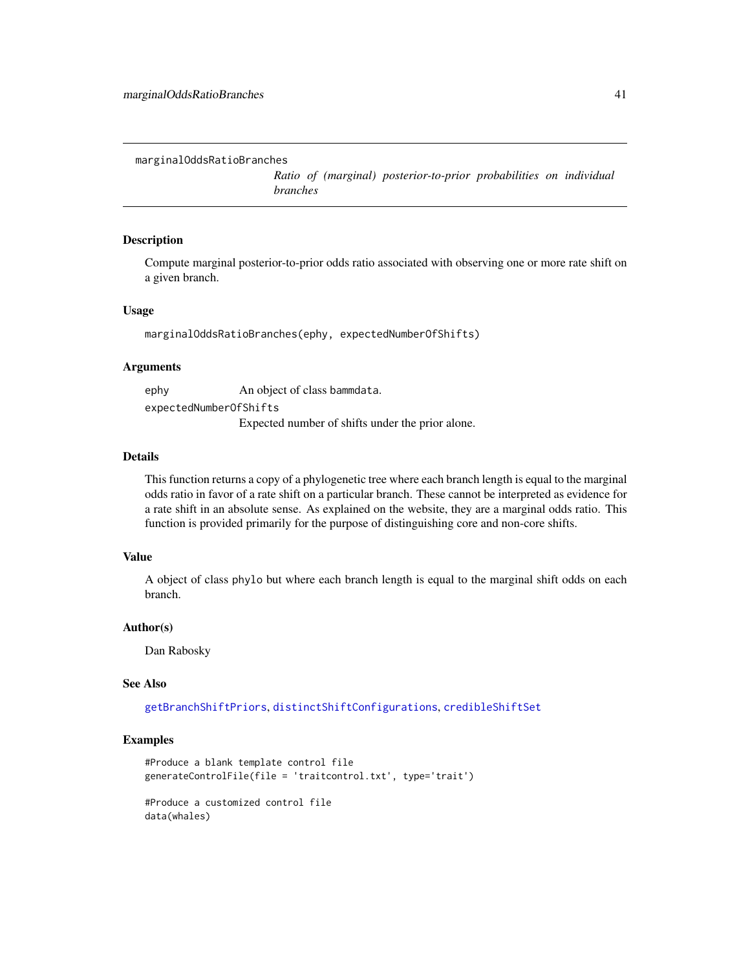```
marginalOddsRatioBranches
```
*Ratio of (marginal) posterior-to-prior probabilities on individual branches*

#### Description

Compute marginal posterior-to-prior odds ratio associated with observing one or more rate shift on a given branch.

### Usage

marginalOddsRatioBranches(ephy, expectedNumberOfShifts)

#### Arguments

ephy An object of class bammdata. expectedNumberOfShifts Expected number of shifts under the prior alone.

#### Details

This function returns a copy of a phylogenetic tree where each branch length is equal to the marginal odds ratio in favor of a rate shift on a particular branch. These cannot be interpreted as evidence for a rate shift in an absolute sense. As explained on the website, they are a marginal odds ratio. This function is provided primarily for the purpose of distinguishing core and non-core shifts.

#### Value

A object of class phylo but where each branch length is equal to the marginal shift odds on each branch.

### Author(s)

Dan Rabosky

### See Also

[getBranchShiftPriors](#page-24-0), [distinctShiftConfigurations](#page-18-0), [credibleShiftSet](#page-13-0)

#### Examples

```
#Produce a blank template control file
generateControlFile(file = 'traitcontrol.txt', type='trait')
#Produce a customized control file
data(whales)
```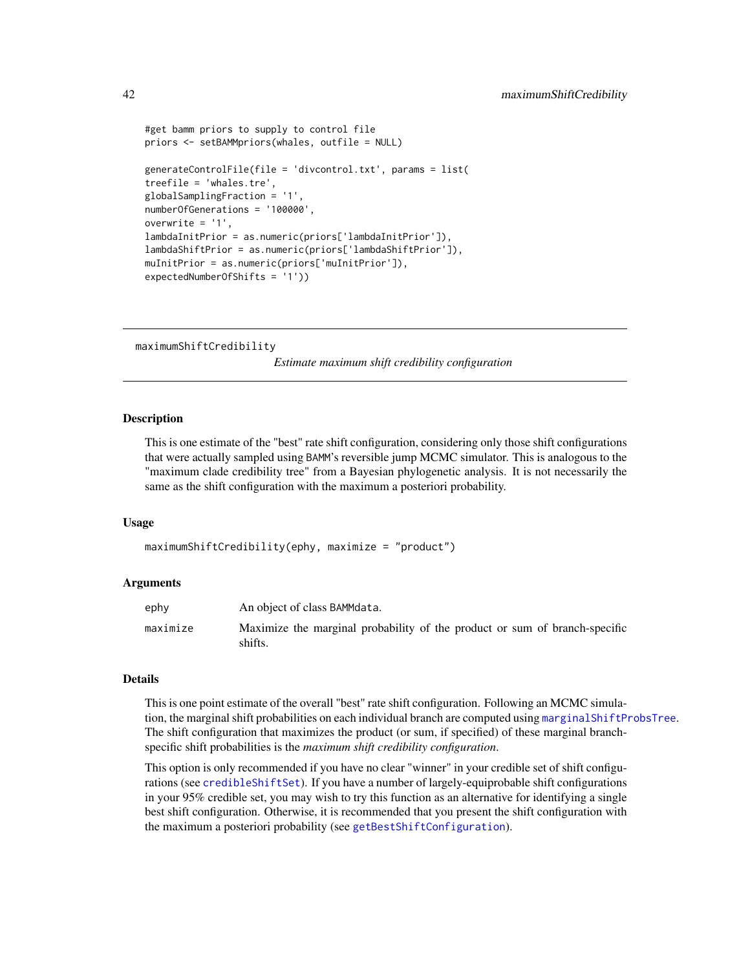```
#get bamm priors to supply to control file
priors <- setBAMMpriors(whales, outfile = NULL)
generateControlFile(file = 'divcontrol.txt', params = list(
treefile = 'whales.tre',
globalSamplingFraction = '1',
numberOfGenerations = '100000',
overwrite = '1',
lambdaInitPrior = as.numeric(priors['lambdaInitPrior']),
lambdaShiftPrior = as.numeric(priors['lambdaShiftPrior']),
muInitPrior = as.numeric(priors['muInitPrior']),
expectedNumberOfShifts = '1'))
```
<span id="page-41-0"></span>maximumShiftCredibility

*Estimate maximum shift credibility configuration*

#### **Description**

This is one estimate of the "best" rate shift configuration, considering only those shift configurations that were actually sampled using BAMM's reversible jump MCMC simulator. This is analogous to the "maximum clade credibility tree" from a Bayesian phylogenetic analysis. It is not necessarily the same as the shift configuration with the maximum a posteriori probability.

#### Usage

maximumShiftCredibility(ephy, maximize = "product")

#### Arguments

| ephy     | An object of class BAMMdata.                                                          |
|----------|---------------------------------------------------------------------------------------|
| maximize | Maximize the marginal probability of the product or sum of branch-specific<br>shifts. |

### Details

This is one point estimate of the overall "best" rate shift configuration. Following an MCMC simulation, the marginal shift probabilities on each individual branch are computed using [marginalShiftProbsTree](#page-17-0). The shift configuration that maximizes the product (or sum, if specified) of these marginal branchspecific shift probabilities is the *maximum shift credibility configuration*.

This option is only recommended if you have no clear "winner" in your credible set of shift configurations (see [credibleShiftSet](#page-13-0)). If you have a number of largely-equiprobable shift configurations in your 95% credible set, you may wish to try this function as an alternative for identifying a single best shift configuration. Otherwise, it is recommended that you present the shift configuration with the maximum a posteriori probability (see [getBestShiftConfiguration](#page-22-0)).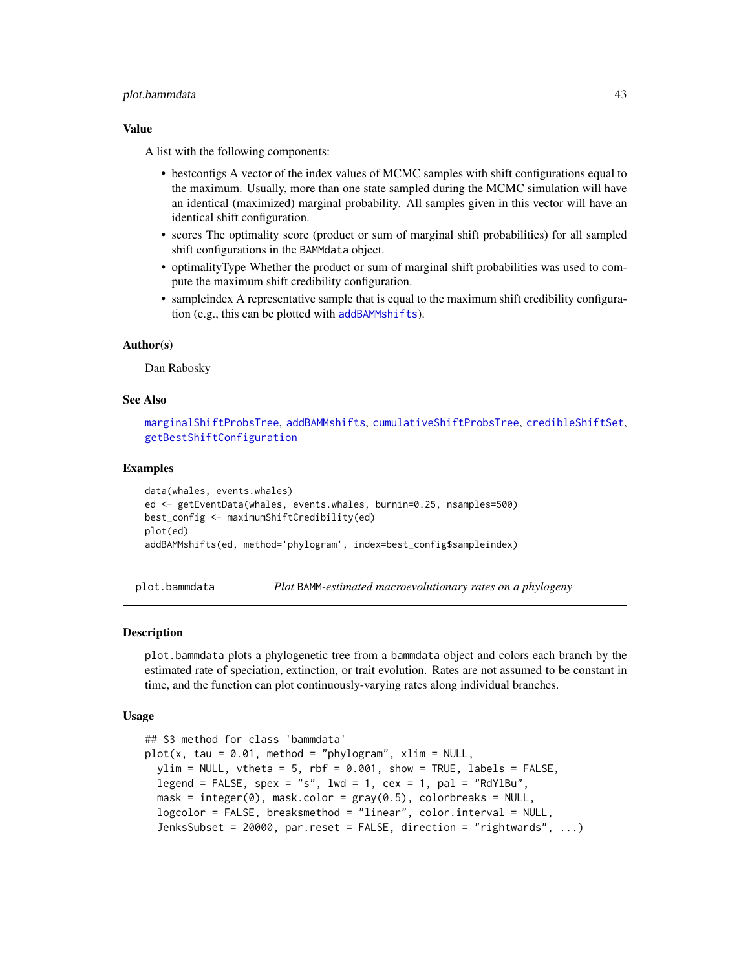#### plot.bammdata 43

### Value

A list with the following components:

- bestconfigs A vector of the index values of MCMC samples with shift configurations equal to the maximum. Usually, more than one state sampled during the MCMC simulation will have an identical (maximized) marginal probability. All samples given in this vector will have an identical shift configuration.
- scores The optimality score (product or sum of marginal shift probabilities) for all sampled shift configurations in the BAMMdata object.
- optimalityType Whether the product or sum of marginal shift probabilities was used to compute the maximum shift credibility configuration.
- sampleindex A representative sample that is equal to the maximum shift credibility configuration (e.g., this can be plotted with [addBAMMshifts](#page-3-0)).

#### Author(s)

Dan Rabosky

### See Also

[marginalShiftProbsTree](#page-17-0), [addBAMMshifts](#page-3-0), [cumulativeShiftProbsTree](#page-17-1), [credibleShiftSet](#page-13-0), [getBestShiftConfiguration](#page-22-0)

#### Examples

```
data(whales, events.whales)
ed <- getEventData(whales, events.whales, burnin=0.25, nsamples=500)
best_config <- maximumShiftCredibility(ed)
plot(ed)
addBAMMshifts(ed, method='phylogram', index=best_config$sampleindex)
```
<span id="page-42-0"></span>

plot.bammdata *Plot* BAMM*-estimated macroevolutionary rates on a phylogeny*

#### **Description**

plot.bammdata plots a phylogenetic tree from a bammdata object and colors each branch by the estimated rate of speciation, extinction, or trait evolution. Rates are not assumed to be constant in time, and the function can plot continuously-varying rates along individual branches.

#### Usage

```
## S3 method for class 'bammdata'
plot(x, tau = 0.01, method = "phylogram", xlim = NULL,ylim = NULL, vtheta = 5, rbf = 0.001, show = TRUE, labels = FALSE,
  legend = FALSE, spex = "s", lwd = 1, cex = 1, pal = "RdYlBu",
 mask = integer(0), mask.color = gray(0.5), colorbreaks = NULL,
  logcolor = FALSE, breaksmethod = "linear", color.interval = NULL,
  JenksSubset = 20000, par.reset = FALSE, direction = "rightwards", ...)
```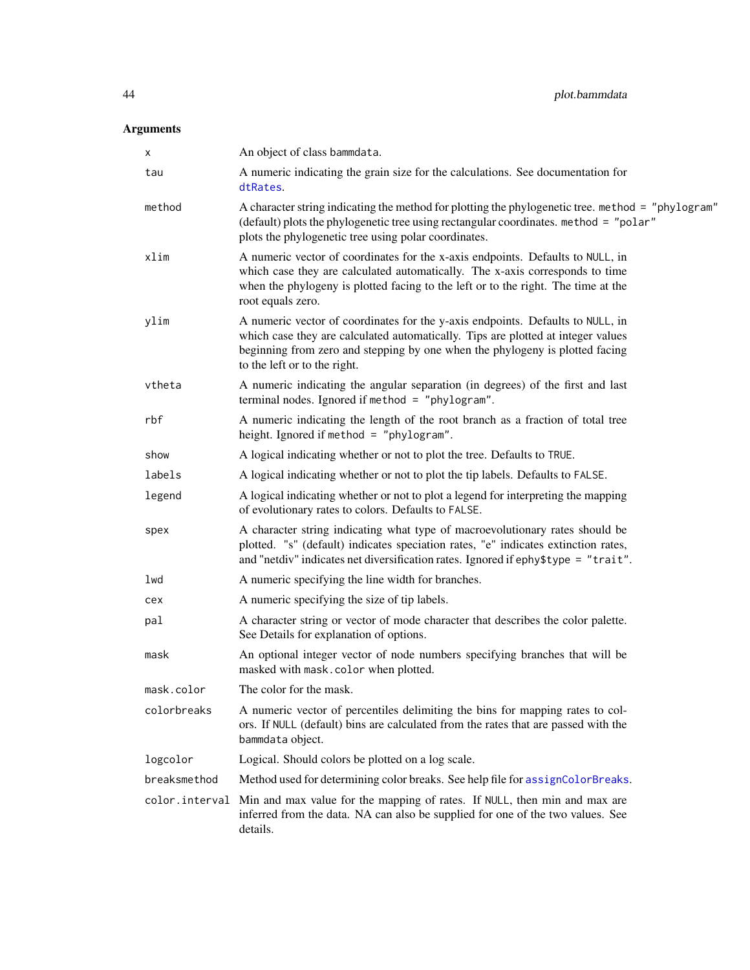| X            | An object of class bammdata.                                                                                                                                                                                                                                                       |
|--------------|------------------------------------------------------------------------------------------------------------------------------------------------------------------------------------------------------------------------------------------------------------------------------------|
| tau          | A numeric indicating the grain size for the calculations. See documentation for<br>dtRates.                                                                                                                                                                                        |
| method       | A character string indicating the method for plotting the phylogenetic tree. method = "phylogram"<br>(default) plots the phylogenetic tree using rectangular coordinates. method = "polar"<br>plots the phylogenetic tree using polar coordinates.                                 |
| xlim         | A numeric vector of coordinates for the x-axis endpoints. Defaults to NULL, in<br>which case they are calculated automatically. The x-axis corresponds to time<br>when the phylogeny is plotted facing to the left or to the right. The time at the<br>root equals zero.           |
| ylim         | A numeric vector of coordinates for the y-axis endpoints. Defaults to NULL, in<br>which case they are calculated automatically. Tips are plotted at integer values<br>beginning from zero and stepping by one when the phylogeny is plotted facing<br>to the left or to the right. |
| vtheta       | A numeric indicating the angular separation (in degrees) of the first and last<br>terminal nodes. Ignored if method = "phylogram".                                                                                                                                                 |
| rbf          | A numeric indicating the length of the root branch as a fraction of total tree<br>height. Ignored if method = "phylogram".                                                                                                                                                         |
| show         | A logical indicating whether or not to plot the tree. Defaults to TRUE.                                                                                                                                                                                                            |
| labels       | A logical indicating whether or not to plot the tip labels. Defaults to FALSE.                                                                                                                                                                                                     |
| legend       | A logical indicating whether or not to plot a legend for interpreting the mapping<br>of evolutionary rates to colors. Defaults to FALSE.                                                                                                                                           |
| spex         | A character string indicating what type of macroevolutionary rates should be<br>plotted. "s" (default) indicates speciation rates, "e" indicates extinction rates,<br>and "netdiv" indicates net diversification rates. Ignored if ephy\$type = "trait".                           |
| lwd          | A numeric specifying the line width for branches.                                                                                                                                                                                                                                  |
| cex          | A numeric specifying the size of tip labels.                                                                                                                                                                                                                                       |
| pal          | A character string or vector of mode character that describes the color palette.<br>See Details for explanation of options.                                                                                                                                                        |
| mask         | An optional integer vector of node numbers specifying branches that will be<br>masked with mask.color when plotted.                                                                                                                                                                |
| mask.color   | The color for the mask.                                                                                                                                                                                                                                                            |
| colorbreaks  | A numeric vector of percentiles delimiting the bins for mapping rates to col-<br>ors. If NULL (default) bins are calculated from the rates that are passed with the<br>bammdata object.                                                                                            |
| logcolor     | Logical. Should colors be plotted on a log scale.                                                                                                                                                                                                                                  |
| breaksmethod | Method used for determining color breaks. See help file for assignColorBreaks.                                                                                                                                                                                                     |
|              | color. interval Min and max value for the mapping of rates. If NULL, then min and max are<br>inferred from the data. NA can also be supplied for one of the two values. See<br>details.                                                                                            |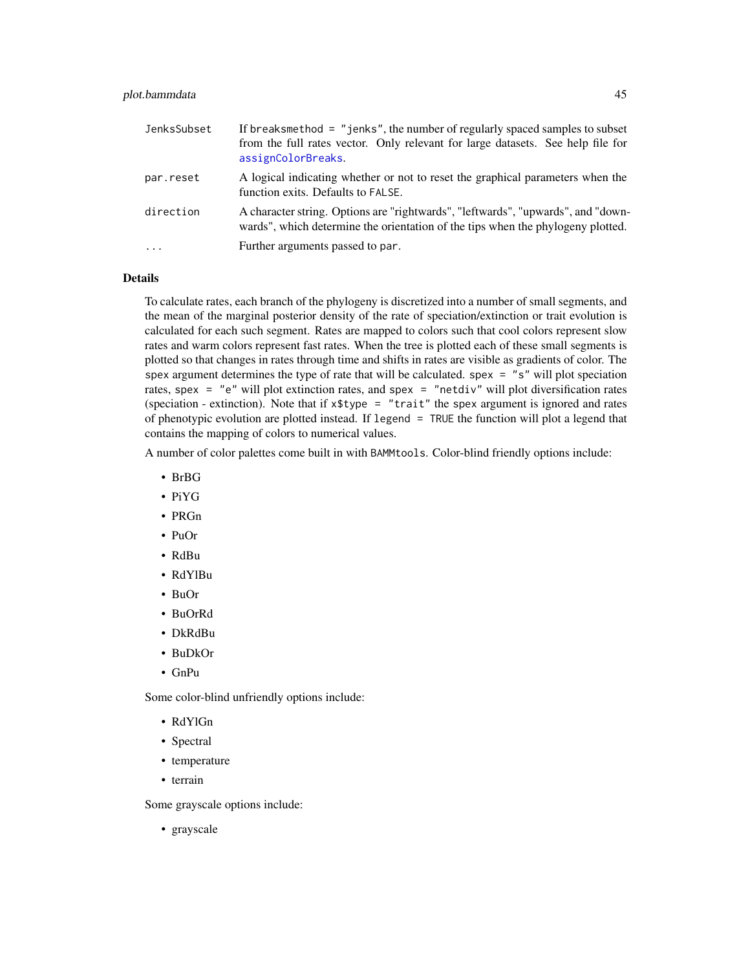### plot.bammdata 45

| JenksSubset | If breaksmethod = $"jenks",$ the number of regularly spaced samples to subset<br>from the full rates vector. Only relevant for large datasets. See help file for<br>assignColorBreaks. |
|-------------|----------------------------------------------------------------------------------------------------------------------------------------------------------------------------------------|
| par.reset   | A logical indicating whether or not to reset the graphical parameters when the<br>function exits. Defaults to FALSE.                                                                   |
| direction   | A character string. Options are "rightwards", "leftwards", "upwards", and "down-<br>wards", which determine the orientation of the tips when the phylogeny plotted.                    |
| $\ddotsc$   | Further arguments passed to par.                                                                                                                                                       |

### Details

To calculate rates, each branch of the phylogeny is discretized into a number of small segments, and the mean of the marginal posterior density of the rate of speciation/extinction or trait evolution is calculated for each such segment. Rates are mapped to colors such that cool colors represent slow rates and warm colors represent fast rates. When the tree is plotted each of these small segments is plotted so that changes in rates through time and shifts in rates are visible as gradients of color. The spex argument determines the type of rate that will be calculated. spex  $=$  "s" will plot speciation rates, spex = "e" will plot extinction rates, and spex = "netdiv" will plot diversification rates (speciation - extinction). Note that if  $x$ \$type = "trait" the spex argument is ignored and rates of phenotypic evolution are plotted instead. If legend = TRUE the function will plot a legend that contains the mapping of colors to numerical values.

A number of color palettes come built in with BAMMtools. Color-blind friendly options include:

- BrBG
- PiYG
- PRGn
- PuOr
- RdBu
- RdYlBu
- BuOr
- BuOrRd
- DkRdBu
- BuDkOr
- GnPu

Some color-blind unfriendly options include:

- RdYlGn
- Spectral
- temperature
- terrain

Some grayscale options include:

• grayscale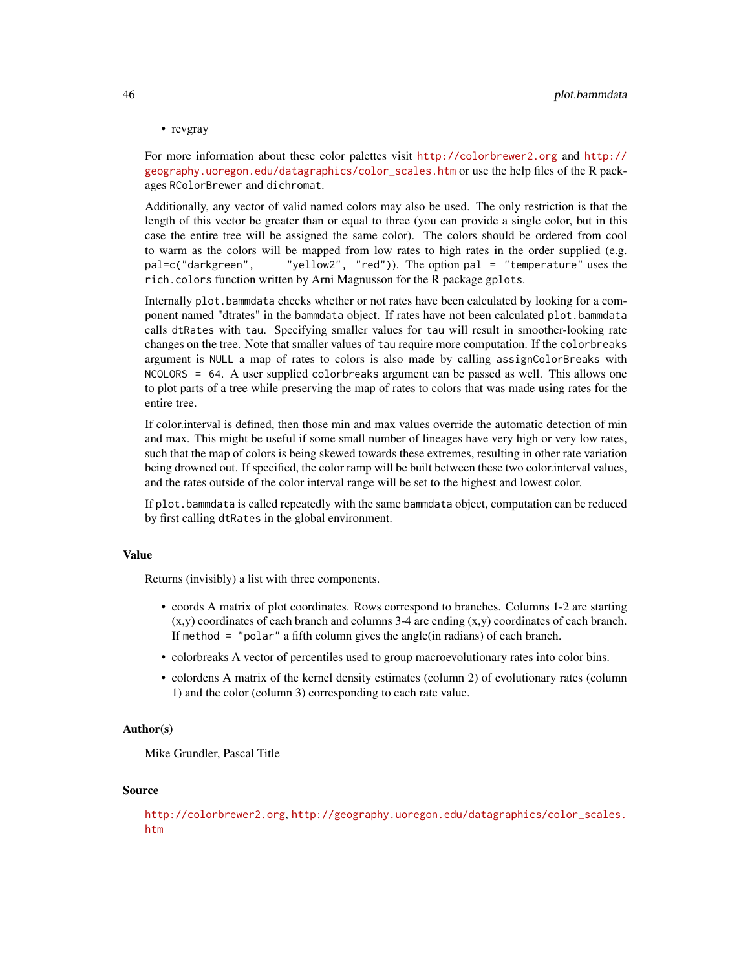• revgray

For more information about these color palettes visit <http://colorbrewer2.org> and [http://](http://geography.uoregon.edu/datagraphics/color_scales.htm) [geography.uoregon.edu/datagraphics/color\\_scales.htm](http://geography.uoregon.edu/datagraphics/color_scales.htm) or use the help files of the R packages RColorBrewer and dichromat.

Additionally, any vector of valid named colors may also be used. The only restriction is that the length of this vector be greater than or equal to three (you can provide a single color, but in this case the entire tree will be assigned the same color). The colors should be ordered from cool to warm as the colors will be mapped from low rates to high rates in the order supplied (e.g. pal=c("darkgreen", "yellow2", "red")). The option pal = "temperature" uses the rich.colors function written by Arni Magnusson for the R package gplots.

Internally plot.bammdata checks whether or not rates have been calculated by looking for a component named "dtrates" in the bammdata object. If rates have not been calculated plot.bammdata calls dtRates with tau. Specifying smaller values for tau will result in smoother-looking rate changes on the tree. Note that smaller values of tau require more computation. If the colorbreaks argument is NULL a map of rates to colors is also made by calling assignColorBreaks with NCOLORS = 64. A user supplied colorbreaks argument can be passed as well. This allows one to plot parts of a tree while preserving the map of rates to colors that was made using rates for the entire tree.

If color.interval is defined, then those min and max values override the automatic detection of min and max. This might be useful if some small number of lineages have very high or very low rates, such that the map of colors is being skewed towards these extremes, resulting in other rate variation being drowned out. If specified, the color ramp will be built between these two color.interval values, and the rates outside of the color interval range will be set to the highest and lowest color.

If plot. bammdata is called repeatedly with the same bammdata object, computation can be reduced by first calling dtRates in the global environment.

#### Value

Returns (invisibly) a list with three components.

- coords A matrix of plot coordinates. Rows correspond to branches. Columns 1-2 are starting  $(x,y)$  coordinates of each branch and columns 3-4 are ending  $(x,y)$  coordinates of each branch. If method = "polar" a fifth column gives the angle(in radians) of each branch.
- colorbreaks A vector of percentiles used to group macroevolutionary rates into color bins.
- colordens A matrix of the kernel density estimates (column 2) of evolutionary rates (column 1) and the color (column 3) corresponding to each rate value.

### Author(s)

Mike Grundler, Pascal Title

#### Source

```
http://colorbrewer2.org, http://geography.uoregon.edu/datagraphics/color_scales.
htm
```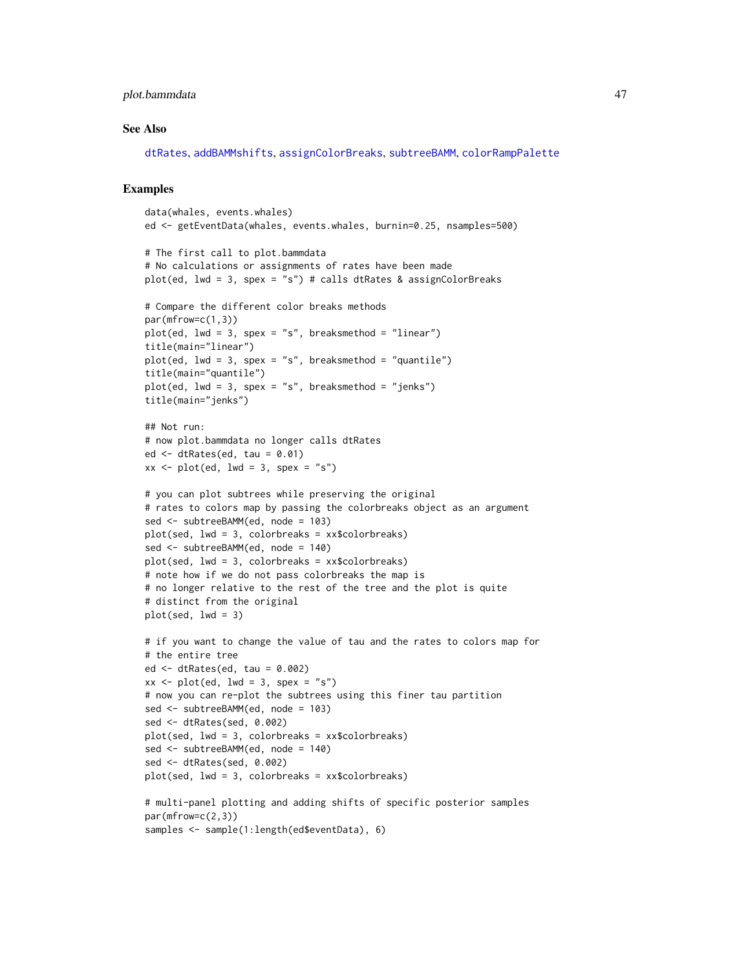### plot.bammdata 47

#### See Also

[dtRates](#page-20-0), [addBAMMshifts](#page-3-0), [assignColorBreaks](#page-5-0), [subtreeBAMM](#page-62-0), [colorRampPalette](#page-0-0)

#### Examples

```
data(whales, events.whales)
ed <- getEventData(whales, events.whales, burnin=0.25, nsamples=500)
# The first call to plot.bammdata
# No calculations or assignments of rates have been made
plot(ed, lwd = 3, spex = "s") # calls dtRates & assignColorBreaks
# Compare the different color breaks methods
par(mfrow=c(1,3))
plot(ed, lwd = 3, spex = "s", breaksmethod = "linear")
title(main="linear")
plot(ed, lwd = 3, spex = "s", breaksmethod = "quantile")
title(main="quantile")
plot(ed, lwd = 3, spex = "s", breaksmethod = "jenks")title(main="jenks")
## Not run:
# now plot.bammdata no longer calls dtRates
ed \leq dtRates(ed, tau = 0.01)
xx \leq plot(ed, lwd = 3, spex = "s")# you can plot subtrees while preserving the original
# rates to colors map by passing the colorbreaks object as an argument
sed <- subtreeBAMM(ed, node = 103)
plot(sed, lwd = 3, colorbreaks = xx$colorbreaks)
sed <- subtreeBAMM(ed, node = 140)
plot(sed, lwd = 3, colorbreaks = xx$colorbreaks)
# note how if we do not pass colorbreaks the map is
# no longer relative to the rest of the tree and the plot is quite
# distinct from the original
plot(sed, lwd = 3)# if you want to change the value of tau and the rates to colors map for
# the entire tree
ed \leq dtRates(ed, tau = 0.002)
xx \le - plot(ed, lwd = 3, spex = "s")
# now you can re-plot the subtrees using this finer tau partition
sed <- subtreeBAMM(ed, node = 103)
sed <- dtRates(sed, 0.002)
plot(sed, lwd = 3, colorbreaks = xx$colorbreaks)
sed <- subtreeBAMM(ed, node = 140)
sed <- dtRates(sed, 0.002)
plot(sed, lwd = 3, colorbreaks = xx$colorbreaks)
# multi-panel plotting and adding shifts of specific posterior samples
par(mfrow=c(2,3))
samples <- sample(1:length(ed$eventData), 6)
```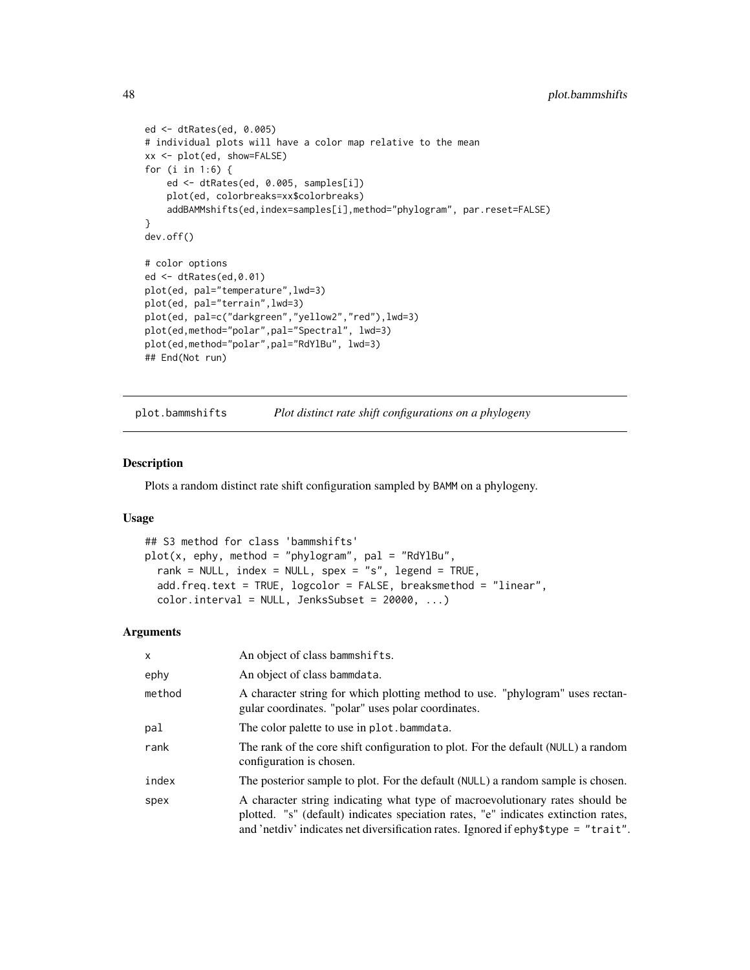```
ed <- dtRates(ed, 0.005)
# individual plots will have a color map relative to the mean
xx <- plot(ed, show=FALSE)
for (i in 1:6) {
    ed <- dtRates(ed, 0.005, samples[i])
    plot(ed, colorbreaks=xx$colorbreaks)
    addBAMMshifts(ed,index=samples[i],method="phylogram", par.reset=FALSE)
}
dev.off()
# color options
ed <- dtRates(ed,0.01)
plot(ed, pal="temperature",lwd=3)
plot(ed, pal="terrain",lwd=3)
plot(ed, pal=c("darkgreen","yellow2","red"),lwd=3)
plot(ed,method="polar",pal="Spectral", lwd=3)
plot(ed,method="polar",pal="RdYlBu", lwd=3)
## End(Not run)
```
<span id="page-47-0"></span>plot.bammshifts *Plot distinct rate shift configurations on a phylogeny*

### Description

Plots a random distinct rate shift configuration sampled by BAMM on a phylogeny.

### Usage

```
## S3 method for class 'bammshifts'
plot(x, ephy, method = "phylogram", pal = "RdYlBu",rank = NULL, index = NULL, spex = "s", legend = TRUE,
  add.freq.text = TRUE, logcolor = FALSE, breaksmethod = "linear",
  color.interval = NULL, Jenkssubset = 20000, ...)
```

| X      | An object of class bammshifts.                                                                                                                                                                                                                           |
|--------|----------------------------------------------------------------------------------------------------------------------------------------------------------------------------------------------------------------------------------------------------------|
| ephy   | An object of class bammdata.                                                                                                                                                                                                                             |
| method | A character string for which plotting method to use. "phylogram" uses rectan-<br>gular coordinates. "polar" uses polar coordinates.                                                                                                                      |
| pal    | The color palette to use in plot. bammedata.                                                                                                                                                                                                             |
| rank   | The rank of the core shift configuration to plot. For the default (NULL) a random<br>configuration is chosen.                                                                                                                                            |
| index  | The posterior sample to plot. For the default (NULL) a random sample is chosen.                                                                                                                                                                          |
| spex   | A character string indicating what type of macroevolutionary rates should be<br>plotted. "s" (default) indicates speciation rates, "e" indicates extinction rates,<br>and 'netdiv' indicates net diversification rates. Ignored if ephy\$type = "trait". |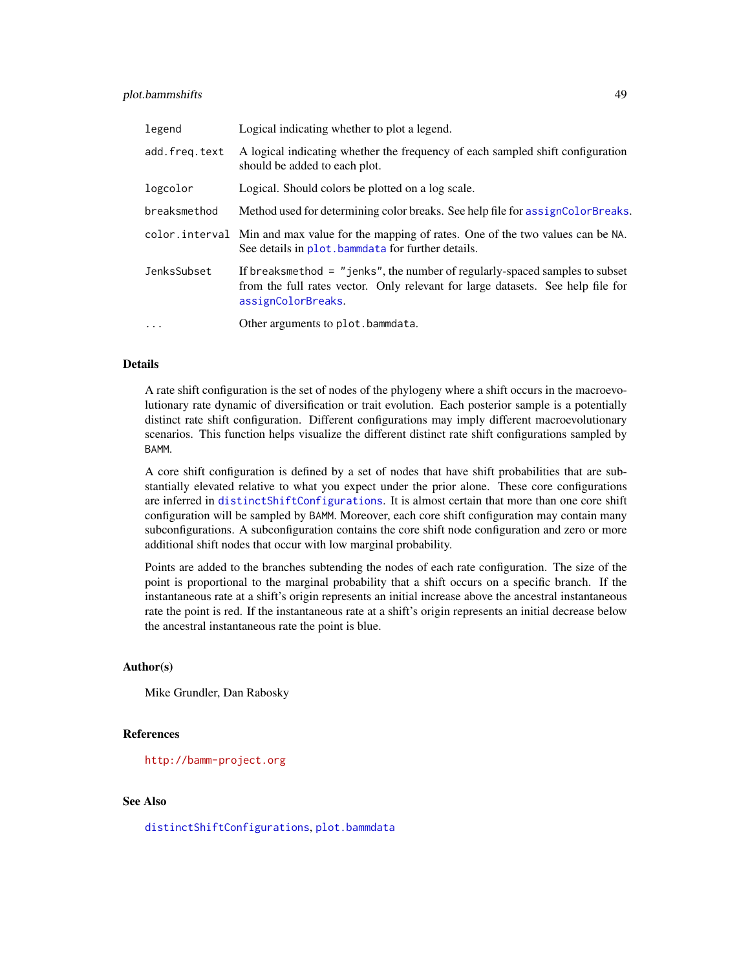### plot.bammshifts 49

| legend        | Logical indicating whether to plot a legend.                                                                                                                                           |
|---------------|----------------------------------------------------------------------------------------------------------------------------------------------------------------------------------------|
| add.freg.text | A logical indicating whether the frequency of each sampled shift configuration<br>should be added to each plot.                                                                        |
| logcolor      | Logical. Should colors be plotted on a log scale.                                                                                                                                      |
| breaksmethod  | Method used for determining color breaks. See help file for assign Color Breaks.                                                                                                       |
|               | color interval Min and max value for the mapping of rates. One of the two values can be NA.<br>See details in plot, bammedata for further details.                                     |
| JenksSubset   | If breaksmethod = $"jenks",$ the number of regularly-spaced samples to subset<br>from the full rates vector. Only relevant for large datasets. See help file for<br>assignColorBreaks. |
| $\cdots$      | Other arguments to plot.bammdata.                                                                                                                                                      |

#### Details

A rate shift configuration is the set of nodes of the phylogeny where a shift occurs in the macroevolutionary rate dynamic of diversification or trait evolution. Each posterior sample is a potentially distinct rate shift configuration. Different configurations may imply different macroevolutionary scenarios. This function helps visualize the different distinct rate shift configurations sampled by BAMM.

A core shift configuration is defined by a set of nodes that have shift probabilities that are substantially elevated relative to what you expect under the prior alone. These core configurations are inferred in [distinctShiftConfigurations](#page-18-0). It is almost certain that more than one core shift configuration will be sampled by BAMM. Moreover, each core shift configuration may contain many subconfigurations. A subconfiguration contains the core shift node configuration and zero or more additional shift nodes that occur with low marginal probability.

Points are added to the branches subtending the nodes of each rate configuration. The size of the point is proportional to the marginal probability that a shift occurs on a specific branch. If the instantaneous rate at a shift's origin represents an initial increase above the ancestral instantaneous rate the point is red. If the instantaneous rate at a shift's origin represents an initial decrease below the ancestral instantaneous rate the point is blue.

### Author(s)

Mike Grundler, Dan Rabosky

### References

<http://bamm-project.org>

### See Also

[distinctShiftConfigurations](#page-18-0), [plot.bammdata](#page-42-0)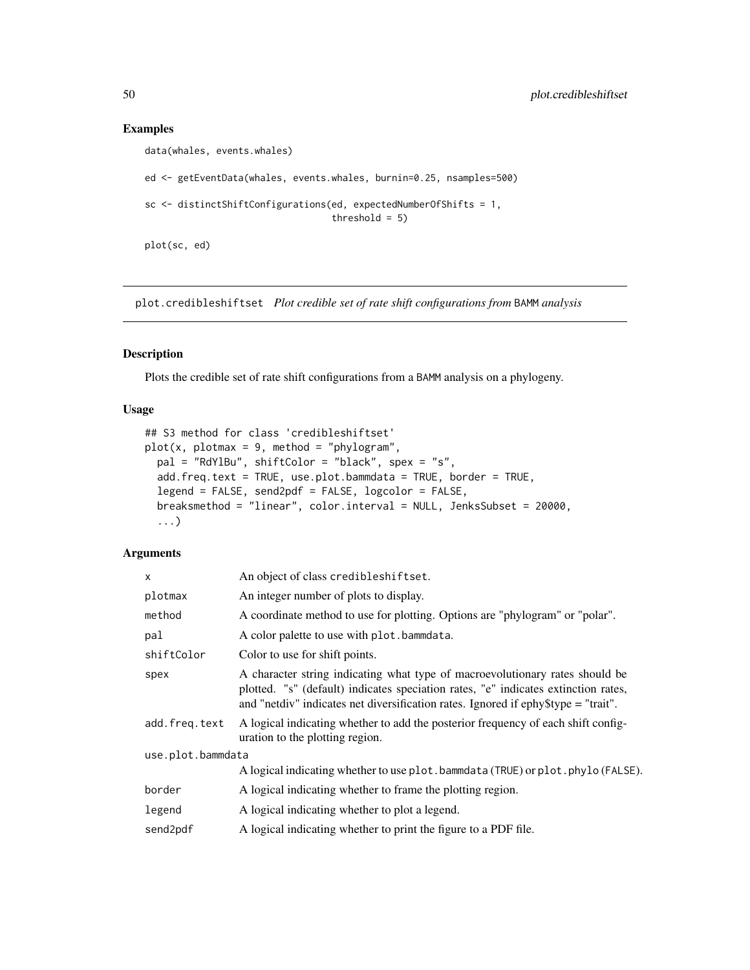### Examples

```
data(whales, events.whales)
ed <- getEventData(whales, events.whales, burnin=0.25, nsamples=500)
sc <- distinctShiftConfigurations(ed, expectedNumberOfShifts = 1,
                                  threshold = 5)
plot(sc, ed)
```
plot.credibleshiftset *Plot credible set of rate shift configurations from* BAMM *analysis*

## Description

Plots the credible set of rate shift configurations from a BAMM analysis on a phylogeny.

### Usage

```
## S3 method for class 'credibleshiftset'
plot(x, plotmax = 9, method = "phylogram",pal = "RdYlBu", shiftColor = "black", spex = "s",
 add.freq.text = TRUE, use.plot.bammdata = TRUE, border = TRUE,
  legend = FALSE, send2pdf = FALSE, logcolor = FALSE,
 breaksmethod = "linear", color.interval = NULL, JenksSubset = 20000,
  ...)
```

| X                 | An object of class credibleshiftset.                                                                                                                                                                                                                     |
|-------------------|----------------------------------------------------------------------------------------------------------------------------------------------------------------------------------------------------------------------------------------------------------|
| plotmax           | An integer number of plots to display.                                                                                                                                                                                                                   |
| method            | A coordinate method to use for plotting. Options are "phylogram" or "polar".                                                                                                                                                                             |
| pal               | A color palette to use with plot. bammdata.                                                                                                                                                                                                              |
| shiftColor        | Color to use for shift points.                                                                                                                                                                                                                           |
| spex              | A character string indicating what type of macroevolutionary rates should be<br>plotted. "s" (default) indicates speciation rates, "e" indicates extinction rates,<br>and "netdiv" indicates net diversification rates. Ignored if ephy\$type = "trait". |
| add.freq.text     | A logical indicating whether to add the posterior frequency of each shift config-<br>uration to the plotting region.                                                                                                                                     |
| use.plot.bammdata |                                                                                                                                                                                                                                                          |
|                   | A logical indicating whether to use plot. bammdata (TRUE) or plot. phylo (FALSE).                                                                                                                                                                        |
| border            | A logical indicating whether to frame the plotting region.                                                                                                                                                                                               |
| legend            | A logical indicating whether to plot a legend.                                                                                                                                                                                                           |
| send2pdf          | A logical indicating whether to print the figure to a PDF file.                                                                                                                                                                                          |
|                   |                                                                                                                                                                                                                                                          |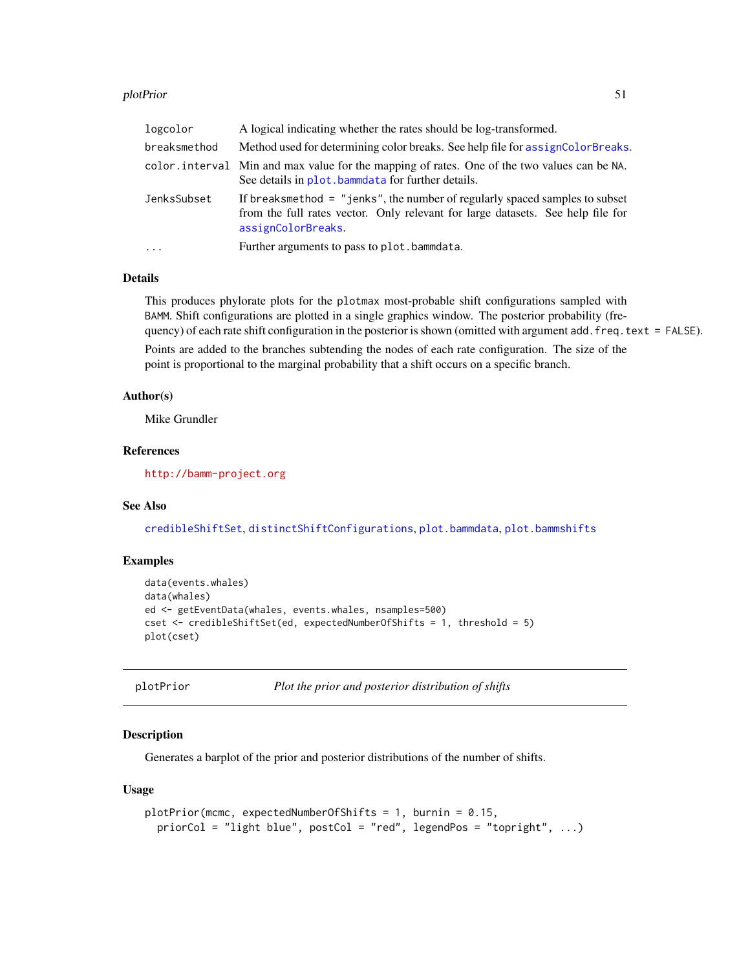#### plotPrior 51

| breaksmethod<br>Method used for determining color breaks. See help file for assign Color Breaks.                                                                                                      |  |
|-------------------------------------------------------------------------------------------------------------------------------------------------------------------------------------------------------|--|
| color, interval Min and max value for the mapping of rates. One of the two values can be NA.<br>See details in plot, bammedate for further details.                                                   |  |
| If breaksmethod $=$ "jenks", the number of regularly spaced samples to subset<br>JenksSubset<br>from the full rates vector. Only relevant for large datasets. See help file for<br>assignColorBreaks. |  |
| Further arguments to pass to plot.bammdata.<br>$\ddots$ .                                                                                                                                             |  |

### Details

This produces phylorate plots for the plotmax most-probable shift configurations sampled with BAMM. Shift configurations are plotted in a single graphics window. The posterior probability (frequency) of each rate shift configuration in the posterior is shown (omitted with argument add. freq.text = FALSE).

Points are added to the branches subtending the nodes of each rate configuration. The size of the point is proportional to the marginal probability that a shift occurs on a specific branch.

### Author(s)

Mike Grundler

### References

<http://bamm-project.org>

### See Also

[credibleShiftSet](#page-13-0), [distinctShiftConfigurations](#page-18-0), [plot.bammdata](#page-42-0), [plot.bammshifts](#page-47-0)

#### Examples

```
data(events.whales)
data(whales)
ed <- getEventData(whales, events.whales, nsamples=500)
cset <- credibleShiftSet(ed, expectedNumberOfShifts = 1, threshold = 5)
plot(cset)
```
plotPrior *Plot the prior and posterior distribution of shifts*

### Description

Generates a barplot of the prior and posterior distributions of the number of shifts.

#### Usage

```
plotPrior(mcmc, expectedNumberOfShifts = 1, burnin = 0.15,
 priorCol = "light blue", postCol = "red", legendPos = "topright", ...)
```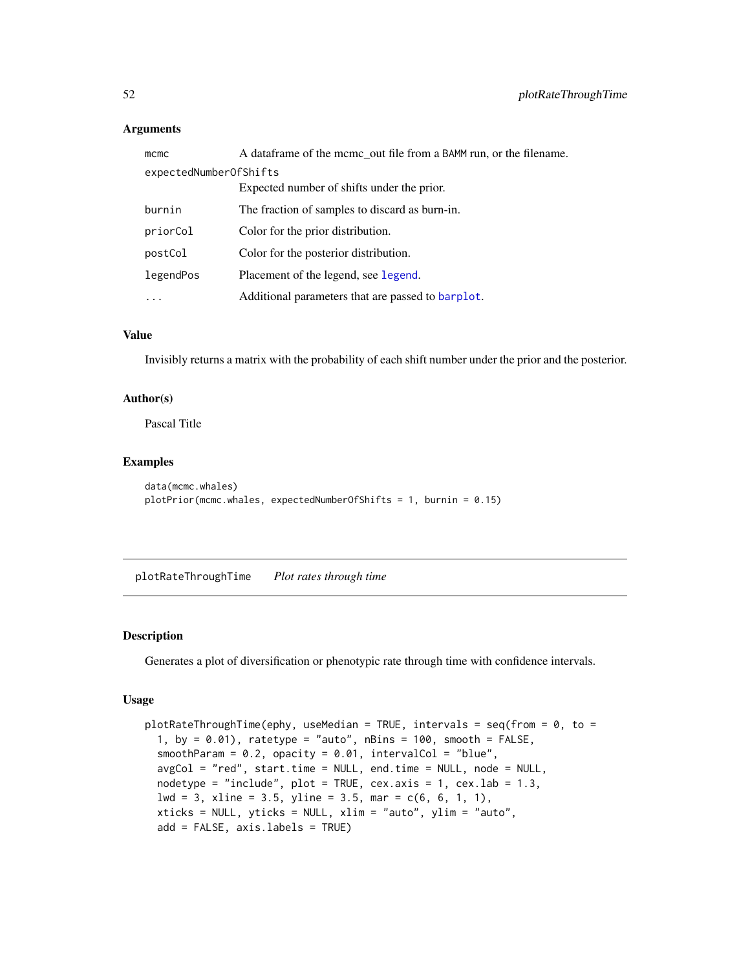### Arguments

| mcmc                   | A dataframe of the mcmc_out file from a BAMM run, or the filename. |
|------------------------|--------------------------------------------------------------------|
| expectedNumberOfShifts |                                                                    |
|                        | Expected number of shifts under the prior.                         |
| burnin                 | The fraction of samples to discard as burn-in.                     |
| priorCol               | Color for the prior distribution.                                  |
| postCol                | Color for the posterior distribution.                              |
| legendPos              | Placement of the legend, see legend.                               |
| $\cdots$               | Additional parameters that are passed to barplot.                  |

### Value

Invisibly returns a matrix with the probability of each shift number under the prior and the posterior.

# Author(s)

Pascal Title

### Examples

```
data(mcmc.whales)
plotPrior(mcmc.whales, expectedNumberOfShifts = 1, burnin = 0.15)
```
<span id="page-51-0"></span>plotRateThroughTime *Plot rates through time*

#### Description

Generates a plot of diversification or phenotypic rate through time with confidence intervals.

### Usage

```
plotRateThroughTime(ephy, useMedian = TRUE, intervals = seq(from = 0, to =
  1, by = 0.01), ratetype = "auto", nBins = 100, smooth = FALSE,
  smoothParam = 0.2, opacity = 0.01, intervalCol = "blue",
 avgCol = "red", start.time = NULL, end.time = NULL, node = NULL,
 nodetype = "include", plot = TRUE, cex.axis = 1, cex.lab = 1.3,
  1wd = 3, xline = 3.5, yline = 3.5, mar = c(6, 6, 1, 1),
 xticks = NULL, yticks = NULL, xlim = "auto", ylim = "auto",
  add = FALSE, axis.labels = TRUE)
```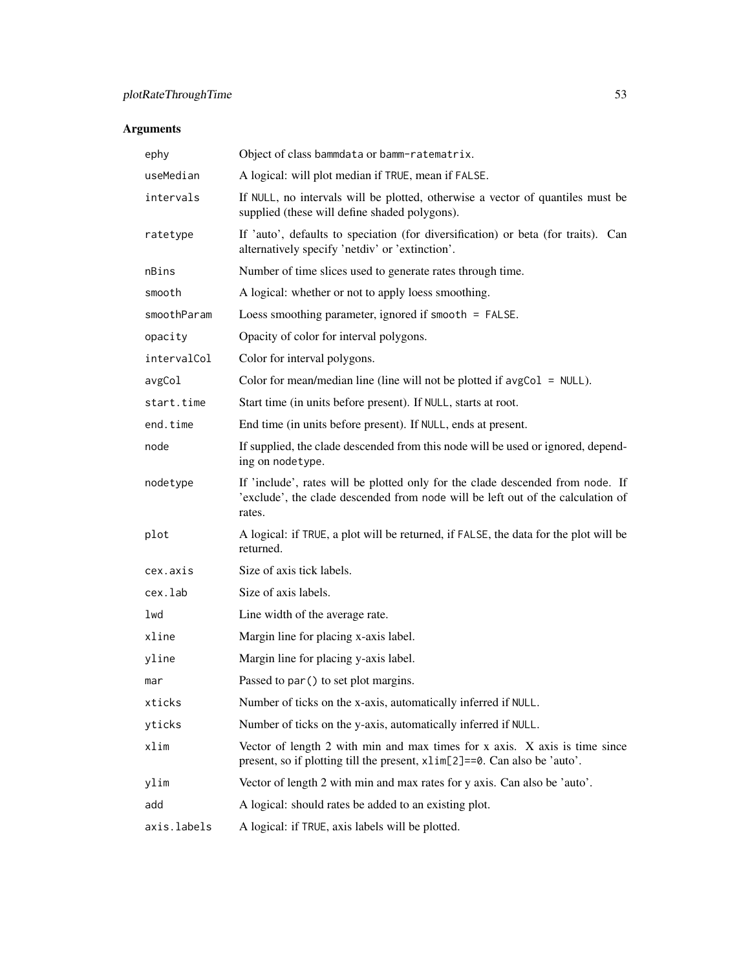| ephy        | Object of class bammdata or bamm-ratematrix.                                                                                                                                |
|-------------|-----------------------------------------------------------------------------------------------------------------------------------------------------------------------------|
| useMedian   | A logical: will plot median if TRUE, mean if FALSE.                                                                                                                         |
| intervals   | If NULL, no intervals will be plotted, otherwise a vector of quantiles must be<br>supplied (these will define shaded polygons).                                             |
| ratetype    | If 'auto', defaults to speciation (for diversification) or beta (for traits). Can<br>alternatively specify 'netdiv' or 'extinction'.                                        |
| nBins       | Number of time slices used to generate rates through time.                                                                                                                  |
| smooth      | A logical: whether or not to apply loess smoothing.                                                                                                                         |
| smoothParam | Loess smoothing parameter, ignored if smooth = FALSE.                                                                                                                       |
| opacity     | Opacity of color for interval polygons.                                                                                                                                     |
| intervalCol | Color for interval polygons.                                                                                                                                                |
| avgCol      | Color for mean/median line (line will not be plotted if $avgCol = NULL$ ).                                                                                                  |
| start.time  | Start time (in units before present). If NULL, starts at root.                                                                                                              |
| end.time    | End time (in units before present). If NULL, ends at present.                                                                                                               |
| node        | If supplied, the clade descended from this node will be used or ignored, depend-<br>ing on nodetype.                                                                        |
| nodetype    | If 'include', rates will be plotted only for the clade descended from node. If<br>'exclude', the clade descended from node will be left out of the calculation of<br>rates. |
| plot        | A logical: if TRUE, a plot will be returned, if FALSE, the data for the plot will be<br>returned.                                                                           |
| cex.axis    | Size of axis tick labels.                                                                                                                                                   |
| cex.lab     | Size of axis labels.                                                                                                                                                        |
| lwd         | Line width of the average rate.                                                                                                                                             |
| xline       | Margin line for placing x-axis label.                                                                                                                                       |
| yline       | Margin line for placing y-axis label.                                                                                                                                       |
| mar         | Passed to par () to set plot margins.                                                                                                                                       |
| xticks      | Number of ticks on the x-axis, automatically inferred if NULL.                                                                                                              |
| yticks      | Number of ticks on the y-axis, automatically inferred if NULL.                                                                                                              |
| xlim        | Vector of length 2 with min and max times for x axis. X axis is time since<br>present, so if plotting till the present, x1im[2]==0. Can also be 'auto'.                     |
| ylim        | Vector of length 2 with min and max rates for y axis. Can also be 'auto'.                                                                                                   |
| add         | A logical: should rates be added to an existing plot.                                                                                                                       |
| axis.labels | A logical: if TRUE, axis labels will be plotted.                                                                                                                            |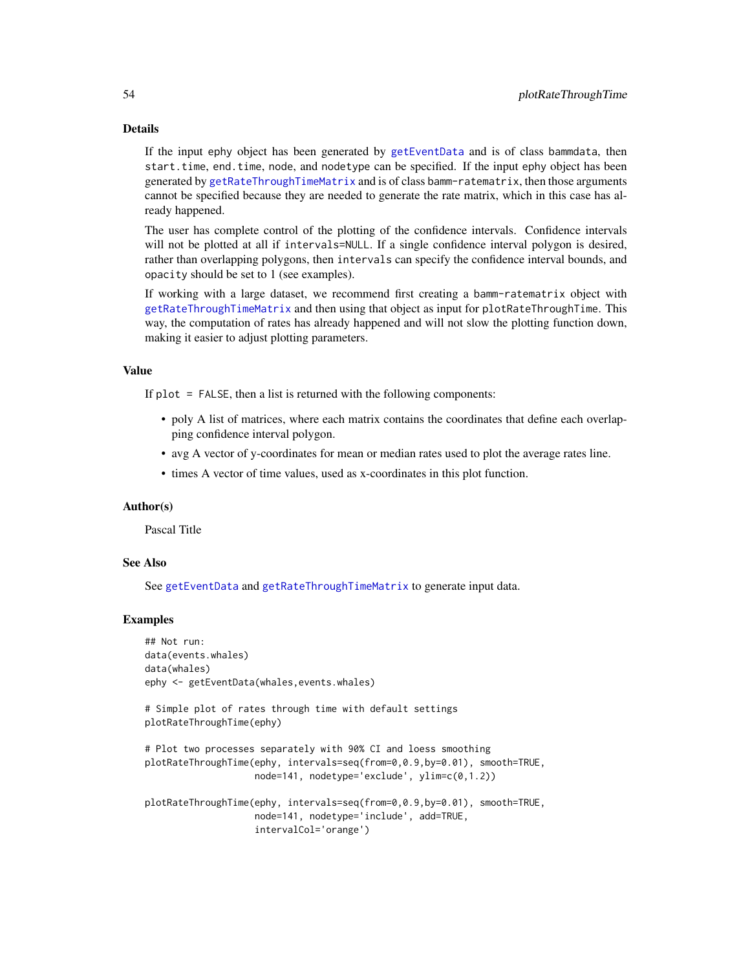If the input ephy object has been generated by [getEventData](#page-28-0) and is of class bammdata, then start.time, end.time, node, and nodetype can be specified. If the input ephy object has been generated by [getRateThroughTimeMatrix](#page-35-0) and is of class bamm-ratematrix, then those arguments cannot be specified because they are needed to generate the rate matrix, which in this case has already happened.

The user has complete control of the plotting of the confidence intervals. Confidence intervals will not be plotted at all if intervals=NULL. If a single confidence interval polygon is desired, rather than overlapping polygons, then intervals can specify the confidence interval bounds, and opacity should be set to 1 (see examples).

If working with a large dataset, we recommend first creating a bamm-ratematrix object with [getRateThroughTimeMatrix](#page-35-0) and then using that object as input for plotRateThroughTime. This way, the computation of rates has already happened and will not slow the plotting function down, making it easier to adjust plotting parameters.

### Value

If  $plot = FALSE$ , then a list is returned with the following components:

- poly A list of matrices, where each matrix contains the coordinates that define each overlapping confidence interval polygon.
- avg A vector of y-coordinates for mean or median rates used to plot the average rates line.
- times A vector of time values, used as x-coordinates in this plot function.

#### Author(s)

Pascal Title

#### See Also

See [getEventData](#page-28-0) and [getRateThroughTimeMatrix](#page-35-0) to generate input data.

#### Examples

```
## Not run:
data(events.whales)
data(whales)
ephy <- getEventData(whales,events.whales)
```

```
# Simple plot of rates through time with default settings
plotRateThroughTime(ephy)
```

```
# Plot two processes separately with 90% CI and loess smoothing
plotRateThroughTime(ephy, intervals=seq(from=0,0.9,by=0.01), smooth=TRUE,
                   node=141, nodetype='exclude', ylim=c(0,1.2))
```

```
plotRateThroughTime(ephy, intervals=seq(from=0,0.9,by=0.01), smooth=TRUE,
                   node=141, nodetype='include', add=TRUE,
                    intervalCol='orange')
```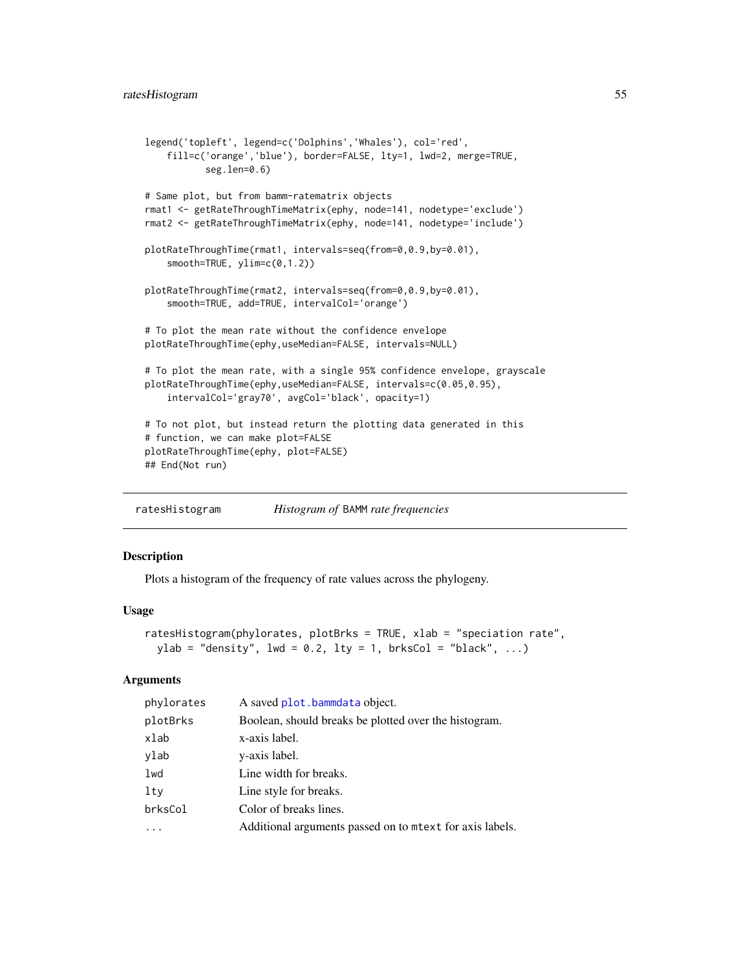```
legend('topleft', legend=c('Dolphins','Whales'), col='red',
    fill=c('orange','blue'), border=FALSE, lty=1, lwd=2, merge=TRUE,
           seg.len=0.6)
# Same plot, but from bamm-ratematrix objects
rmat1 <- getRateThroughTimeMatrix(ephy, node=141, nodetype='exclude')
rmat2 <- getRateThroughTimeMatrix(ephy, node=141, nodetype='include')
plotRateThroughTime(rmat1, intervals=seq(from=0,0.9,by=0.01),
    smooth=TRUE, ylim=c(0,1.2))
plotRateThroughTime(rmat2, intervals=seq(from=0,0.9,by=0.01),
    smooth=TRUE, add=TRUE, intervalCol='orange')
# To plot the mean rate without the confidence envelope
plotRateThroughTime(ephy,useMedian=FALSE, intervals=NULL)
# To plot the mean rate, with a single 95% confidence envelope, grayscale
plotRateThroughTime(ephy,useMedian=FALSE, intervals=c(0.05,0.95),
    intervalCol='gray70', avgCol='black', opacity=1)
# To not plot, but instead return the plotting data generated in this
# function, we can make plot=FALSE
plotRateThroughTime(ephy, plot=FALSE)
## End(Not run)
```
ratesHistogram *Histogram of* BAMM *rate frequencies*

### Description

Plots a histogram of the frequency of rate values across the phylogeny.

#### Usage

```
ratesHistogram(phylorates, plotBrks = TRUE, xlab = "speciation rate",
 ylab = "density", lwd = 0.2, lty = 1, brksCol = "black", ...)
```

| phylorates | A saved plot.bammdata object.                           |
|------------|---------------------------------------------------------|
| plotBrks   | Boolean, should breaks be plotted over the histogram.   |
| xlab       | x-axis label.                                           |
| ylab       | y-axis label.                                           |
| lwd        | Line width for breaks.                                  |
| lty        | Line style for breaks.                                  |
| brksCol    | Color of breaks lines.                                  |
|            | Additional arguments passed on to metx for axis labels. |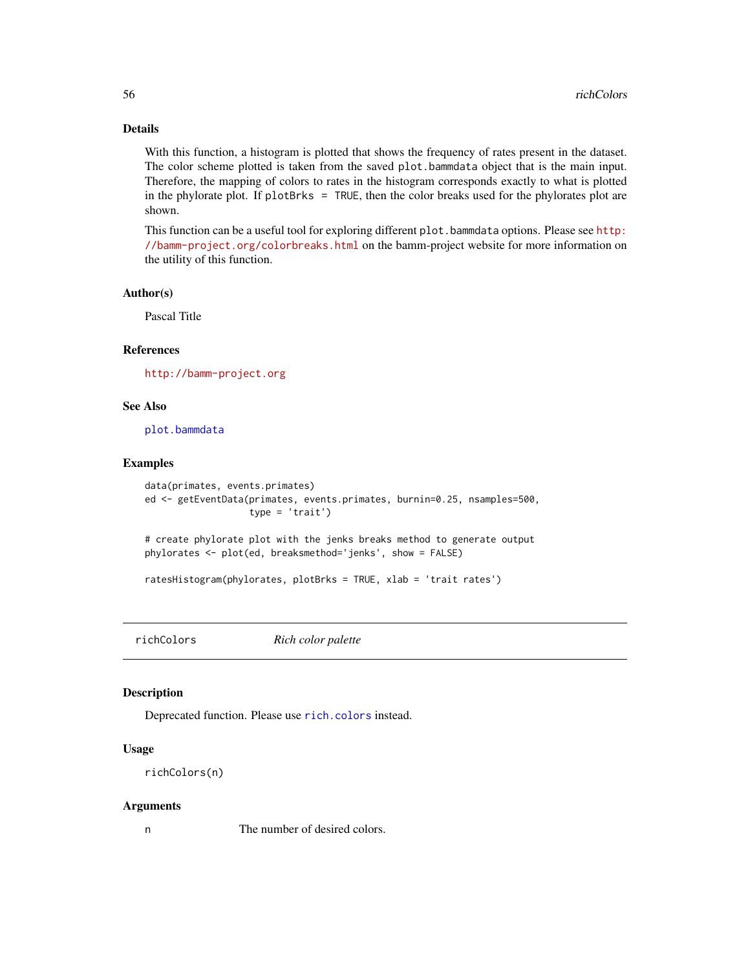With this function, a histogram is plotted that shows the frequency of rates present in the dataset. The color scheme plotted is taken from the saved plot.bammdata object that is the main input. Therefore, the mapping of colors to rates in the histogram corresponds exactly to what is plotted in the phylorate plot. If plotBrks = TRUE, then the color breaks used for the phylorates plot are shown.

This function can be a useful tool for exploring different plot.bammdata options. Please see [http:](http://bamm-project.org/colorbreaks.html) [//bamm-project.org/colorbreaks.html](http://bamm-project.org/colorbreaks.html) on the bamm-project website for more information on the utility of this function.

#### Author(s)

Pascal Title

### References

<http://bamm-project.org>

#### See Also

[plot.bammdata](#page-42-0)

### Examples

```
data(primates, events.primates)
ed <- getEventData(primates, events.primates, burnin=0.25, nsamples=500,
                   type = 'trait')
```
# create phylorate plot with the jenks breaks method to generate output phylorates <- plot(ed, breaksmethod='jenks', show = FALSE)

ratesHistogram(phylorates, plotBrks = TRUE, xlab = 'trait rates')

richColors *Rich color palette*

### Description

Deprecated function. Please use [rich.colors](#page-0-0) instead.

### Usage

```
richColors(n)
```
#### Arguments

n The number of desired colors.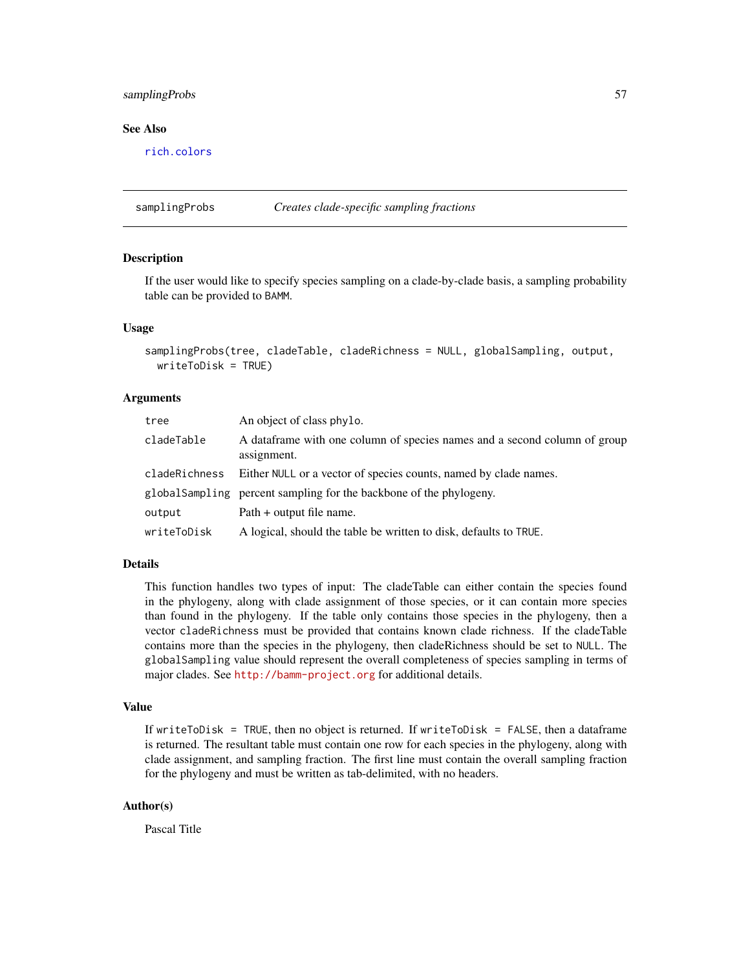### samplingProbs 57

#### See Also

[rich.colors](#page-0-0)

samplingProbs *Creates clade-specific sampling fractions*

#### **Description**

If the user would like to specify species sampling on a clade-by-clade basis, a sampling probability table can be provided to BAMM.

### Usage

```
samplingProbs(tree, cladeTable, cladeRichness = NULL, globalSampling, output,
 writeToDisk = TRUE)
```
#### Arguments

| tree          | An object of class phylo.                                                                 |  |
|---------------|-------------------------------------------------------------------------------------------|--|
| cladeTable    | A data frame with one column of species names and a second column of group<br>assignment. |  |
| cladeRichness | Either NULL or a vector of species counts, named by clade names.                          |  |
|               | global Sampling percent sampling for the backbone of the phylogeny.                       |  |
| output        | Path + output file name.                                                                  |  |
| writeToDisk   | A logical, should the table be written to disk, defaults to TRUE.                         |  |

#### Details

This function handles two types of input: The cladeTable can either contain the species found in the phylogeny, along with clade assignment of those species, or it can contain more species than found in the phylogeny. If the table only contains those species in the phylogeny, then a vector cladeRichness must be provided that contains known clade richness. If the cladeTable contains more than the species in the phylogeny, then cladeRichness should be set to NULL. The globalSampling value should represent the overall completeness of species sampling in terms of major clades. See <http://bamm-project.org> for additional details.

### Value

If writeToDisk = TRUE, then no object is returned. If writeToDisk = FALSE, then a dataframe is returned. The resultant table must contain one row for each species in the phylogeny, along with clade assignment, and sampling fraction. The first line must contain the overall sampling fraction for the phylogeny and must be written as tab-delimited, with no headers.

#### Author(s)

Pascal Title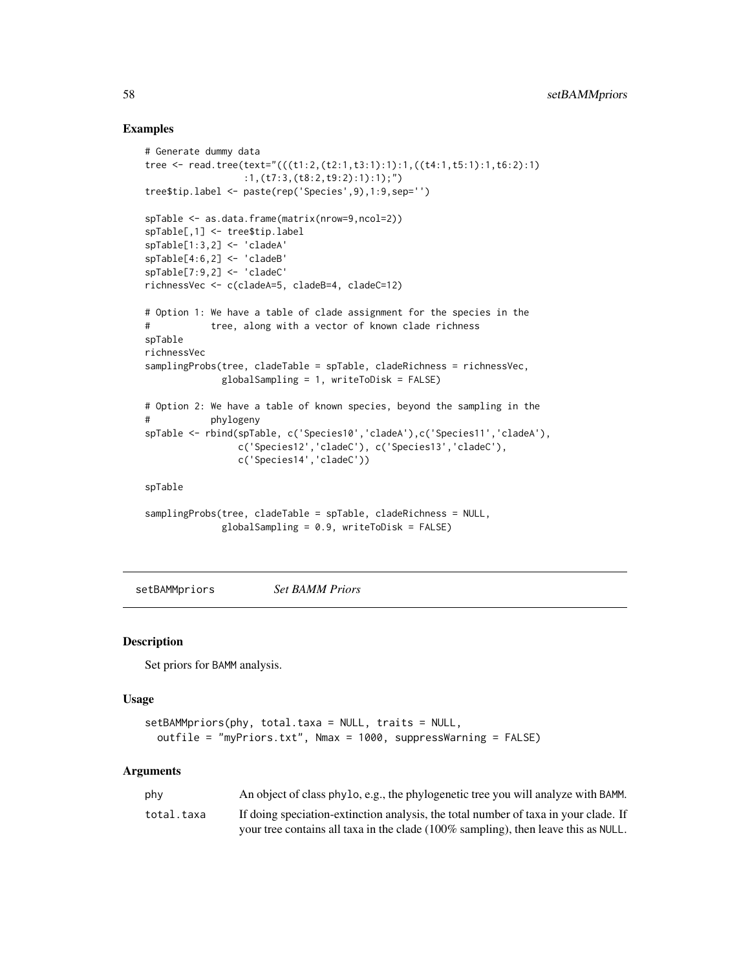### Examples

```
# Generate dummy data
tree <- read.tree(text="(((t1:2,(t2:1,t3:1):1):1,((t4:1,t5:1):1,t6:2):1)
                 :1,(t7:3,(t8:2,t9:2):1):1);")
tree$tip.label <- paste(rep('Species',9),1:9,sep='')
spTable <- as.data.frame(matrix(nrow=9,ncol=2))
spTable[,1] <- tree$tip.label
spTable[1:3,2] <- 'cladeA'
spTable[4:6,2] <- 'cladeB'
spTable[7:9,2] <- 'cladeC'
richnessVec <- c(cladeA=5, cladeB=4, cladeC=12)
# Option 1: We have a table of clade assignment for the species in the
# tree, along with a vector of known clade richness
spTable
richnessVec
samplingProbs(tree, cladeTable = spTable, cladeRichness = richnessVec,
             globalSampling = 1, writeToDisk = FALSE)
# Option 2: We have a table of known species, beyond the sampling in the
# phylogeny
spTable <- rbind(spTable, c('Species10','cladeA'),c('Species11','cladeA'),
                c('Species12','cladeC'), c('Species13','cladeC'),
                c('Species14','cladeC'))
spTable
samplingProbs(tree, cladeTable = spTable, cladeRichness = NULL,
             globalSampling = 0.9, writeToDisk = FALSE)
```
setBAMMpriors *Set BAMM Priors*

#### Description

Set priors for BAMM analysis.

#### Usage

```
setBAMMpriors(phy, total.taxa = NULL, traits = NULL,
 outfile = "myPriors.txt", Nmax = 1000, suppressWarning = FALSE)
```

| phy        | An object of class phylo, e.g., the phylogenetic tree you will analyze with BAMM.   |
|------------|-------------------------------------------------------------------------------------|
| total.taxa | If doing speciation-extinction analysis, the total number of taxa in your clade. If |
|            | your tree contains all taxa in the clade (100% sampling), then leave this as NULL.  |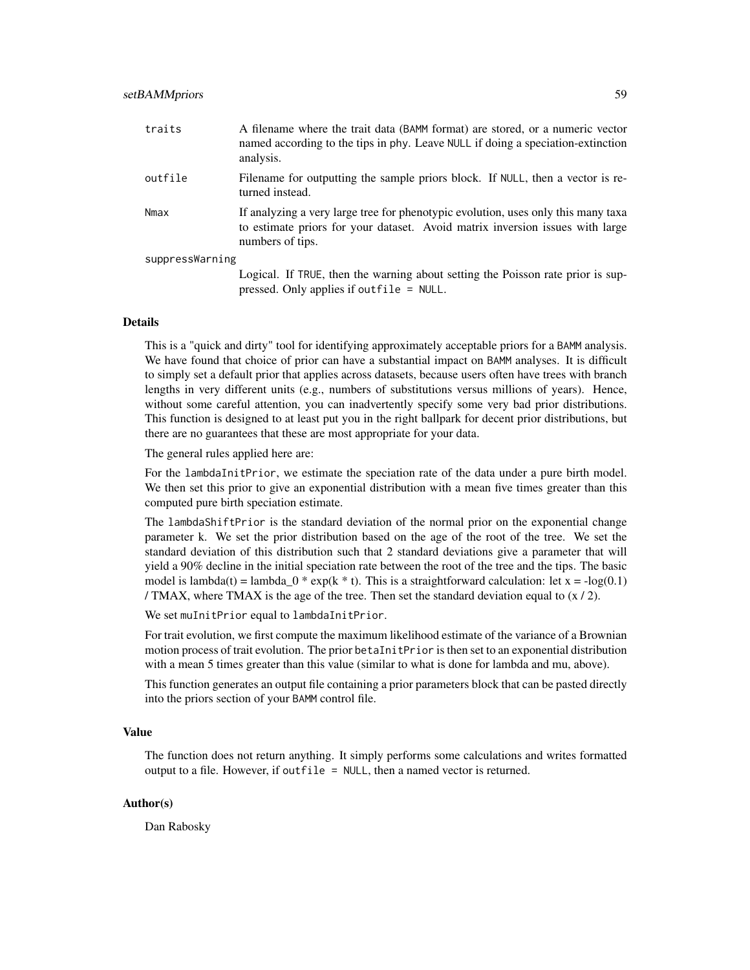| traits          | A filename where the trait data (BAMM format) are stored, or a numeric vector<br>named according to the tips in phy. Leave NULL if doing a speciation-extinction<br>analysis.          |
|-----------------|----------------------------------------------------------------------------------------------------------------------------------------------------------------------------------------|
| outfile         | Filename for outputting the sample priors block. If NULL, then a vector is re-<br>turned instead.                                                                                      |
| Nmax            | If analyzing a very large tree for phenotypic evolution, uses only this many taxa<br>to estimate priors for your dataset. Avoid matrix inversion issues with large<br>numbers of tips. |
| suppressWarning |                                                                                                                                                                                        |
|                 | Logical. If TRUE, then the warning about setting the Poisson rate prior is sup-<br>pressed. Only applies if outfile $=$ NULL.                                                          |

This is a "quick and dirty" tool for identifying approximately acceptable priors for a BAMM analysis. We have found that choice of prior can have a substantial impact on BAMM analyses. It is difficult to simply set a default prior that applies across datasets, because users often have trees with branch lengths in very different units (e.g., numbers of substitutions versus millions of years). Hence, without some careful attention, you can inadvertently specify some very bad prior distributions. This function is designed to at least put you in the right ballpark for decent prior distributions, but there are no guarantees that these are most appropriate for your data.

The general rules applied here are:

For the lambdaInitPrior, we estimate the speciation rate of the data under a pure birth model. We then set this prior to give an exponential distribution with a mean five times greater than this computed pure birth speciation estimate.

The lambdaShiftPrior is the standard deviation of the normal prior on the exponential change parameter k. We set the prior distribution based on the age of the root of the tree. We set the standard deviation of this distribution such that 2 standard deviations give a parameter that will yield a 90% decline in the initial speciation rate between the root of the tree and the tips. The basic model is lambda(t) = lambda\_0  $*$  exp(k  $*$  t). This is a straightforward calculation: let  $x = -\log(0.1)$ / TMAX, where TMAX is the age of the tree. Then set the standard deviation equal to  $(x / 2)$ .

We set muInitPrior equal to lambdaInitPrior.

For trait evolution, we first compute the maximum likelihood estimate of the variance of a Brownian motion process of trait evolution. The prior betaInitPrior is then set to an exponential distribution with a mean 5 times greater than this value (similar to what is done for lambda and mu, above).

This function generates an output file containing a prior parameters block that can be pasted directly into the priors section of your BAMM control file.

#### Value

The function does not return anything. It simply performs some calculations and writes formatted output to a file. However, if outfile = NULL, then a named vector is returned.

#### Author(s)

Dan Rabosky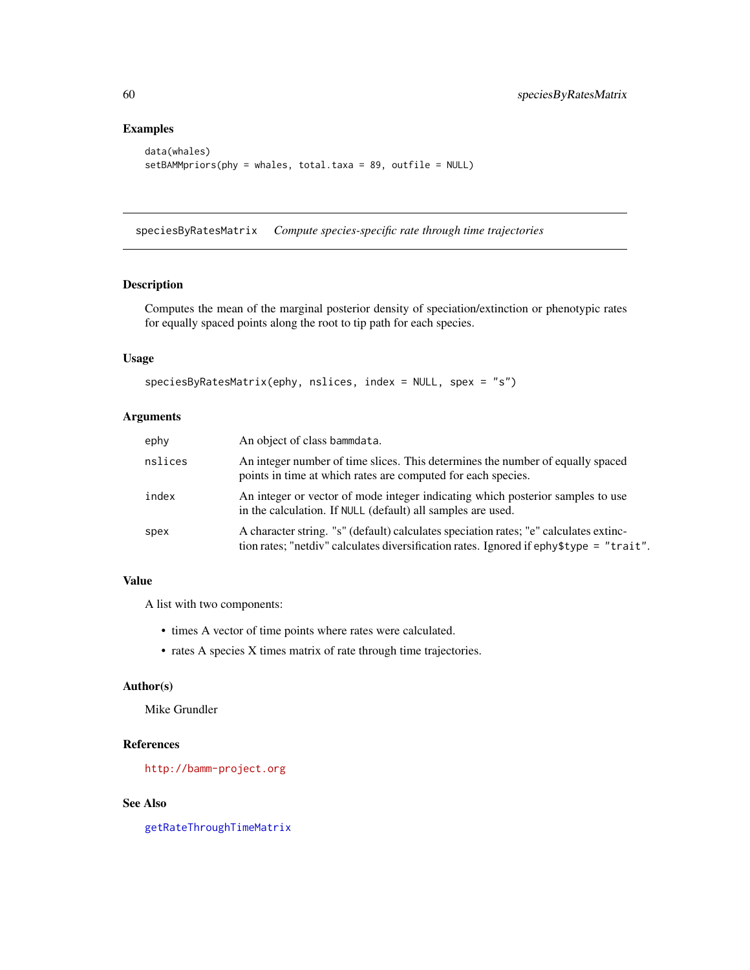### Examples

```
data(whales)
setBAMMpriors(phy = whales, total.taxa = 89, outfile = NULL)
```
speciesByRatesMatrix *Compute species-specific rate through time trajectories*

### Description

Computes the mean of the marginal posterior density of speciation/extinction or phenotypic rates for equally spaced points along the root to tip path for each species.

### Usage

```
speciesByRatesMatrix(ephy, nslices, index = NULL, spex = "s")
```
### Arguments

| ephy    | An object of class bammdata.                                                                                                                                                     |
|---------|----------------------------------------------------------------------------------------------------------------------------------------------------------------------------------|
| nslices | An integer number of time slices. This determines the number of equally spaced<br>points in time at which rates are computed for each species.                                   |
| index   | An integer or vector of mode integer indicating which posterior samples to use<br>in the calculation. If NULL (default) all samples are used.                                    |
| spex    | A character string. "s" (default) calculates speciation rates; "e" calculates extinc-<br>tion rates; "netdiv" calculates diversification rates. Ignored if ephy\$type = "trait". |

### Value

A list with two components:

- times A vector of time points where rates were calculated.
- rates A species X times matrix of rate through time trajectories.

### Author(s)

Mike Grundler

### References

<http://bamm-project.org>

### See Also

[getRateThroughTimeMatrix](#page-35-0)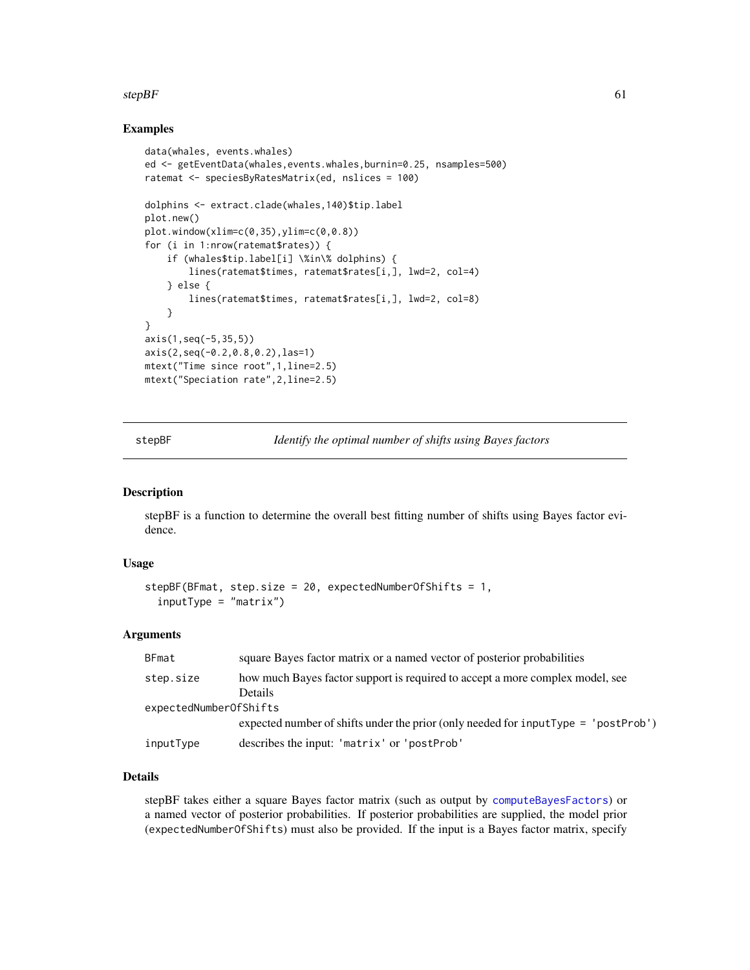#### $stepBF$  61

### Examples

```
data(whales, events.whales)
ed <- getEventData(whales,events.whales,burnin=0.25, nsamples=500)
ratemat <- speciesByRatesMatrix(ed, nslices = 100)
dolphins <- extract.clade(whales,140)$tip.label
plot.new()
plot.window(xlim=c(0,35),ylim=c(0,0.8))
for (i in 1:nrow(ratemat$rates)) {
    if (whales$tip.label[i] \%in\% dolphins) {
       lines(ratemat$times, ratemat$rates[i,], lwd=2, col=4)
    } else {
       lines(ratemat$times, ratemat$rates[i,], lwd=2, col=8)
    }
}
axis(1,seq(-5,35,5))
axis(2,seq(-0.2,0.8,0.2),las=1)
mtext("Time since root",1,line=2.5)
mtext("Speciation rate",2,line=2.5)
```
stepBF *Identify the optimal number of shifts using Bayes factors*

### Description

stepBF is a function to determine the overall best fitting number of shifts using Bayes factor evidence.

### Usage

```
stepBF(BFmat, step.size = 20, expectedNumberOfShifts = 1,
  inputType = "matrix")
```
### **Arguments**

| BFmat                  | square Bayes factor matrix or a named vector of posterior probabilities            |  |
|------------------------|------------------------------------------------------------------------------------|--|
| step.size              | how much Bayes factor support is required to accept a more complex model, see      |  |
|                        | <b>Details</b>                                                                     |  |
| expectedNumberOfShifts |                                                                                    |  |
|                        | expected number of shifts under the prior (only needed for inputType = 'postProb') |  |
| inputType              | describes the input: 'matrix' or 'postProb'                                        |  |

### Details

stepBF takes either a square Bayes factor matrix (such as output by [computeBayesFactors](#page-11-0)) or a named vector of posterior probabilities. If posterior probabilities are supplied, the model prior (expectedNumberOfShifts) must also be provided. If the input is a Bayes factor matrix, specify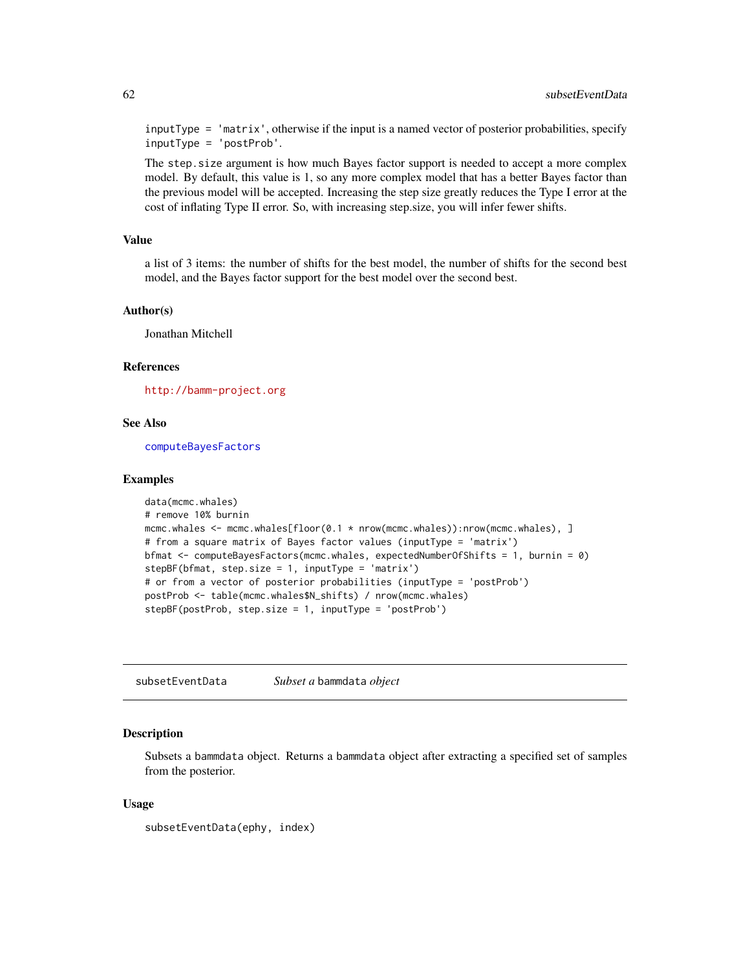inputType = 'matrix', otherwise if the input is a named vector of posterior probabilities, specify inputType = 'postProb'.

The step.size argument is how much Bayes factor support is needed to accept a more complex model. By default, this value is 1, so any more complex model that has a better Bayes factor than the previous model will be accepted. Increasing the step size greatly reduces the Type I error at the cost of inflating Type II error. So, with increasing step.size, you will infer fewer shifts.

#### Value

a list of 3 items: the number of shifts for the best model, the number of shifts for the second best model, and the Bayes factor support for the best model over the second best.

#### Author(s)

Jonathan Mitchell

#### References

<http://bamm-project.org>

### See Also

[computeBayesFactors](#page-11-0)

#### Examples

```
data(mcmc.whales)
# remove 10% burnin
mcmc.whales <- mcmc.whales[floor(0.1 * nrow(mcmc.whales)):nrow(mcmc.whales), ]
# from a square matrix of Bayes factor values (inputType = 'matrix')
bfmat <- computeBayesFactors(mcmc.whales, expectedNumberOfShifts = 1, burnin = 0)
stepBF(bfmat, step.size = 1, inputType = 'matrix')# or from a vector of posterior probabilities (inputType = 'postProb')
postProb <- table(mcmc.whales$N_shifts) / nrow(mcmc.whales)
stepBF(postProb, step.size = 1, inputType = 'postProb')
```
subsetEventData *Subset a* bammdata *object*

#### Description

Subsets a bammdata object. Returns a bammdata object after extracting a specified set of samples from the posterior.

#### Usage

```
subsetEventData(ephy, index)
```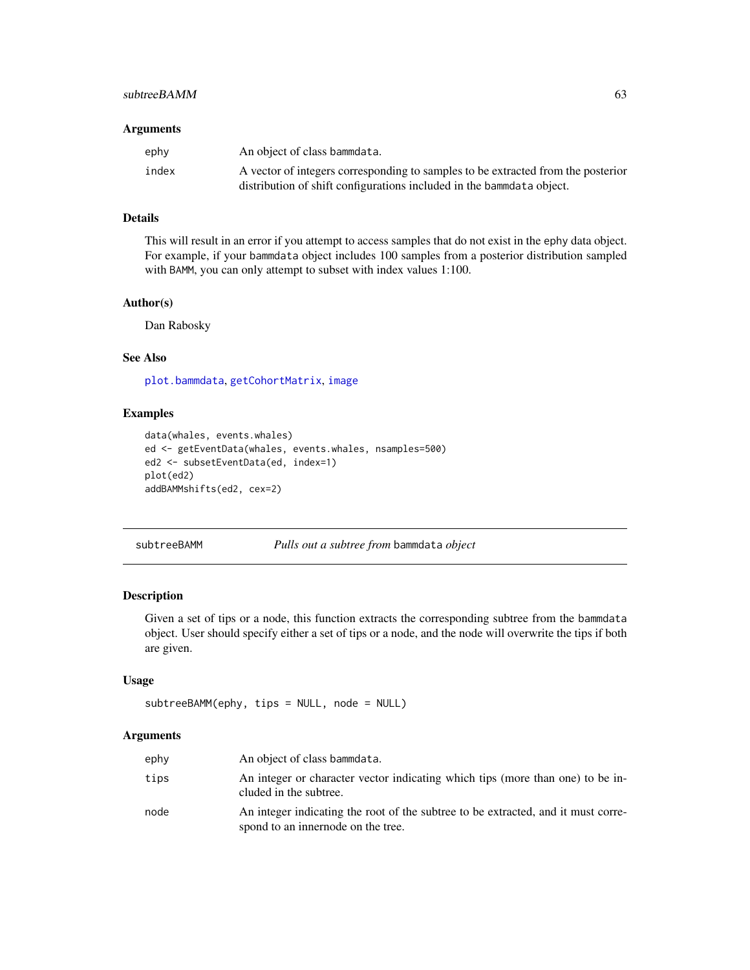### subtreeBAMM 63

#### Arguments

| ephy  | An object of class bammdata.                                                     |
|-------|----------------------------------------------------------------------------------|
| index | A vector of integers corresponding to samples to be extracted from the posterior |
|       | distribution of shift configurations included in the bammedata object.           |

### Details

This will result in an error if you attempt to access samples that do not exist in the ephy data object. For example, if your bammdata object includes 100 samples from a posterior distribution sampled with BAMM, you can only attempt to subset with index values 1:100.

#### Author(s)

Dan Rabosky

### See Also

[plot.bammdata](#page-42-0), [getCohortMatrix](#page-27-0), [image](#page-0-0)

#### Examples

```
data(whales, events.whales)
ed <- getEventData(whales, events.whales, nsamples=500)
ed2 <- subsetEventData(ed, index=1)
plot(ed2)
addBAMMshifts(ed2, cex=2)
```
<span id="page-62-0"></span>subtreeBAMM *Pulls out a subtree from* bammdata *object*

### Description

Given a set of tips or a node, this function extracts the corresponding subtree from the bammdata object. User should specify either a set of tips or a node, and the node will overwrite the tips if both are given.

### Usage

```
subtreeBAMM(ephy, tips = NULL, node = NULL)
```

| ephy | An object of class bammdata.                                                                                            |
|------|-------------------------------------------------------------------------------------------------------------------------|
| tips | An integer or character vector indicating which tips (more than one) to be in-<br>cluded in the subtree.                |
| node | An integer indicating the root of the subtree to be extracted, and it must corre-<br>spond to an innernode on the tree. |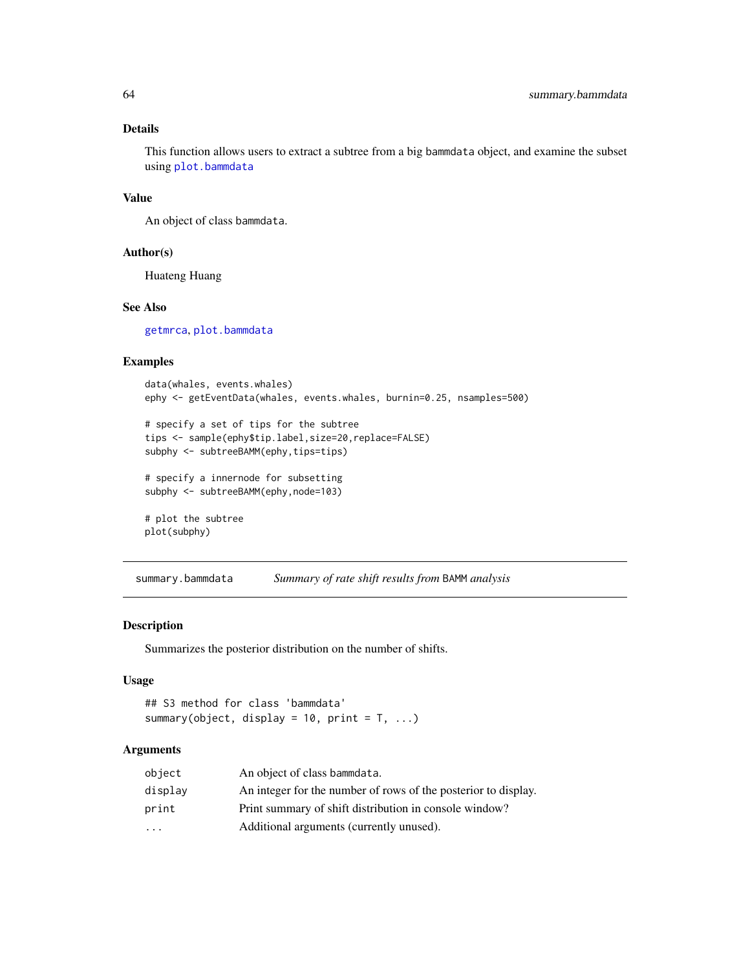This function allows users to extract a subtree from a big bammdata object, and examine the subset using [plot.bammdata](#page-42-0)

### Value

An object of class bammdata.

#### Author(s)

Huateng Huang

### See Also

[getmrca](#page-34-0), [plot.bammdata](#page-42-0)

#### Examples

```
data(whales, events.whales)
ephy <- getEventData(whales, events.whales, burnin=0.25, nsamples=500)
# specify a set of tips for the subtree
tips <- sample(ephy$tip.label,size=20,replace=FALSE)
subphy <- subtreeBAMM(ephy, tips=tips)
# specify a innernode for subsetting
subphy <- subtreeBAMM(ephy, node=103)
# plot the subtree
plot(subphy)
```
summary.bammdata *Summary of rate shift results from* BAMM *analysis*

### Description

Summarizes the posterior distribution on the number of shifts.

### Usage

```
## S3 method for class 'bammdata'
summary(object, display = 10, print = T, ...)
```

| object                  | An object of class bammdata.                                   |
|-------------------------|----------------------------------------------------------------|
| display                 | An integer for the number of rows of the posterior to display. |
| print                   | Print summary of shift distribution in console window?         |
| $\cdot$ $\cdot$ $\cdot$ | Additional arguments (currently unused).                       |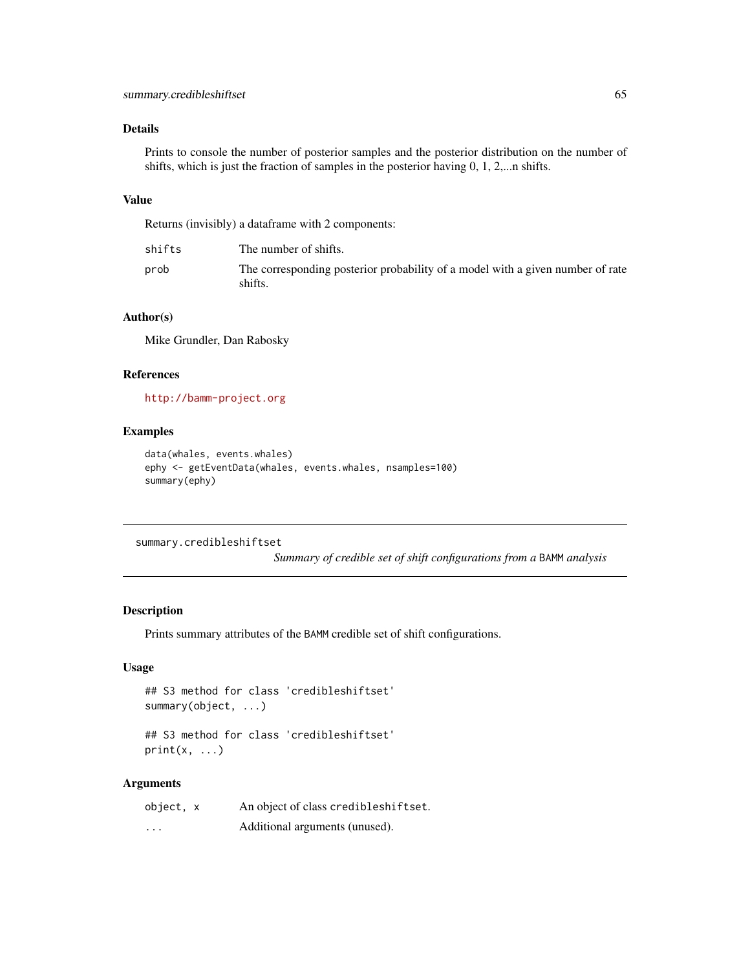Prints to console the number of posterior samples and the posterior distribution on the number of shifts, which is just the fraction of samples in the posterior having 0, 1, 2,...n shifts.

#### Value

Returns (invisibly) a dataframe with 2 components:

| shifts | The number of shifts.                                                                     |
|--------|-------------------------------------------------------------------------------------------|
| prob   | The corresponding posterior probability of a model with a given number of rate<br>shifts. |

## Author(s)

Mike Grundler, Dan Rabosky

### References

<http://bamm-project.org>

## Examples

```
data(whales, events.whales)
ephy <- getEventData(whales, events.whales, nsamples=100)
summary(ephy)
```
summary.credibleshiftset

*Summary of credible set of shift configurations from a* BAMM *analysis*

#### Description

Prints summary attributes of the BAMM credible set of shift configurations.

### Usage

```
## S3 method for class 'credibleshiftset'
summary(object, ...)
```

```
## S3 method for class 'credibleshiftset'
print(x, \ldots)
```

| object, x | An object of class credibleshiftset. |
|-----------|--------------------------------------|
| $\cdots$  | Additional arguments (unused).       |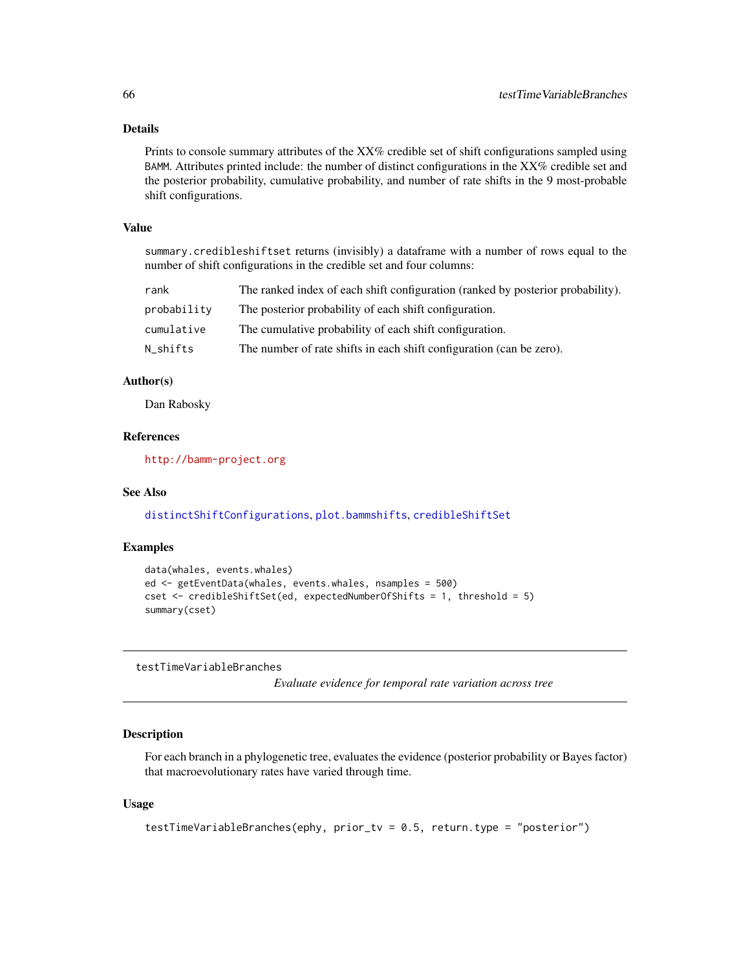Prints to console summary attributes of the XX% credible set of shift configurations sampled using BAMM. Attributes printed include: the number of distinct configurations in the XX% credible set and the posterior probability, cumulative probability, and number of rate shifts in the 9 most-probable shift configurations.

### Value

summary.credibleshiftset returns (invisibly) a dataframe with a number of rows equal to the number of shift configurations in the credible set and four columns:

| rank        | The ranked index of each shift configuration (ranked by posterior probability). |
|-------------|---------------------------------------------------------------------------------|
| probability | The posterior probability of each shift configuration.                          |
| cumulative  | The cumulative probability of each shift configuration.                         |
| N shifts    | The number of rate shifts in each shift configuration (can be zero).            |

#### Author(s)

Dan Rabosky

### References

<http://bamm-project.org>

### See Also

[distinctShiftConfigurations](#page-18-0), [plot.bammshifts](#page-47-0), [credibleShiftSet](#page-13-0)

### Examples

```
data(whales, events.whales)
ed <- getEventData(whales, events.whales, nsamples = 500)
cset <- credibleShiftSet(ed, expectedNumberOfShifts = 1, threshold = 5)
summary(cset)
```
testTimeVariableBranches

*Evaluate evidence for temporal rate variation across tree*

### Description

For each branch in a phylogenetic tree, evaluates the evidence (posterior probability or Bayes factor) that macroevolutionary rates have varied through time.

#### Usage

```
testTimeVariableBranches(ephy, prior_tv = 0.5, return.type = "posterior")
```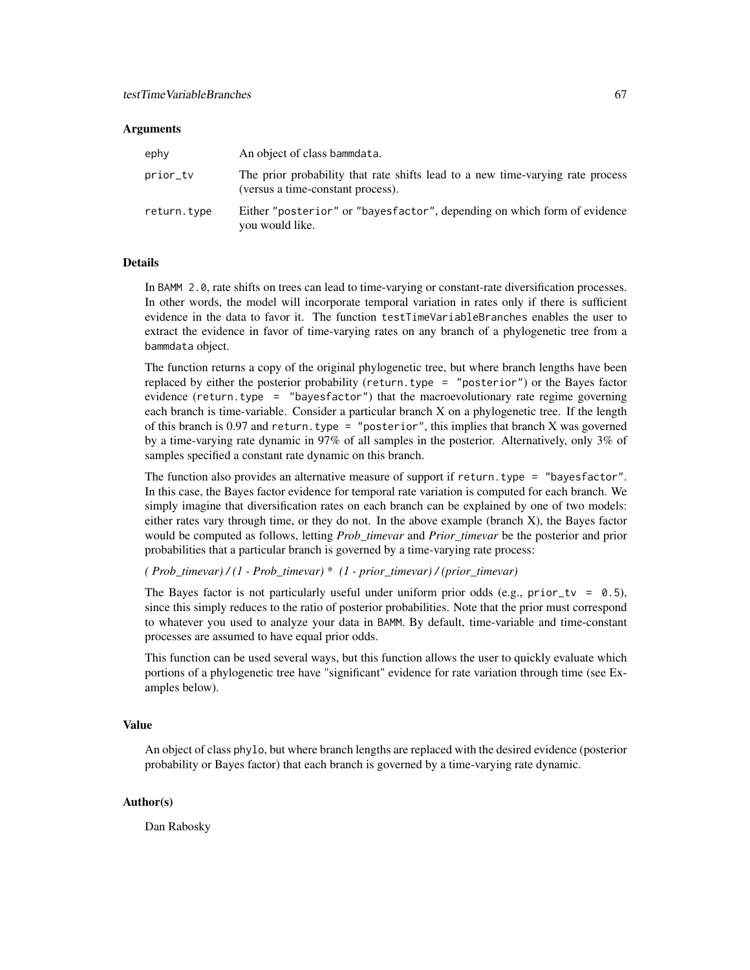#### **Arguments**

| ephy        | An object of class bammdata.                                                                                        |
|-------------|---------------------------------------------------------------------------------------------------------------------|
| prior_tv    | The prior probability that rate shifts lead to a new time-varying rate process<br>(versus a time-constant process). |
| return.type | Either "posterior" or "bayesfactor", depending on which form of evidence<br>you would like.                         |

### Details

In BAMM 2.0, rate shifts on trees can lead to time-varying or constant-rate diversification processes. In other words, the model will incorporate temporal variation in rates only if there is sufficient evidence in the data to favor it. The function testTimeVariableBranches enables the user to extract the evidence in favor of time-varying rates on any branch of a phylogenetic tree from a bammdata object.

The function returns a copy of the original phylogenetic tree, but where branch lengths have been replaced by either the posterior probability (return.type = "posterior") or the Bayes factor evidence (return.type = "bayesfactor") that the macroevolutionary rate regime governing each branch is time-variable. Consider a particular branch X on a phylogenetic tree. If the length of this branch is 0.97 and return. type = "posterior", this implies that branch X was governed by a time-varying rate dynamic in 97% of all samples in the posterior. Alternatively, only 3% of samples specified a constant rate dynamic on this branch.

The function also provides an alternative measure of support if return.type = "bayesfactor". In this case, the Bayes factor evidence for temporal rate variation is computed for each branch. We simply imagine that diversification rates on each branch can be explained by one of two models: either rates vary through time, or they do not. In the above example (branch X), the Bayes factor would be computed as follows, letting *Prob\_timevar* and *Prior\_timevar* be the posterior and prior probabilities that a particular branch is governed by a time-varying rate process:

### *( Prob\_timevar) / (1 - Prob\_timevar)* \* *(1 - prior\_timevar) / (prior\_timevar)*

The Bayes factor is not particularly useful under uniform prior odds (e.g., prior\_tv =  $0.5$ ), since this simply reduces to the ratio of posterior probabilities. Note that the prior must correspond to whatever you used to analyze your data in BAMM. By default, time-variable and time-constant processes are assumed to have equal prior odds.

This function can be used several ways, but this function allows the user to quickly evaluate which portions of a phylogenetic tree have "significant" evidence for rate variation through time (see Examples below).

#### Value

An object of class phylo, but where branch lengths are replaced with the desired evidence (posterior probability or Bayes factor) that each branch is governed by a time-varying rate dynamic.

### Author(s)

Dan Rabosky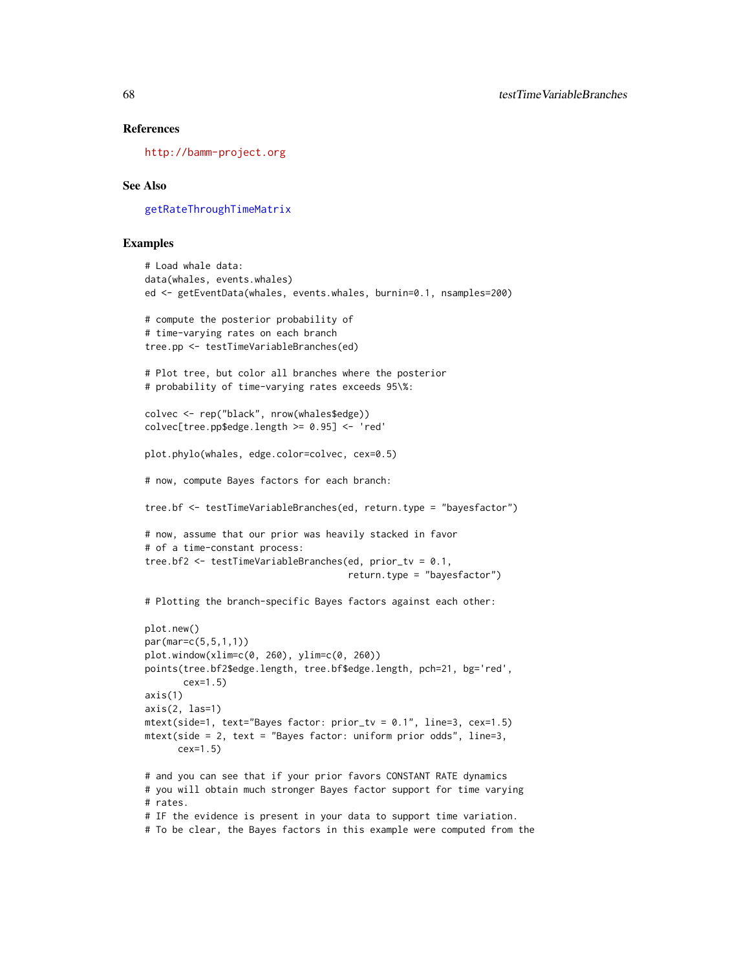#### References

<http://bamm-project.org>

### See Also

[getRateThroughTimeMatrix](#page-35-0)

### Examples

```
# Load whale data:
data(whales, events.whales)
ed <- getEventData(whales, events.whales, burnin=0.1, nsamples=200)
# compute the posterior probability of
# time-varying rates on each branch
tree.pp <- testTimeVariableBranches(ed)
# Plot tree, but color all branches where the posterior
# probability of time-varying rates exceeds 95\%:
colvec <- rep("black", nrow(whales$edge))
colvec[tree.pp$edge.length >= 0.95] <- 'red'
plot.phylo(whales, edge.color=colvec, cex=0.5)
# now, compute Bayes factors for each branch:
tree.bf <- testTimeVariableBranches(ed, return.type = "bayesfactor")
# now, assume that our prior was heavily stacked in favor
# of a time-constant process:
tree.bf2 <- testTimeVariableBranches(ed, prior_tv = 0.1,
                                     return.type = "bayesfactor")
# Plotting the branch-specific Bayes factors against each other:
plot.new()
par(mar=c(5,5,1,1))
plot.window(xlim=c(0, 260), ylim=c(0, 260))
points(tree.bf2$edge.length, tree.bf$edge.length, pch=21, bg='red',
       cex=1.5)
axis(1)
axis(2, 1as=1)mtext(side=1, text="Bayes factor: prior_tv = 0.1", line=3, cex=1.5)
mtext(side = 2, text = "Bayes factor: uniform prior odds", line=3,
      cex=1.5)
# and you can see that if your prior favors CONSTANT RATE dynamics
# you will obtain much stronger Bayes factor support for time varying
# rates.
# IF the evidence is present in your data to support time variation.
# To be clear, the Bayes factors in this example were computed from the
```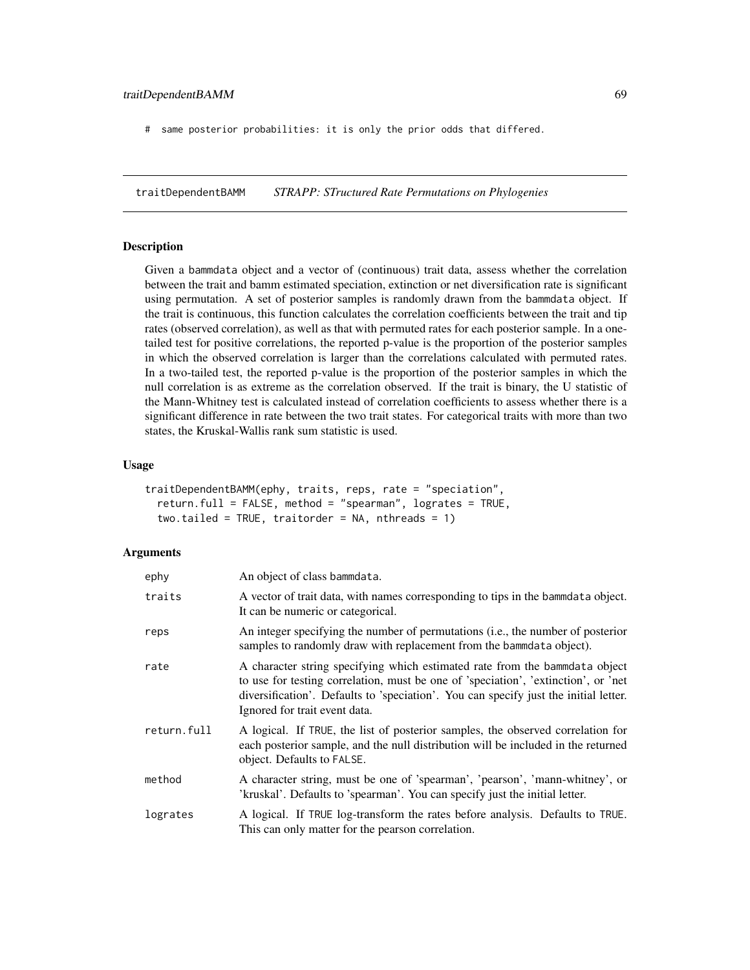# same posterior probabilities: it is only the prior odds that differed.

traitDependentBAMM *STRAPP: STructured Rate Permutations on Phylogenies*

#### Description

Given a bammdata object and a vector of (continuous) trait data, assess whether the correlation between the trait and bamm estimated speciation, extinction or net diversification rate is significant using permutation. A set of posterior samples is randomly drawn from the bammdata object. If the trait is continuous, this function calculates the correlation coefficients between the trait and tip rates (observed correlation), as well as that with permuted rates for each posterior sample. In a onetailed test for positive correlations, the reported p-value is the proportion of the posterior samples in which the observed correlation is larger than the correlations calculated with permuted rates. In a two-tailed test, the reported p-value is the proportion of the posterior samples in which the null correlation is as extreme as the correlation observed. If the trait is binary, the U statistic of the Mann-Whitney test is calculated instead of correlation coefficients to assess whether there is a significant difference in rate between the two trait states. For categorical traits with more than two states, the Kruskal-Wallis rank sum statistic is used.

#### Usage

```
traitDependentBAMM(ephy, traits, reps, rate = "speciation",
  return.full = FALSE, method = "spearman", logrates = TRUE,
  two.tailed = TRUE, traitorder = NA, nthreads = 1)
```

| ephy        | An object of class bammdata.                                                                                                                                                                                                                                                               |
|-------------|--------------------------------------------------------------------------------------------------------------------------------------------------------------------------------------------------------------------------------------------------------------------------------------------|
| traits      | A vector of trait data, with names corresponding to tips in the bammdata object.<br>It can be numeric or categorical.                                                                                                                                                                      |
| reps        | An integer specifying the number of permutations (i.e., the number of posterior<br>samples to randomly draw with replacement from the bammdata object).                                                                                                                                    |
| rate        | A character string specifying which estimated rate from the bammdata object<br>to use for testing correlation, must be one of 'speciation', 'extinction', or 'net<br>diversification'. Defaults to 'speciation'. You can specify just the initial letter.<br>Ignored for trait event data. |
| return.full | A logical. If TRUE, the list of posterior samples, the observed correlation for<br>each posterior sample, and the null distribution will be included in the returned<br>object. Defaults to FALSE.                                                                                         |
| method      | A character string, must be one of 'spearman', 'pearson', 'mann-whitney', or<br>'kruskal'. Defaults to 'spearman'. You can specify just the initial letter.                                                                                                                                |
| logrates    | A logical. If TRUE log-transform the rates before analysis. Defaults to TRUE.<br>This can only matter for the pearson correlation.                                                                                                                                                         |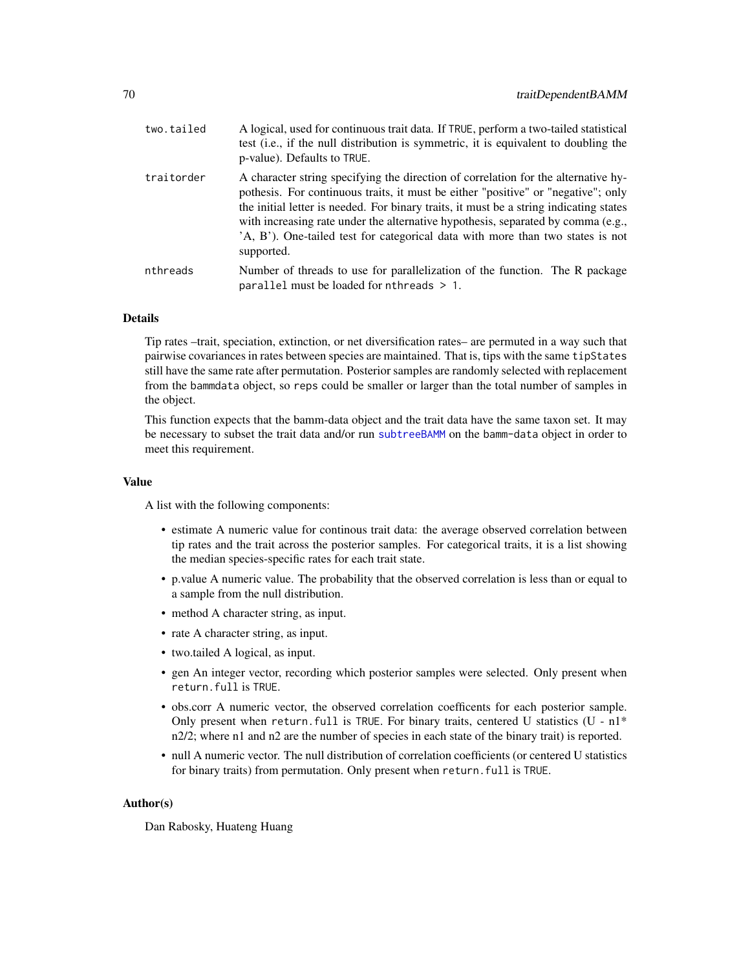| two.tailed | A logical, used for continuous trait data. If TRUE, perform a two-tailed statistical<br>test (i.e., if the null distribution is symmetric, it is equivalent to doubling the<br>p-value). Defaults to TRUE.                                                                                                                                                                                                                                           |
|------------|------------------------------------------------------------------------------------------------------------------------------------------------------------------------------------------------------------------------------------------------------------------------------------------------------------------------------------------------------------------------------------------------------------------------------------------------------|
| traitorder | A character string specifying the direction of correlation for the alternative hy-<br>pothesis. For continuous traits, it must be either "positive" or "negative"; only<br>the initial letter is needed. For binary traits, it must be a string indicating states<br>with increasing rate under the alternative hypothesis, separated by comma (e.g.,<br>A, B'). One-tailed test for categorical data with more than two states is not<br>supported. |
| nthreads   | Number of threads to use for parallelization of the function. The R package<br>parallel must be loaded for $n$ threads $> 1$ .                                                                                                                                                                                                                                                                                                                       |

Tip rates –trait, speciation, extinction, or net diversification rates– are permuted in a way such that pairwise covariances in rates between species are maintained. That is, tips with the same tipStates still have the same rate after permutation. Posterior samples are randomly selected with replacement from the bammdata object, so reps could be smaller or larger than the total number of samples in the object.

This function expects that the bamm-data object and the trait data have the same taxon set. It may be necessary to subset the trait data and/or run [subtreeBAMM](#page-62-0) on the bamm-data object in order to meet this requirement.

#### Value

A list with the following components:

- estimate A numeric value for continous trait data: the average observed correlation between tip rates and the trait across the posterior samples. For categorical traits, it is a list showing the median species-specific rates for each trait state.
- p.value A numeric value. The probability that the observed correlation is less than or equal to a sample from the null distribution.
- method A character string, as input.
- rate A character string, as input.
- two.tailed A logical, as input.
- gen An integer vector, recording which posterior samples were selected. Only present when return.full is TRUE.
- obs.corr A numeric vector, the observed correlation coefficents for each posterior sample. Only present when return.full is TRUE. For binary traits, centered U statistics (U -  $n1*$ n2/2; where n1 and n2 are the number of species in each state of the binary trait) is reported.
- null A numeric vector. The null distribution of correlation coefficients (or centered U statistics for binary traits) from permutation. Only present when return.full is TRUE.

#### Author(s)

Dan Rabosky, Huateng Huang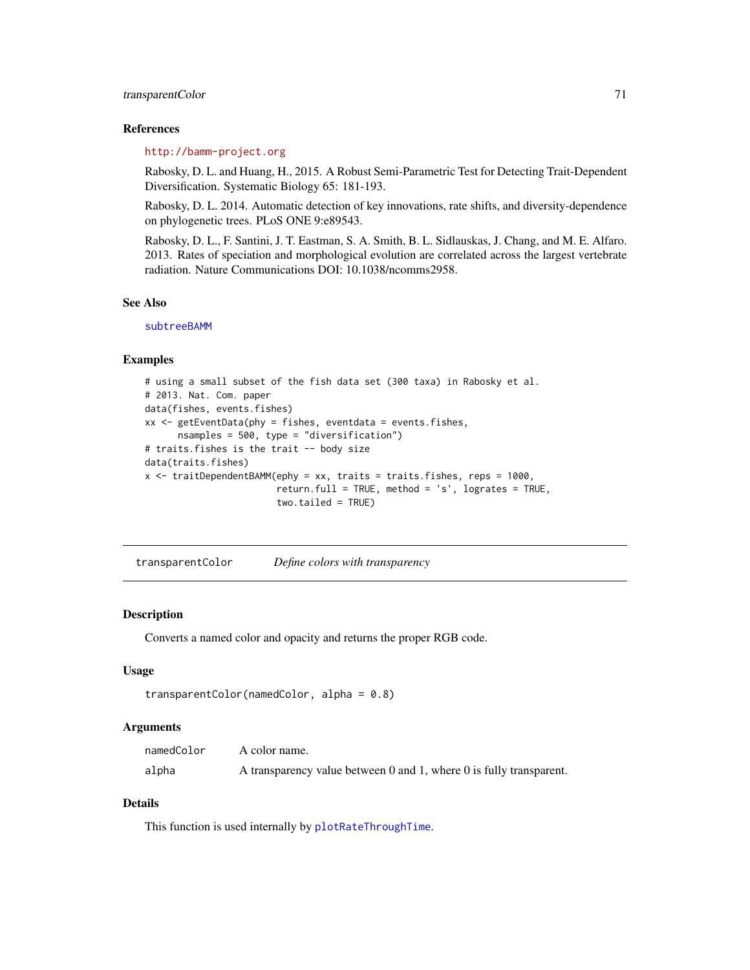### transparentColor 71

#### References

### <http://bamm-project.org>

Rabosky, D. L. and Huang, H., 2015. A Robust Semi-Parametric Test for Detecting Trait-Dependent Diversification. Systematic Biology 65: 181-193.

Rabosky, D. L. 2014. Automatic detection of key innovations, rate shifts, and diversity-dependence on phylogenetic trees. PLoS ONE 9:e89543.

Rabosky, D. L., F. Santini, J. T. Eastman, S. A. Smith, B. L. Sidlauskas, J. Chang, and M. E. Alfaro. 2013. Rates of speciation and morphological evolution are correlated across the largest vertebrate radiation. Nature Communications DOI: 10.1038/ncomms2958.

### See Also

[subtreeBAMM](#page-62-0)

#### Examples

```
# using a small subset of the fish data set (300 taxa) in Rabosky et al.
# 2013. Nat. Com. paper
data(fishes, events.fishes)
xx <- getEventData(phy = fishes, eventdata = events.fishes,
      nsamples = 500, type = "diversification")
# traits.fishes is the trait -- body size
data(traits.fishes)
x <- traitDependentBAMM(ephy = xx, traits = traits.fishes, reps = 1000,
                        return.full = TRUE, method = 's', logrates = TRUE,
                        two.tailed = TRUE)
```
transparentColor *Define colors with transparency*

#### **Description**

Converts a named color and opacity and returns the proper RGB code.

#### Usage

```
transparentColor(namedColor, alpha = 0.8)
```
### Arguments

| namedColor | A color name.                                                       |
|------------|---------------------------------------------------------------------|
| alpha      | A transparency value between 0 and 1, where 0 is fully transparent. |

### Details

This function is used internally by [plotRateThroughTime](#page-51-0).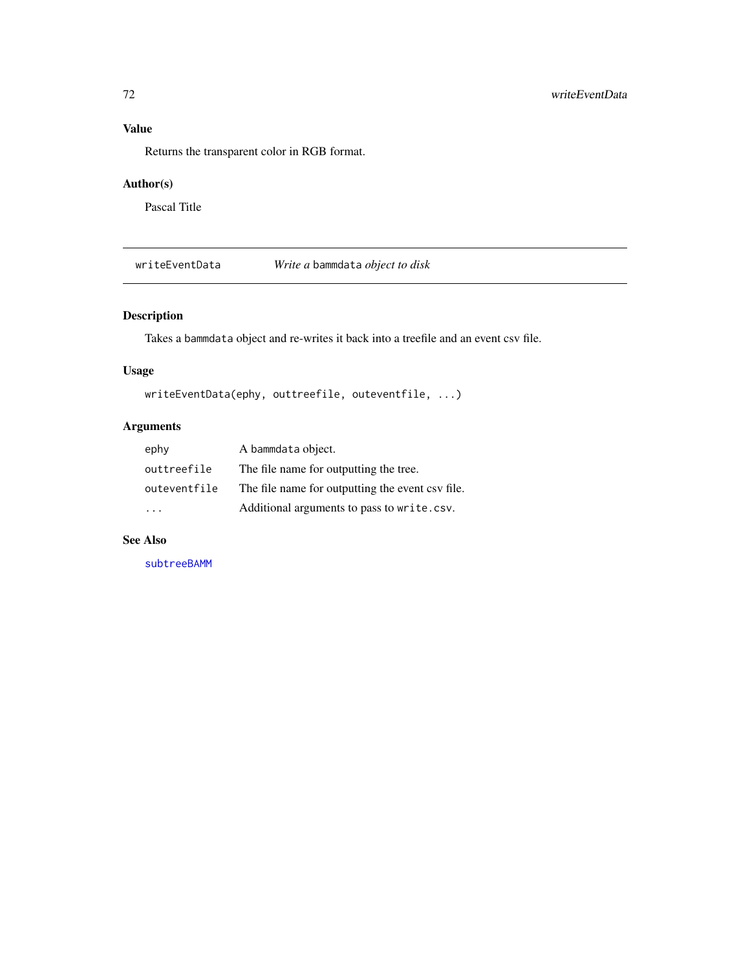Returns the transparent color in RGB format.

### Author(s)

Pascal Title

writeEventData *Write a* bammdata *object to disk*

# Description

Takes a bammdata object and re-writes it back into a treefile and an event csv file.

## Usage

```
writeEventData(ephy, outtreefile, outeventfile, ...)
```
# Arguments

| ephy         | A bammdata object.                               |
|--------------|--------------------------------------------------|
| outtreefile  | The file name for outputting the tree.           |
| outeventfile | The file name for outputting the event csv file. |
|              | Additional arguments to pass to write.csv.       |

# See Also

[subtreeBAMM](#page-62-0)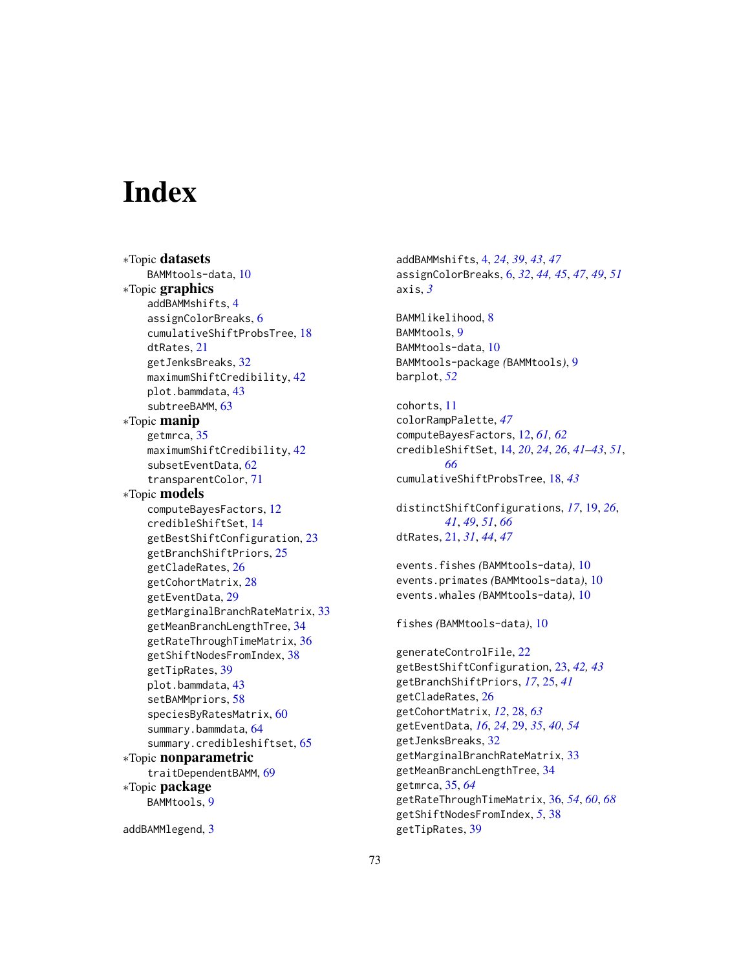## **Index**

∗Topic datasets BAMMtools-data, [10](#page-9-0) ∗Topic graphics addBAMMshifts, [4](#page-3-0) assignColorBreaks, [6](#page-5-0) cumulativeShiftProbsTree, [18](#page-17-0) dtRates, [21](#page-20-0) getJenksBreaks, [32](#page-31-0) maximumShiftCredibility, [42](#page-41-0) plot.bammdata, [43](#page-42-0) subtreeBAMM, [63](#page-62-0) ∗Topic manip getmrca, [35](#page-34-0) maximumShiftCredibility, [42](#page-41-0) subsetEventData, [62](#page-61-0) transparentColor, [71](#page-70-0) ∗Topic models computeBayesFactors, [12](#page-11-0) credibleShiftSet, [14](#page-13-0) getBestShiftConfiguration, [23](#page-22-0) getBranchShiftPriors, [25](#page-24-0) getCladeRates, [26](#page-25-0) getCohortMatrix, [28](#page-27-0) getEventData, [29](#page-28-0) getMarginalBranchRateMatrix, [33](#page-32-0) getMeanBranchLengthTree, [34](#page-33-0) getRateThroughTimeMatrix, [36](#page-35-0) getShiftNodesFromIndex, [38](#page-37-0) getTipRates, [39](#page-38-0) plot.bammdata, [43](#page-42-0) setBAMMpriors, [58](#page-57-0) speciesByRatesMatrix, [60](#page-59-0) summary.bammdata, [64](#page-63-0) summary.credibleshiftset, [65](#page-64-0) ∗Topic nonparametric traitDependentBAMM, [69](#page-68-0) ∗Topic package BAMMtools, [9](#page-8-0)

addBAMMlegend, [3](#page-2-0)

addBAMMshifts, [4,](#page-3-0) *[24](#page-23-0)*, *[39](#page-38-0)*, *[43](#page-42-0)*, *[47](#page-46-0)* assignColorBreaks, [6,](#page-5-0) *[32](#page-31-0)*, *[44,](#page-43-0) [45](#page-44-0)*, *[47](#page-46-0)*, *[49](#page-48-0)*, *[51](#page-50-0)* axis, *[3](#page-2-0)* BAMMlikelihood, [8](#page-7-0) BAMMtools, [9](#page-8-0)

BAMMtools-data, [10](#page-9-0) BAMMtools-package *(*BAMMtools*)*, [9](#page-8-0) barplot, *[52](#page-51-0)*

cohorts, [11](#page-10-0) colorRampPalette, *[47](#page-46-0)* computeBayesFactors, [12,](#page-11-0) *[61,](#page-60-0) [62](#page-61-0)* credibleShiftSet, [14,](#page-13-0) *[20](#page-19-0)*, *[24](#page-23-0)*, *[26](#page-25-0)*, *[41](#page-40-0)[–43](#page-42-0)*, *[51](#page-50-0)*, *[66](#page-65-0)* cumulativeShiftProbsTree, [18,](#page-17-0) *[43](#page-42-0)*

distinctShiftConfigurations, *[17](#page-16-0)*, [19,](#page-18-0) *[26](#page-25-0)*, *[41](#page-40-0)*, *[49](#page-48-0)*, *[51](#page-50-0)*, *[66](#page-65-0)* dtRates, [21,](#page-20-0) *[31](#page-30-0)*, *[44](#page-43-0)*, *[47](#page-46-0)*

events.fishes *(*BAMMtools-data*)*, [10](#page-9-0) events.primates *(*BAMMtools-data*)*, [10](#page-9-0) events.whales *(*BAMMtools-data*)*, [10](#page-9-0)

fishes *(*BAMMtools-data*)*, [10](#page-9-0)

```
generateControlFile, 22
getBestShiftConfiguration, 23, 42, 43
getBranchShiftPriors, 17, 25, 41
getCladeRates, 26
getCohortMatrix, 12, 28, 63
getEventData, 16, 24, 29, 35, 40, 54
getJenksBreaks, 32
getMarginalBranchRateMatrix, 33
getMeanBranchLengthTree, 34
getmrca, 35, 64
getRateThroughTimeMatrix, 36, 54, 60, 68
getShiftNodesFromIndex, 5, 38
getTipRates, 39
```